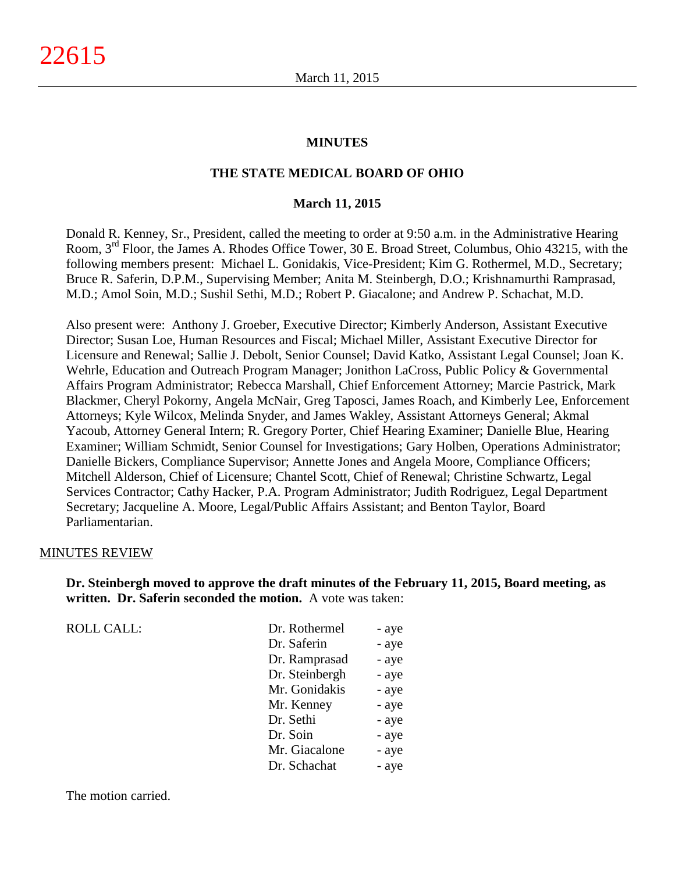#### **MINUTES**

#### **THE STATE MEDICAL BOARD OF OHIO**

#### **March 11, 2015**

Donald R. Kenney, Sr., President, called the meeting to order at 9:50 a.m. in the Administrative Hearing Room, 3rd Floor, the James A. Rhodes Office Tower, 30 E. Broad Street, Columbus, Ohio 43215, with the following members present: Michael L. Gonidakis, Vice-President; Kim G. Rothermel, M.D., Secretary; Bruce R. Saferin, D.P.M., Supervising Member; Anita M. Steinbergh, D.O.; Krishnamurthi Ramprasad, M.D.; Amol Soin, M.D.; Sushil Sethi, M.D.; Robert P. Giacalone; and Andrew P. Schachat, M.D.

Also present were: Anthony J. Groeber, Executive Director; Kimberly Anderson, Assistant Executive Director; Susan Loe, Human Resources and Fiscal; Michael Miller, Assistant Executive Director for Licensure and Renewal; Sallie J. Debolt, Senior Counsel; David Katko, Assistant Legal Counsel; Joan K. Wehrle, Education and Outreach Program Manager; Jonithon LaCross, Public Policy & Governmental Affairs Program Administrator; Rebecca Marshall, Chief Enforcement Attorney; Marcie Pastrick, Mark Blackmer, Cheryl Pokorny, Angela McNair, Greg Taposci, James Roach, and Kimberly Lee, Enforcement Attorneys; Kyle Wilcox, Melinda Snyder, and James Wakley, Assistant Attorneys General; Akmal Yacoub, Attorney General Intern; R. Gregory Porter, Chief Hearing Examiner; Danielle Blue, Hearing Examiner; William Schmidt, Senior Counsel for Investigations; Gary Holben, Operations Administrator; Danielle Bickers, Compliance Supervisor; Annette Jones and Angela Moore, Compliance Officers; Mitchell Alderson, Chief of Licensure; Chantel Scott, Chief of Renewal; Christine Schwartz, Legal Services Contractor; Cathy Hacker, P.A. Program Administrator; Judith Rodriguez, Legal Department Secretary; Jacqueline A. Moore, Legal/Public Affairs Assistant; and Benton Taylor, Board Parliamentarian.

#### MINUTES REVIEW

**Dr. Steinbergh moved to approve the draft minutes of the February 11, 2015, Board meeting, as written. Dr. Saferin seconded the motion.** A vote was taken:

ROLL CALL:

| Dr. Rothermel  | - aye |
|----------------|-------|
| Dr. Saferin    | - aye |
| Dr. Ramprasad  | - aye |
| Dr. Steinbergh | - aye |
| Mr. Gonidakis  | - aye |
| Mr. Kenney     | - aye |
| Dr. Sethi      | - aye |
| Dr. Soin       | - aye |
| Mr. Giacalone  | - aye |
| Dr. Schachat   | - aye |

The motion carried.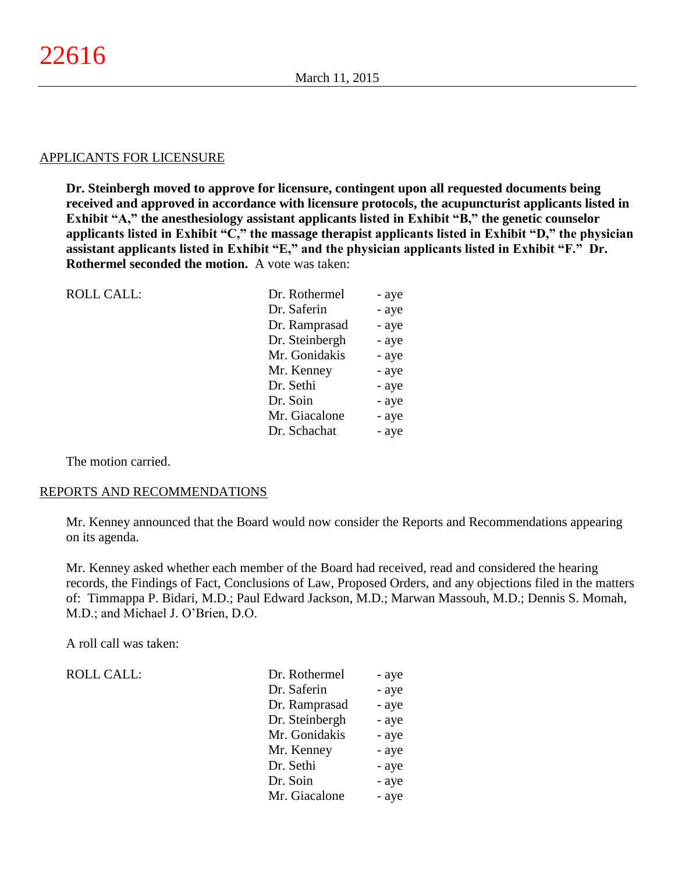#### APPLICANTS FOR LICENSURE

**Dr. Steinbergh moved to approve for licensure, contingent upon all requested documents being received and approved in accordance with licensure protocols, the acupuncturist applicants listed in Exhibit "A," the anesthesiology assistant applicants listed in Exhibit "B," the genetic counselor applicants listed in Exhibit "C," the massage therapist applicants listed in Exhibit "D," the physician assistant applicants listed in Exhibit "E," and the physician applicants listed in Exhibit "F." Dr. Rothermel seconded the motion.** A vote was taken:

| <b>ROLL CALL:</b> | Dr. Rothermel  | - aye |
|-------------------|----------------|-------|
|                   | Dr. Saferin    | - aye |
|                   | Dr. Ramprasad  | - aye |
|                   | Dr. Steinbergh | - aye |
|                   | Mr. Gonidakis  | - aye |
|                   | Mr. Kenney     | - aye |
|                   | Dr. Sethi      | - aye |
|                   | Dr. Soin       | - aye |
|                   | Mr. Giacalone  | - aye |
|                   | Dr. Schachat   | - aye |
|                   |                |       |

The motion carried.

#### REPORTS AND RECOMMENDATIONS

Mr. Kenney announced that the Board would now consider the Reports and Recommendations appearing on its agenda.

Mr. Kenney asked whether each member of the Board had received, read and considered the hearing records, the Findings of Fact, Conclusions of Law, Proposed Orders, and any objections filed in the matters of: Timmappa P. Bidari, M.D.; Paul Edward Jackson, M.D.; Marwan Massouh, M.D.; Dennis S. Momah, M.D.; and Michael J. O'Brien, D.O.

A roll call was taken:

ROLL CALL:

| Dr. Rothermel  | - aye |
|----------------|-------|
| Dr. Saferin    | - aye |
| Dr. Ramprasad  | - aye |
| Dr. Steinbergh | - aye |
| Mr. Gonidakis  | - aye |
| Mr. Kenney     | - aye |
| Dr. Sethi      | - aye |
| Dr. Soin       | - aye |
| Mr. Giacalone  | - aye |
|                |       |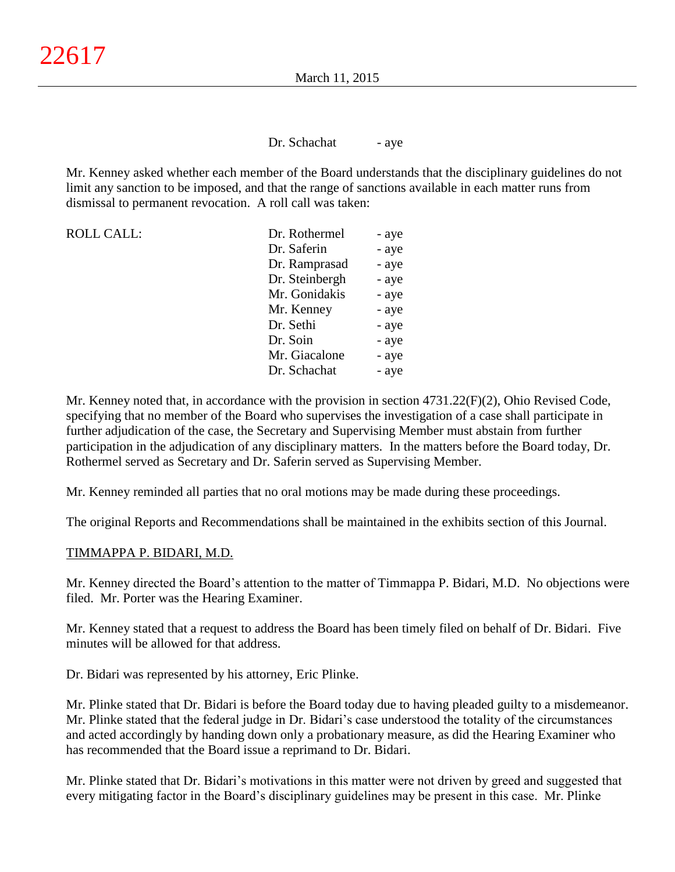Dr. Schachat - aye

Mr. Kenney asked whether each member of the Board understands that the disciplinary guidelines do not limit any sanction to be imposed, and that the range of sanctions available in each matter runs from dismissal to permanent revocation. A roll call was taken:

| <b>ROLL CALL:</b> | Dr. Rothermel  | - aye |
|-------------------|----------------|-------|
|                   | Dr. Saferin    | - aye |
|                   | Dr. Ramprasad  | - aye |
|                   | Dr. Steinbergh | - aye |
|                   | Mr. Gonidakis  | - aye |
|                   | Mr. Kenney     | - aye |
|                   | Dr. Sethi      | - aye |
|                   | Dr. Soin       | - aye |
|                   | Mr. Giacalone  | - aye |
|                   | Dr. Schachat   | - aye |

Mr. Kenney noted that, in accordance with the provision in section 4731.22(F)(2), Ohio Revised Code, specifying that no member of the Board who supervises the investigation of a case shall participate in further adjudication of the case, the Secretary and Supervising Member must abstain from further participation in the adjudication of any disciplinary matters. In the matters before the Board today, Dr. Rothermel served as Secretary and Dr. Saferin served as Supervising Member.

Mr. Kenney reminded all parties that no oral motions may be made during these proceedings.

The original Reports and Recommendations shall be maintained in the exhibits section of this Journal.

## TIMMAPPA P. BIDARI, M.D.

Mr. Kenney directed the Board's attention to the matter of Timmappa P. Bidari, M.D. No objections were filed. Mr. Porter was the Hearing Examiner.

Mr. Kenney stated that a request to address the Board has been timely filed on behalf of Dr. Bidari. Five minutes will be allowed for that address.

Dr. Bidari was represented by his attorney, Eric Plinke.

Mr. Plinke stated that Dr. Bidari is before the Board today due to having pleaded guilty to a misdemeanor. Mr. Plinke stated that the federal judge in Dr. Bidari's case understood the totality of the circumstances and acted accordingly by handing down only a probationary measure, as did the Hearing Examiner who has recommended that the Board issue a reprimand to Dr. Bidari.

Mr. Plinke stated that Dr. Bidari's motivations in this matter were not driven by greed and suggested that every mitigating factor in the Board's disciplinary guidelines may be present in this case. Mr. Plinke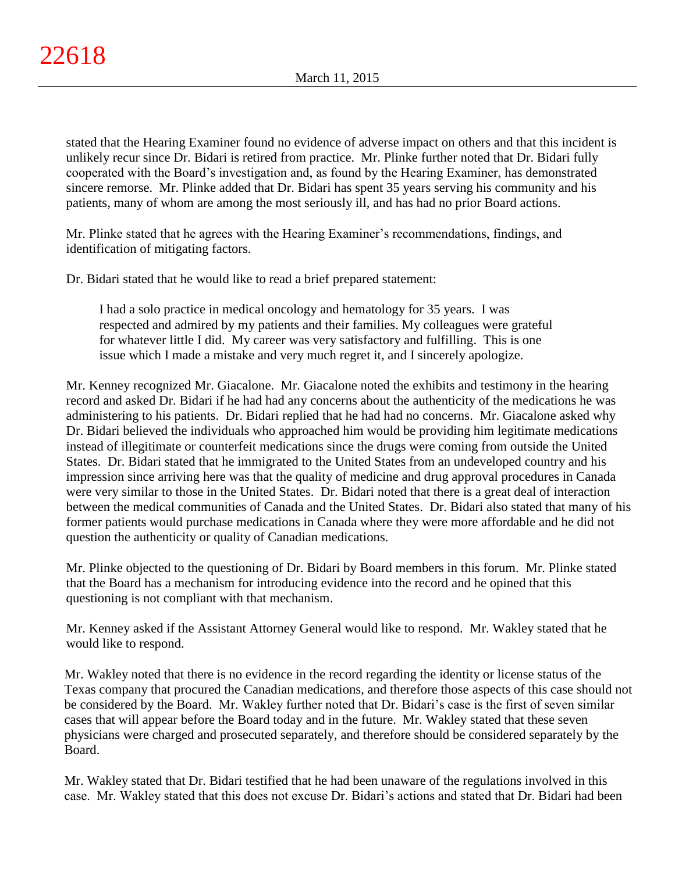stated that the Hearing Examiner found no evidence of adverse impact on others and that this incident is unlikely recur since Dr. Bidari is retired from practice. Mr. Plinke further noted that Dr. Bidari fully cooperated with the Board's investigation and, as found by the Hearing Examiner, has demonstrated sincere remorse. Mr. Plinke added that Dr. Bidari has spent 35 years serving his community and his patients, many of whom are among the most seriously ill, and has had no prior Board actions.

Mr. Plinke stated that he agrees with the Hearing Examiner's recommendations, findings, and identification of mitigating factors.

Dr. Bidari stated that he would like to read a brief prepared statement:

I had a solo practice in medical oncology and hematology for 35 years. I was respected and admired by my patients and their families. My colleagues were grateful for whatever little I did. My career was very satisfactory and fulfilling. This is one issue which I made a mistake and very much regret it, and I sincerely apologize.

Mr. Kenney recognized Mr. Giacalone. Mr. Giacalone noted the exhibits and testimony in the hearing record and asked Dr. Bidari if he had had any concerns about the authenticity of the medications he was administering to his patients. Dr. Bidari replied that he had had no concerns. Mr. Giacalone asked why Dr. Bidari believed the individuals who approached him would be providing him legitimate medications instead of illegitimate or counterfeit medications since the drugs were coming from outside the United States. Dr. Bidari stated that he immigrated to the United States from an undeveloped country and his impression since arriving here was that the quality of medicine and drug approval procedures in Canada were very similar to those in the United States. Dr. Bidari noted that there is a great deal of interaction between the medical communities of Canada and the United States. Dr. Bidari also stated that many of his former patients would purchase medications in Canada where they were more affordable and he did not question the authenticity or quality of Canadian medications.

Mr. Plinke objected to the questioning of Dr. Bidari by Board members in this forum. Mr. Plinke stated that the Board has a mechanism for introducing evidence into the record and he opined that this questioning is not compliant with that mechanism.

Mr. Kenney asked if the Assistant Attorney General would like to respond. Mr. Wakley stated that he would like to respond.

Mr. Wakley noted that there is no evidence in the record regarding the identity or license status of the Texas company that procured the Canadian medications, and therefore those aspects of this case should not be considered by the Board. Mr. Wakley further noted that Dr. Bidari's case is the first of seven similar cases that will appear before the Board today and in the future. Mr. Wakley stated that these seven physicians were charged and prosecuted separately, and therefore should be considered separately by the Board.

Mr. Wakley stated that Dr. Bidari testified that he had been unaware of the regulations involved in this case. Mr. Wakley stated that this does not excuse Dr. Bidari's actions and stated that Dr. Bidari had been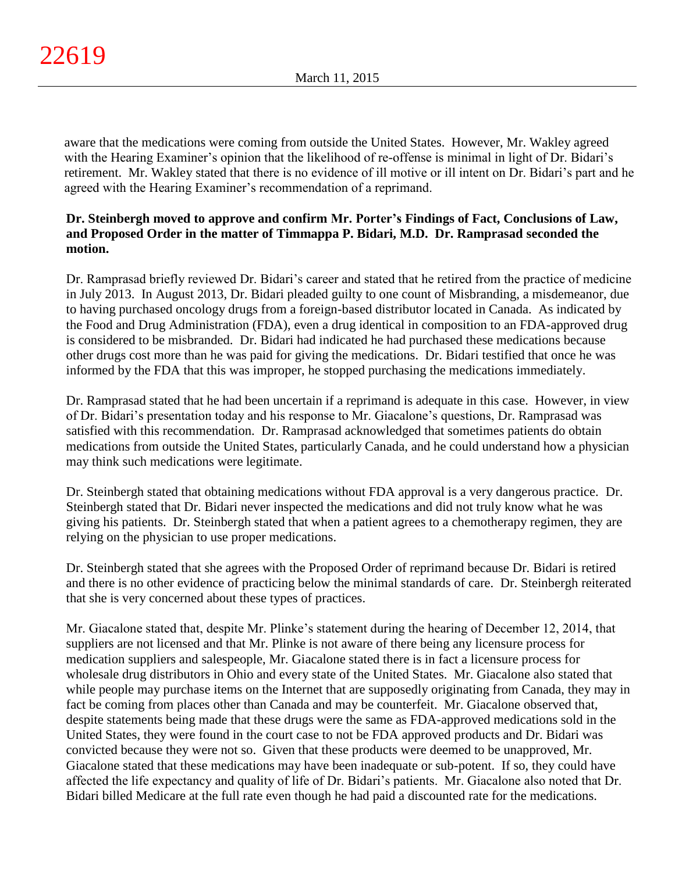aware that the medications were coming from outside the United States. However, Mr. Wakley agreed with the Hearing Examiner's opinion that the likelihood of re-offense is minimal in light of Dr. Bidari's retirement. Mr. Wakley stated that there is no evidence of ill motive or ill intent on Dr. Bidari's part and he agreed with the Hearing Examiner's recommendation of a reprimand.

# **Dr. Steinbergh moved to approve and confirm Mr. Porter's Findings of Fact, Conclusions of Law, and Proposed Order in the matter of Timmappa P. Bidari, M.D. Dr. Ramprasad seconded the motion.**

Dr. Ramprasad briefly reviewed Dr. Bidari's career and stated that he retired from the practice of medicine in July 2013. In August 2013, Dr. Bidari pleaded guilty to one count of Misbranding, a misdemeanor, due to having purchased oncology drugs from a foreign-based distributor located in Canada. As indicated by the Food and Drug Administration (FDA), even a drug identical in composition to an FDA-approved drug is considered to be misbranded. Dr. Bidari had indicated he had purchased these medications because other drugs cost more than he was paid for giving the medications. Dr. Bidari testified that once he was informed by the FDA that this was improper, he stopped purchasing the medications immediately.

Dr. Ramprasad stated that he had been uncertain if a reprimand is adequate in this case. However, in view of Dr. Bidari's presentation today and his response to Mr. Giacalone's questions, Dr. Ramprasad was satisfied with this recommendation. Dr. Ramprasad acknowledged that sometimes patients do obtain medications from outside the United States, particularly Canada, and he could understand how a physician may think such medications were legitimate.

Dr. Steinbergh stated that obtaining medications without FDA approval is a very dangerous practice. Dr. Steinbergh stated that Dr. Bidari never inspected the medications and did not truly know what he was giving his patients. Dr. Steinbergh stated that when a patient agrees to a chemotherapy regimen, they are relying on the physician to use proper medications.

Dr. Steinbergh stated that she agrees with the Proposed Order of reprimand because Dr. Bidari is retired and there is no other evidence of practicing below the minimal standards of care. Dr. Steinbergh reiterated that she is very concerned about these types of practices.

Mr. Giacalone stated that, despite Mr. Plinke's statement during the hearing of December 12, 2014, that suppliers are not licensed and that Mr. Plinke is not aware of there being any licensure process for medication suppliers and salespeople, Mr. Giacalone stated there is in fact a licensure process for wholesale drug distributors in Ohio and every state of the United States. Mr. Giacalone also stated that while people may purchase items on the Internet that are supposedly originating from Canada, they may in fact be coming from places other than Canada and may be counterfeit. Mr. Giacalone observed that, despite statements being made that these drugs were the same as FDA-approved medications sold in the United States, they were found in the court case to not be FDA approved products and Dr. Bidari was convicted because they were not so. Given that these products were deemed to be unapproved, Mr. Giacalone stated that these medications may have been inadequate or sub-potent. If so, they could have affected the life expectancy and quality of life of Dr. Bidari's patients. Mr. Giacalone also noted that Dr. Bidari billed Medicare at the full rate even though he had paid a discounted rate for the medications.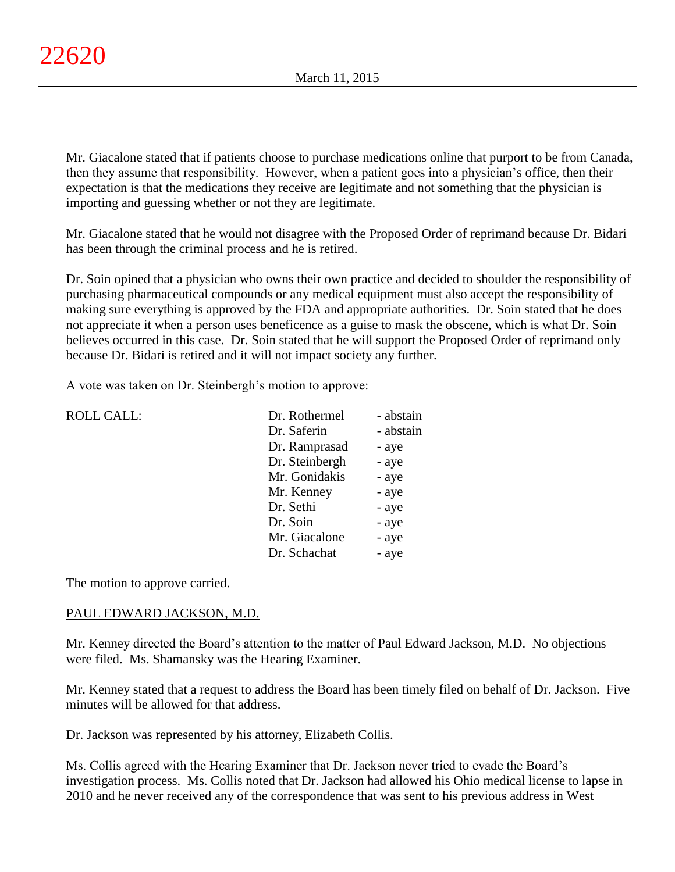Mr. Giacalone stated that if patients choose to purchase medications online that purport to be from Canada, then they assume that responsibility. However, when a patient goes into a physician's office, then their expectation is that the medications they receive are legitimate and not something that the physician is importing and guessing whether or not they are legitimate.

Mr. Giacalone stated that he would not disagree with the Proposed Order of reprimand because Dr. Bidari has been through the criminal process and he is retired.

Dr. Soin opined that a physician who owns their own practice and decided to shoulder the responsibility of purchasing pharmaceutical compounds or any medical equipment must also accept the responsibility of making sure everything is approved by the FDA and appropriate authorities. Dr. Soin stated that he does not appreciate it when a person uses beneficence as a guise to mask the obscene, which is what Dr. Soin believes occurred in this case. Dr. Soin stated that he will support the Proposed Order of reprimand only because Dr. Bidari is retired and it will not impact society any further.

A vote was taken on Dr. Steinbergh's motion to approve:

| <b>ROLL CALL:</b> | Dr. Rothermel  | - abstain |
|-------------------|----------------|-----------|
|                   | Dr. Saferin    | - abstain |
|                   | Dr. Ramprasad  | - aye     |
|                   | Dr. Steinbergh | - aye     |
|                   | Mr. Gonidakis  | - aye     |
|                   | Mr. Kenney     | - aye     |
|                   | Dr. Sethi      | - aye     |
|                   | Dr. Soin       | - aye     |
|                   | Mr. Giacalone  | - aye     |
|                   | Dr. Schachat   | - aye     |
|                   |                |           |

The motion to approve carried.

## PAUL EDWARD JACKSON, M.D.

Mr. Kenney directed the Board's attention to the matter of Paul Edward Jackson, M.D. No objections were filed. Ms. Shamansky was the Hearing Examiner.

Mr. Kenney stated that a request to address the Board has been timely filed on behalf of Dr. Jackson. Five minutes will be allowed for that address.

Dr. Jackson was represented by his attorney, Elizabeth Collis.

Ms. Collis agreed with the Hearing Examiner that Dr. Jackson never tried to evade the Board's investigation process. Ms. Collis noted that Dr. Jackson had allowed his Ohio medical license to lapse in 2010 and he never received any of the correspondence that was sent to his previous address in West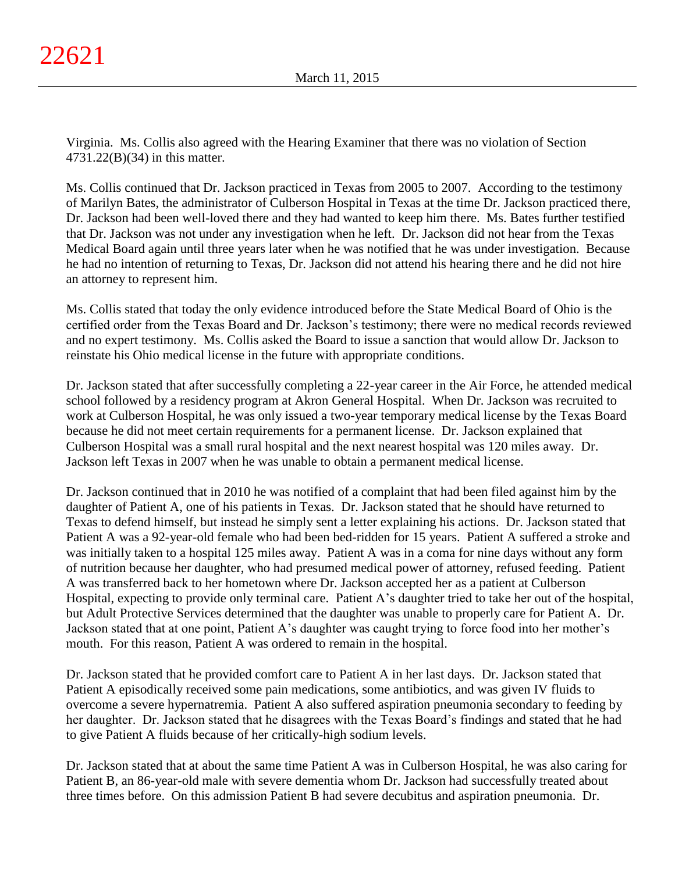Virginia. Ms. Collis also agreed with the Hearing Examiner that there was no violation of Section 4731.22(B)(34) in this matter.

Ms. Collis continued that Dr. Jackson practiced in Texas from 2005 to 2007. According to the testimony of Marilyn Bates, the administrator of Culberson Hospital in Texas at the time Dr. Jackson practiced there, Dr. Jackson had been well-loved there and they had wanted to keep him there. Ms. Bates further testified that Dr. Jackson was not under any investigation when he left. Dr. Jackson did not hear from the Texas Medical Board again until three years later when he was notified that he was under investigation. Because he had no intention of returning to Texas, Dr. Jackson did not attend his hearing there and he did not hire an attorney to represent him.

Ms. Collis stated that today the only evidence introduced before the State Medical Board of Ohio is the certified order from the Texas Board and Dr. Jackson's testimony; there were no medical records reviewed and no expert testimony. Ms. Collis asked the Board to issue a sanction that would allow Dr. Jackson to reinstate his Ohio medical license in the future with appropriate conditions.

Dr. Jackson stated that after successfully completing a 22-year career in the Air Force, he attended medical school followed by a residency program at Akron General Hospital. When Dr. Jackson was recruited to work at Culberson Hospital, he was only issued a two-year temporary medical license by the Texas Board because he did not meet certain requirements for a permanent license. Dr. Jackson explained that Culberson Hospital was a small rural hospital and the next nearest hospital was 120 miles away. Dr. Jackson left Texas in 2007 when he was unable to obtain a permanent medical license.

Dr. Jackson continued that in 2010 he was notified of a complaint that had been filed against him by the daughter of Patient A, one of his patients in Texas. Dr. Jackson stated that he should have returned to Texas to defend himself, but instead he simply sent a letter explaining his actions. Dr. Jackson stated that Patient A was a 92-year-old female who had been bed-ridden for 15 years. Patient A suffered a stroke and was initially taken to a hospital 125 miles away. Patient A was in a coma for nine days without any form of nutrition because her daughter, who had presumed medical power of attorney, refused feeding. Patient A was transferred back to her hometown where Dr. Jackson accepted her as a patient at Culberson Hospital, expecting to provide only terminal care. Patient A's daughter tried to take her out of the hospital, but Adult Protective Services determined that the daughter was unable to properly care for Patient A. Dr. Jackson stated that at one point, Patient A's daughter was caught trying to force food into her mother's mouth. For this reason, Patient A was ordered to remain in the hospital.

Dr. Jackson stated that he provided comfort care to Patient A in her last days. Dr. Jackson stated that Patient A episodically received some pain medications, some antibiotics, and was given IV fluids to overcome a severe hypernatremia. Patient A also suffered aspiration pneumonia secondary to feeding by her daughter. Dr. Jackson stated that he disagrees with the Texas Board's findings and stated that he had to give Patient A fluids because of her critically-high sodium levels.

Dr. Jackson stated that at about the same time Patient A was in Culberson Hospital, he was also caring for Patient B, an 86-year-old male with severe dementia whom Dr. Jackson had successfully treated about three times before. On this admission Patient B had severe decubitus and aspiration pneumonia. Dr.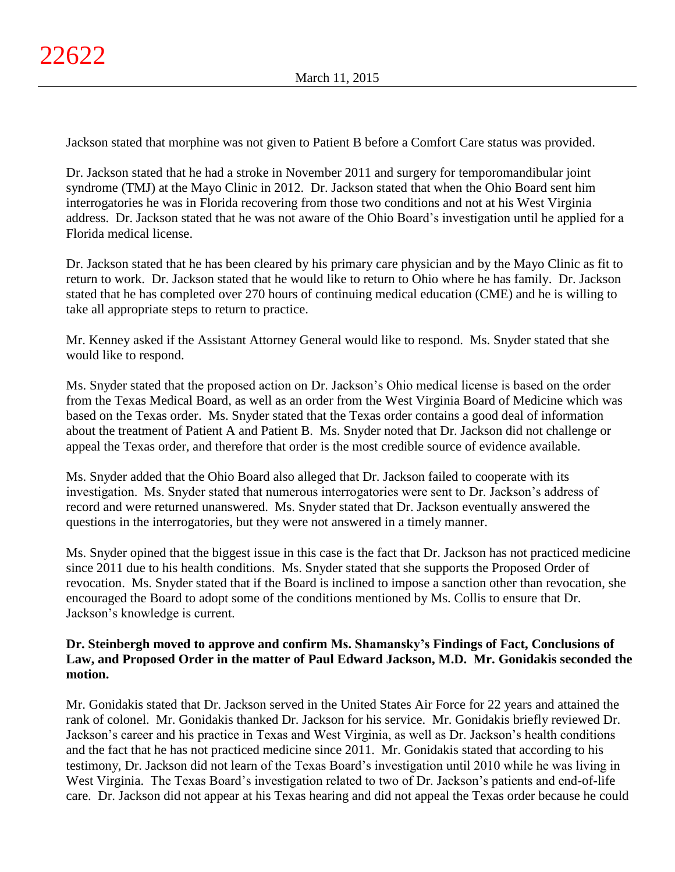Jackson stated that morphine was not given to Patient B before a Comfort Care status was provided.

Dr. Jackson stated that he had a stroke in November 2011 and surgery for temporomandibular joint syndrome (TMJ) at the Mayo Clinic in 2012. Dr. Jackson stated that when the Ohio Board sent him interrogatories he was in Florida recovering from those two conditions and not at his West Virginia address. Dr. Jackson stated that he was not aware of the Ohio Board's investigation until he applied for a Florida medical license.

Dr. Jackson stated that he has been cleared by his primary care physician and by the Mayo Clinic as fit to return to work. Dr. Jackson stated that he would like to return to Ohio where he has family. Dr. Jackson stated that he has completed over 270 hours of continuing medical education (CME) and he is willing to take all appropriate steps to return to practice.

Mr. Kenney asked if the Assistant Attorney General would like to respond. Ms. Snyder stated that she would like to respond.

Ms. Snyder stated that the proposed action on Dr. Jackson's Ohio medical license is based on the order from the Texas Medical Board, as well as an order from the West Virginia Board of Medicine which was based on the Texas order. Ms. Snyder stated that the Texas order contains a good deal of information about the treatment of Patient A and Patient B. Ms. Snyder noted that Dr. Jackson did not challenge or appeal the Texas order, and therefore that order is the most credible source of evidence available.

Ms. Snyder added that the Ohio Board also alleged that Dr. Jackson failed to cooperate with its investigation. Ms. Snyder stated that numerous interrogatories were sent to Dr. Jackson's address of record and were returned unanswered. Ms. Snyder stated that Dr. Jackson eventually answered the questions in the interrogatories, but they were not answered in a timely manner.

Ms. Snyder opined that the biggest issue in this case is the fact that Dr. Jackson has not practiced medicine since 2011 due to his health conditions. Ms. Snyder stated that she supports the Proposed Order of revocation. Ms. Snyder stated that if the Board is inclined to impose a sanction other than revocation, she encouraged the Board to adopt some of the conditions mentioned by Ms. Collis to ensure that Dr. Jackson's knowledge is current.

# **Dr. Steinbergh moved to approve and confirm Ms. Shamansky's Findings of Fact, Conclusions of Law, and Proposed Order in the matter of Paul Edward Jackson, M.D. Mr. Gonidakis seconded the motion.**

Mr. Gonidakis stated that Dr. Jackson served in the United States Air Force for 22 years and attained the rank of colonel. Mr. Gonidakis thanked Dr. Jackson for his service. Mr. Gonidakis briefly reviewed Dr. Jackson's career and his practice in Texas and West Virginia, as well as Dr. Jackson's health conditions and the fact that he has not practiced medicine since 2011. Mr. Gonidakis stated that according to his testimony, Dr. Jackson did not learn of the Texas Board's investigation until 2010 while he was living in West Virginia. The Texas Board's investigation related to two of Dr. Jackson's patients and end-of-life care. Dr. Jackson did not appear at his Texas hearing and did not appeal the Texas order because he could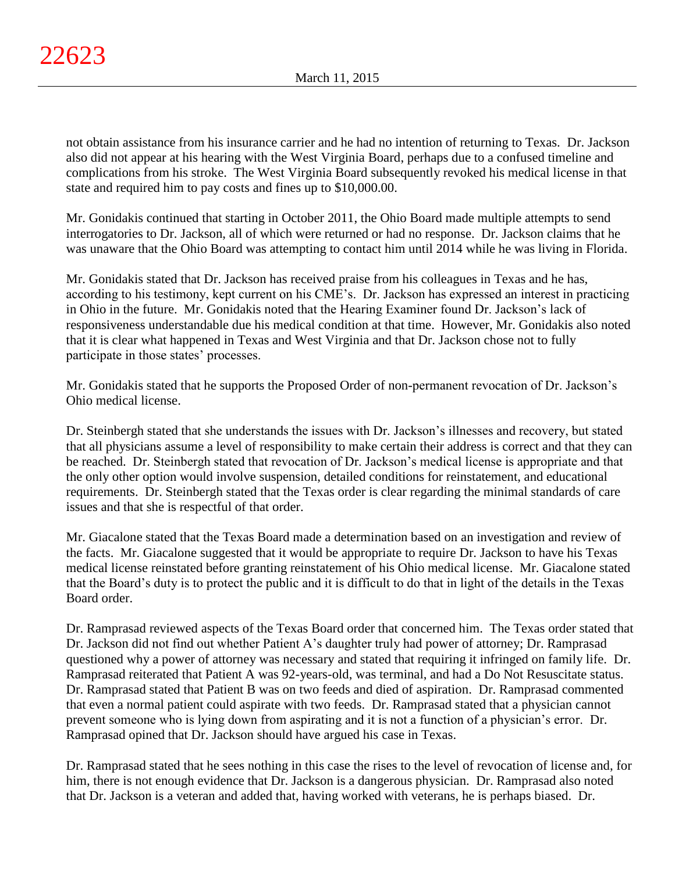not obtain assistance from his insurance carrier and he had no intention of returning to Texas. Dr. Jackson also did not appear at his hearing with the West Virginia Board, perhaps due to a confused timeline and complications from his stroke. The West Virginia Board subsequently revoked his medical license in that state and required him to pay costs and fines up to \$10,000.00.

Mr. Gonidakis continued that starting in October 2011, the Ohio Board made multiple attempts to send interrogatories to Dr. Jackson, all of which were returned or had no response. Dr. Jackson claims that he was unaware that the Ohio Board was attempting to contact him until 2014 while he was living in Florida.

Mr. Gonidakis stated that Dr. Jackson has received praise from his colleagues in Texas and he has, according to his testimony, kept current on his CME's. Dr. Jackson has expressed an interest in practicing in Ohio in the future. Mr. Gonidakis noted that the Hearing Examiner found Dr. Jackson's lack of responsiveness understandable due his medical condition at that time. However, Mr. Gonidakis also noted that it is clear what happened in Texas and West Virginia and that Dr. Jackson chose not to fully participate in those states' processes.

Mr. Gonidakis stated that he supports the Proposed Order of non-permanent revocation of Dr. Jackson's Ohio medical license.

Dr. Steinbergh stated that she understands the issues with Dr. Jackson's illnesses and recovery, but stated that all physicians assume a level of responsibility to make certain their address is correct and that they can be reached. Dr. Steinbergh stated that revocation of Dr. Jackson's medical license is appropriate and that the only other option would involve suspension, detailed conditions for reinstatement, and educational requirements. Dr. Steinbergh stated that the Texas order is clear regarding the minimal standards of care issues and that she is respectful of that order.

Mr. Giacalone stated that the Texas Board made a determination based on an investigation and review of the facts. Mr. Giacalone suggested that it would be appropriate to require Dr. Jackson to have his Texas medical license reinstated before granting reinstatement of his Ohio medical license. Mr. Giacalone stated that the Board's duty is to protect the public and it is difficult to do that in light of the details in the Texas Board order.

Dr. Ramprasad reviewed aspects of the Texas Board order that concerned him. The Texas order stated that Dr. Jackson did not find out whether Patient A's daughter truly had power of attorney; Dr. Ramprasad questioned why a power of attorney was necessary and stated that requiring it infringed on family life. Dr. Ramprasad reiterated that Patient A was 92-years-old, was terminal, and had a Do Not Resuscitate status. Dr. Ramprasad stated that Patient B was on two feeds and died of aspiration. Dr. Ramprasad commented that even a normal patient could aspirate with two feeds. Dr. Ramprasad stated that a physician cannot prevent someone who is lying down from aspirating and it is not a function of a physician's error. Dr. Ramprasad opined that Dr. Jackson should have argued his case in Texas.

Dr. Ramprasad stated that he sees nothing in this case the rises to the level of revocation of license and, for him, there is not enough evidence that Dr. Jackson is a dangerous physician. Dr. Ramprasad also noted that Dr. Jackson is a veteran and added that, having worked with veterans, he is perhaps biased. Dr.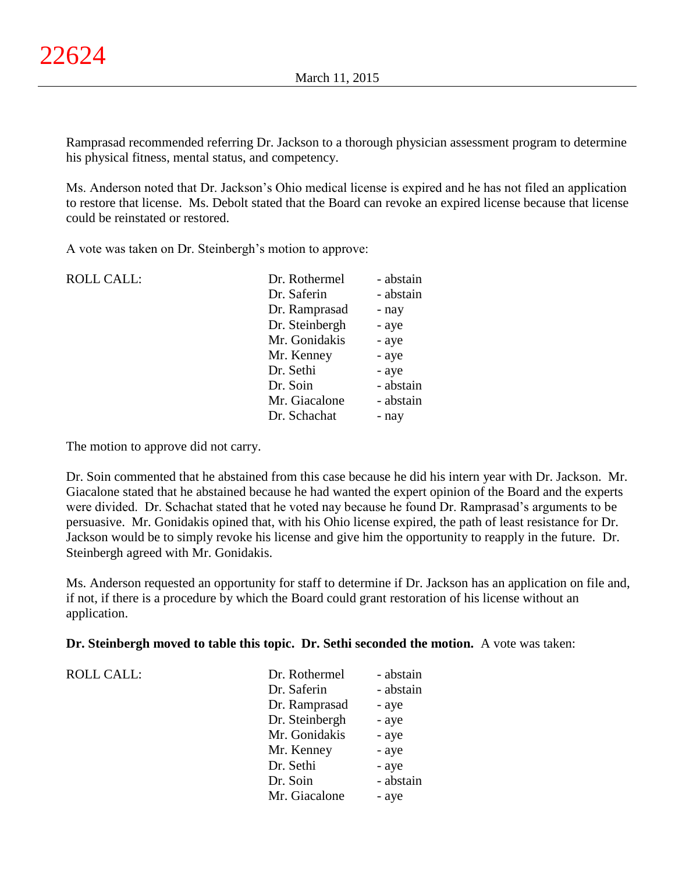Ramprasad recommended referring Dr. Jackson to a thorough physician assessment program to determine his physical fitness, mental status, and competency.

Ms. Anderson noted that Dr. Jackson's Ohio medical license is expired and he has not filed an application to restore that license. Ms. Debolt stated that the Board can revoke an expired license because that license could be reinstated or restored.

A vote was taken on Dr. Steinbergh's motion to approve:

| <b>ROLL CALL:</b> | Dr. Rothermel  | - abstain |
|-------------------|----------------|-----------|
|                   | Dr. Saferin    | - abstain |
|                   | Dr. Ramprasad  | - nay     |
|                   | Dr. Steinbergh | - aye     |
|                   | Mr. Gonidakis  | - aye     |
|                   | Mr. Kenney     | - aye     |
|                   | Dr. Sethi      | - aye     |
|                   | Dr. Soin       | - abstain |
|                   | Mr. Giacalone  | - abstain |
|                   | Dr. Schachat   | - nay     |
|                   |                |           |

The motion to approve did not carry.

Dr. Soin commented that he abstained from this case because he did his intern year with Dr. Jackson. Mr. Giacalone stated that he abstained because he had wanted the expert opinion of the Board and the experts were divided. Dr. Schachat stated that he voted nay because he found Dr. Ramprasad's arguments to be persuasive. Mr. Gonidakis opined that, with his Ohio license expired, the path of least resistance for Dr. Jackson would be to simply revoke his license and give him the opportunity to reapply in the future. Dr. Steinbergh agreed with Mr. Gonidakis.

Ms. Anderson requested an opportunity for staff to determine if Dr. Jackson has an application on file and, if not, if there is a procedure by which the Board could grant restoration of his license without an application.

## **Dr. Steinbergh moved to table this topic. Dr. Sethi seconded the motion.** A vote was taken:

ROLL CALL:

| Dr. Rothermel  | - abstain |
|----------------|-----------|
| Dr. Saferin    | - abstain |
| Dr. Ramprasad  | - aye     |
| Dr. Steinbergh | - aye     |
| Mr. Gonidakis  | - aye     |
| Mr. Kenney     | - aye     |
| Dr. Sethi      | - aye     |
| Dr. Soin       | - abstain |
| Mr. Giacalone  | - aye     |
|                |           |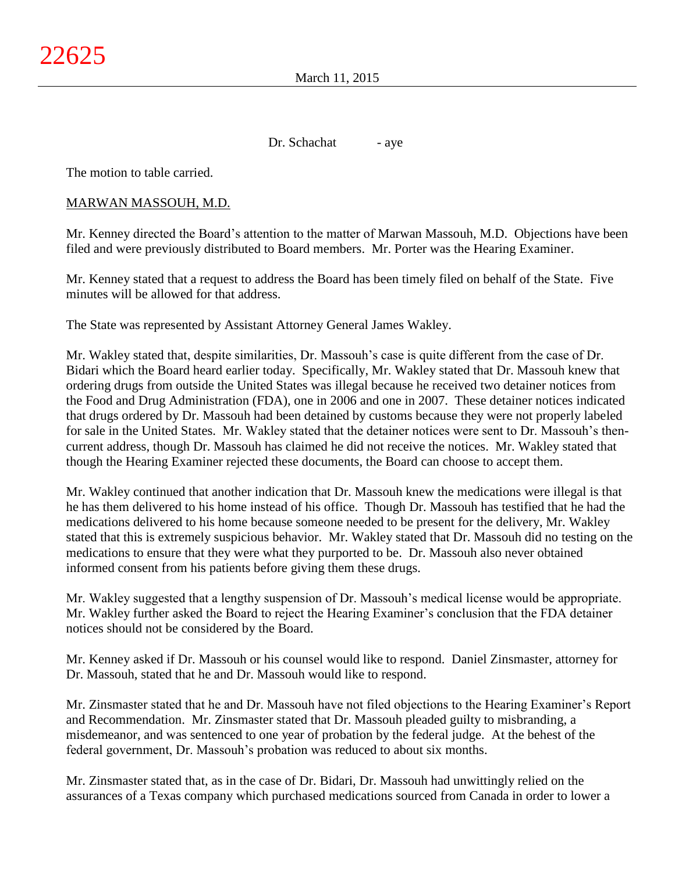Dr. Schachat - aye

The motion to table carried.

# MARWAN MASSOUH, M.D.

Mr. Kenney directed the Board's attention to the matter of Marwan Massouh, M.D. Objections have been filed and were previously distributed to Board members. Mr. Porter was the Hearing Examiner.

Mr. Kenney stated that a request to address the Board has been timely filed on behalf of the State. Five minutes will be allowed for that address.

The State was represented by Assistant Attorney General James Wakley.

Mr. Wakley stated that, despite similarities, Dr. Massouh's case is quite different from the case of Dr. Bidari which the Board heard earlier today. Specifically, Mr. Wakley stated that Dr. Massouh knew that ordering drugs from outside the United States was illegal because he received two detainer notices from the Food and Drug Administration (FDA), one in 2006 and one in 2007. These detainer notices indicated that drugs ordered by Dr. Massouh had been detained by customs because they were not properly labeled for sale in the United States. Mr. Wakley stated that the detainer notices were sent to Dr. Massouh's thencurrent address, though Dr. Massouh has claimed he did not receive the notices. Mr. Wakley stated that though the Hearing Examiner rejected these documents, the Board can choose to accept them.

Mr. Wakley continued that another indication that Dr. Massouh knew the medications were illegal is that he has them delivered to his home instead of his office. Though Dr. Massouh has testified that he had the medications delivered to his home because someone needed to be present for the delivery, Mr. Wakley stated that this is extremely suspicious behavior. Mr. Wakley stated that Dr. Massouh did no testing on the medications to ensure that they were what they purported to be. Dr. Massouh also never obtained informed consent from his patients before giving them these drugs.

Mr. Wakley suggested that a lengthy suspension of Dr. Massouh's medical license would be appropriate. Mr. Wakley further asked the Board to reject the Hearing Examiner's conclusion that the FDA detainer notices should not be considered by the Board.

Mr. Kenney asked if Dr. Massouh or his counsel would like to respond. Daniel Zinsmaster, attorney for Dr. Massouh, stated that he and Dr. Massouh would like to respond.

Mr. Zinsmaster stated that he and Dr. Massouh have not filed objections to the Hearing Examiner's Report and Recommendation. Mr. Zinsmaster stated that Dr. Massouh pleaded guilty to misbranding, a misdemeanor, and was sentenced to one year of probation by the federal judge. At the behest of the federal government, Dr. Massouh's probation was reduced to about six months.

Mr. Zinsmaster stated that, as in the case of Dr. Bidari, Dr. Massouh had unwittingly relied on the assurances of a Texas company which purchased medications sourced from Canada in order to lower a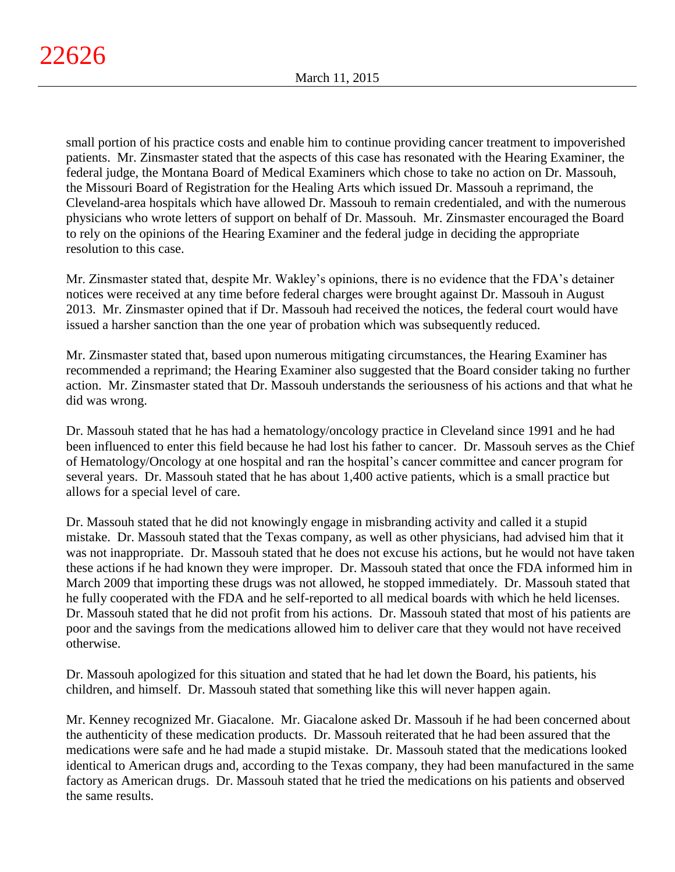small portion of his practice costs and enable him to continue providing cancer treatment to impoverished patients. Mr. Zinsmaster stated that the aspects of this case has resonated with the Hearing Examiner, the federal judge, the Montana Board of Medical Examiners which chose to take no action on Dr. Massouh, the Missouri Board of Registration for the Healing Arts which issued Dr. Massouh a reprimand, the Cleveland-area hospitals which have allowed Dr. Massouh to remain credentialed, and with the numerous physicians who wrote letters of support on behalf of Dr. Massouh. Mr. Zinsmaster encouraged the Board to rely on the opinions of the Hearing Examiner and the federal judge in deciding the appropriate resolution to this case.

Mr. Zinsmaster stated that, despite Mr. Wakley's opinions, there is no evidence that the FDA's detainer notices were received at any time before federal charges were brought against Dr. Massouh in August 2013. Mr. Zinsmaster opined that if Dr. Massouh had received the notices, the federal court would have issued a harsher sanction than the one year of probation which was subsequently reduced.

Mr. Zinsmaster stated that, based upon numerous mitigating circumstances, the Hearing Examiner has recommended a reprimand; the Hearing Examiner also suggested that the Board consider taking no further action. Mr. Zinsmaster stated that Dr. Massouh understands the seriousness of his actions and that what he did was wrong.

Dr. Massouh stated that he has had a hematology/oncology practice in Cleveland since 1991 and he had been influenced to enter this field because he had lost his father to cancer. Dr. Massouh serves as the Chief of Hematology/Oncology at one hospital and ran the hospital's cancer committee and cancer program for several years. Dr. Massouh stated that he has about 1,400 active patients, which is a small practice but allows for a special level of care.

Dr. Massouh stated that he did not knowingly engage in misbranding activity and called it a stupid mistake. Dr. Massouh stated that the Texas company, as well as other physicians, had advised him that it was not inappropriate. Dr. Massouh stated that he does not excuse his actions, but he would not have taken these actions if he had known they were improper. Dr. Massouh stated that once the FDA informed him in March 2009 that importing these drugs was not allowed, he stopped immediately. Dr. Massouh stated that he fully cooperated with the FDA and he self-reported to all medical boards with which he held licenses. Dr. Massouh stated that he did not profit from his actions. Dr. Massouh stated that most of his patients are poor and the savings from the medications allowed him to deliver care that they would not have received otherwise.

Dr. Massouh apologized for this situation and stated that he had let down the Board, his patients, his children, and himself. Dr. Massouh stated that something like this will never happen again.

Mr. Kenney recognized Mr. Giacalone. Mr. Giacalone asked Dr. Massouh if he had been concerned about the authenticity of these medication products. Dr. Massouh reiterated that he had been assured that the medications were safe and he had made a stupid mistake. Dr. Massouh stated that the medications looked identical to American drugs and, according to the Texas company, they had been manufactured in the same factory as American drugs. Dr. Massouh stated that he tried the medications on his patients and observed the same results.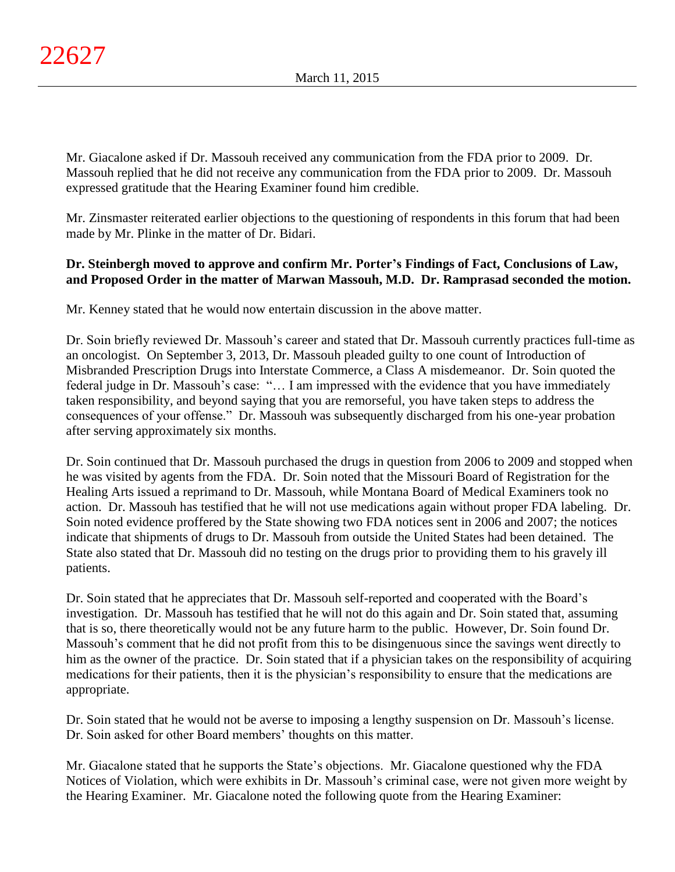Mr. Giacalone asked if Dr. Massouh received any communication from the FDA prior to 2009. Dr. Massouh replied that he did not receive any communication from the FDA prior to 2009. Dr. Massouh expressed gratitude that the Hearing Examiner found him credible.

Mr. Zinsmaster reiterated earlier objections to the questioning of respondents in this forum that had been made by Mr. Plinke in the matter of Dr. Bidari.

# **Dr. Steinbergh moved to approve and confirm Mr. Porter's Findings of Fact, Conclusions of Law, and Proposed Order in the matter of Marwan Massouh, M.D. Dr. Ramprasad seconded the motion.**

Mr. Kenney stated that he would now entertain discussion in the above matter.

Dr. Soin briefly reviewed Dr. Massouh's career and stated that Dr. Massouh currently practices full-time as an oncologist. On September 3, 2013, Dr. Massouh pleaded guilty to one count of Introduction of Misbranded Prescription Drugs into Interstate Commerce, a Class A misdemeanor. Dr. Soin quoted the federal judge in Dr. Massouh's case: "… I am impressed with the evidence that you have immediately taken responsibility, and beyond saying that you are remorseful, you have taken steps to address the consequences of your offense." Dr. Massouh was subsequently discharged from his one-year probation after serving approximately six months.

Dr. Soin continued that Dr. Massouh purchased the drugs in question from 2006 to 2009 and stopped when he was visited by agents from the FDA. Dr. Soin noted that the Missouri Board of Registration for the Healing Arts issued a reprimand to Dr. Massouh, while Montana Board of Medical Examiners took no action. Dr. Massouh has testified that he will not use medications again without proper FDA labeling. Dr. Soin noted evidence proffered by the State showing two FDA notices sent in 2006 and 2007; the notices indicate that shipments of drugs to Dr. Massouh from outside the United States had been detained. The State also stated that Dr. Massouh did no testing on the drugs prior to providing them to his gravely ill patients.

Dr. Soin stated that he appreciates that Dr. Massouh self-reported and cooperated with the Board's investigation. Dr. Massouh has testified that he will not do this again and Dr. Soin stated that, assuming that is so, there theoretically would not be any future harm to the public. However, Dr. Soin found Dr. Massouh's comment that he did not profit from this to be disingenuous since the savings went directly to him as the owner of the practice. Dr. Soin stated that if a physician takes on the responsibility of acquiring medications for their patients, then it is the physician's responsibility to ensure that the medications are appropriate.

Dr. Soin stated that he would not be averse to imposing a lengthy suspension on Dr. Massouh's license. Dr. Soin asked for other Board members' thoughts on this matter.

Mr. Giacalone stated that he supports the State's objections. Mr. Giacalone questioned why the FDA Notices of Violation, which were exhibits in Dr. Massouh's criminal case, were not given more weight by the Hearing Examiner. Mr. Giacalone noted the following quote from the Hearing Examiner: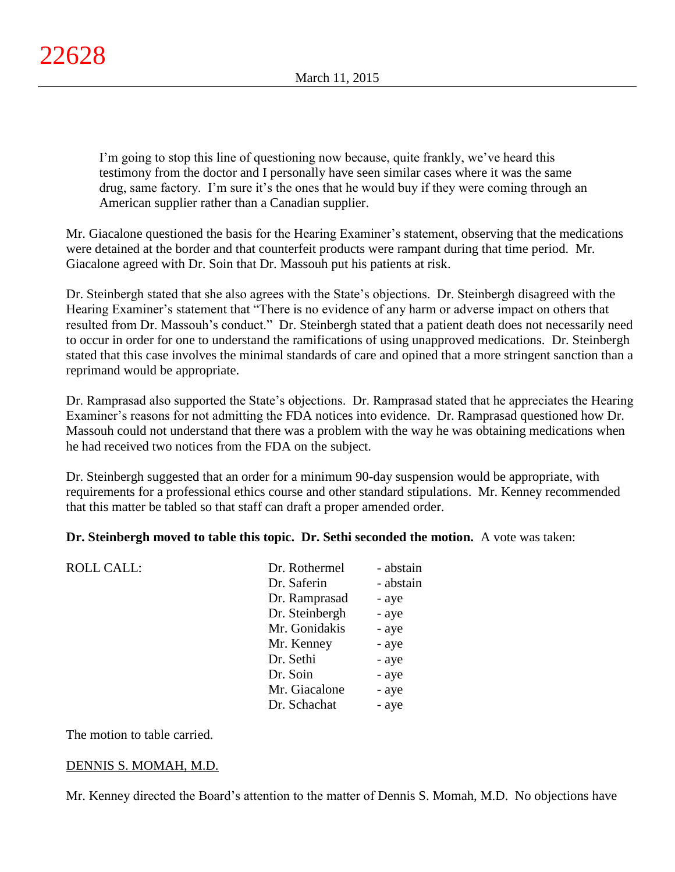I'm going to stop this line of questioning now because, quite frankly, we've heard this testimony from the doctor and I personally have seen similar cases where it was the same drug, same factory. I'm sure it's the ones that he would buy if they were coming through an American supplier rather than a Canadian supplier.

Mr. Giacalone questioned the basis for the Hearing Examiner's statement, observing that the medications were detained at the border and that counterfeit products were rampant during that time period. Mr. Giacalone agreed with Dr. Soin that Dr. Massouh put his patients at risk.

Dr. Steinbergh stated that she also agrees with the State's objections. Dr. Steinbergh disagreed with the Hearing Examiner's statement that "There is no evidence of any harm or adverse impact on others that resulted from Dr. Massouh's conduct." Dr. Steinbergh stated that a patient death does not necessarily need to occur in order for one to understand the ramifications of using unapproved medications. Dr. Steinbergh stated that this case involves the minimal standards of care and opined that a more stringent sanction than a reprimand would be appropriate.

Dr. Ramprasad also supported the State's objections. Dr. Ramprasad stated that he appreciates the Hearing Examiner's reasons for not admitting the FDA notices into evidence. Dr. Ramprasad questioned how Dr. Massouh could not understand that there was a problem with the way he was obtaining medications when he had received two notices from the FDA on the subject.

Dr. Steinbergh suggested that an order for a minimum 90-day suspension would be appropriate, with requirements for a professional ethics course and other standard stipulations. Mr. Kenney recommended that this matter be tabled so that staff can draft a proper amended order.

# **Dr. Steinbergh moved to table this topic. Dr. Sethi seconded the motion.** A vote was taken:

| <b>ROLL CALL:</b> | Dr. Rothermel  | - abstain |
|-------------------|----------------|-----------|
|                   | Dr. Saferin    | - abstain |
|                   | Dr. Ramprasad  | - aye     |
|                   | Dr. Steinbergh | - aye     |
|                   | Mr. Gonidakis  | - aye     |
|                   | Mr. Kenney     | - aye     |
|                   | Dr. Sethi      | - aye     |
|                   | Dr. Soin       | - aye     |
|                   | Mr. Giacalone  | - aye     |
|                   | Dr. Schachat   | - aye     |
|                   |                |           |

The motion to table carried.

# DENNIS S. MOMAH, M.D.

Mr. Kenney directed the Board's attention to the matter of Dennis S. Momah, M.D. No objections have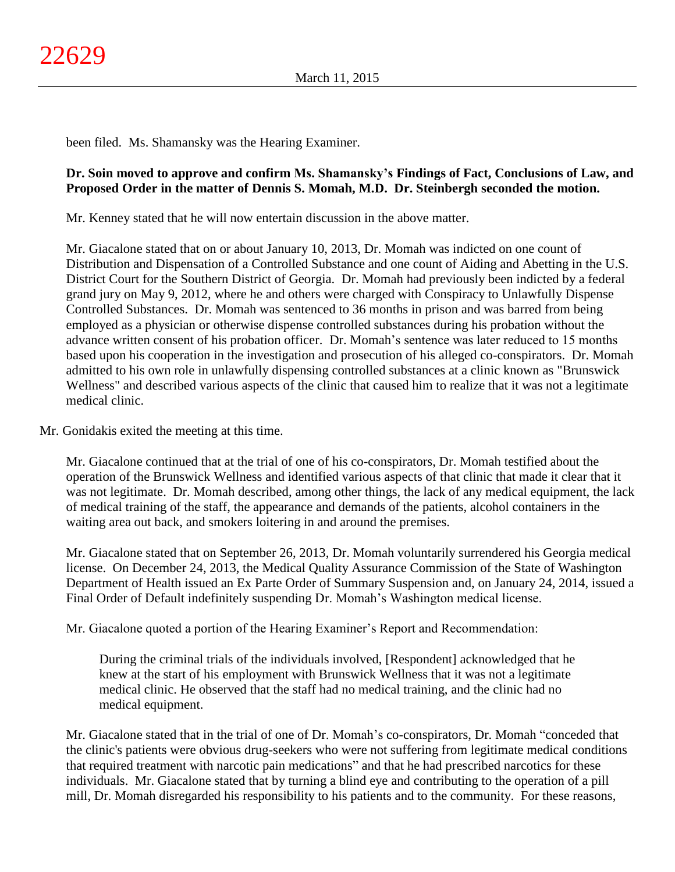been filed. Ms. Shamansky was the Hearing Examiner.

# **Dr. Soin moved to approve and confirm Ms. Shamansky's Findings of Fact, Conclusions of Law, and Proposed Order in the matter of Dennis S. Momah, M.D. Dr. Steinbergh seconded the motion.**

Mr. Kenney stated that he will now entertain discussion in the above matter.

Mr. Giacalone stated that on or about January 10, 2013, Dr. Momah was indicted on one count of Distribution and Dispensation of a Controlled Substance and one count of Aiding and Abetting in the U.S. District Court for the Southern District of Georgia. Dr. Momah had previously been indicted by a federal grand jury on May 9, 2012, where he and others were charged with Conspiracy to Unlawfully Dispense Controlled Substances. Dr. Momah was sentenced to 36 months in prison and was barred from being employed as a physician or otherwise dispense controlled substances during his probation without the advance written consent of his probation officer. Dr. Momah's sentence was later reduced to 15 months based upon his cooperation in the investigation and prosecution of his alleged co-conspirators. Dr. Momah admitted to his own role in unlawfully dispensing controlled substances at a clinic known as "Brunswick Wellness" and described various aspects of the clinic that caused him to realize that it was not a legitimate medical clinic.

Mr. Gonidakis exited the meeting at this time.

Mr. Giacalone continued that at the trial of one of his co-conspirators, Dr. Momah testified about the operation of the Brunswick Wellness and identified various aspects of that clinic that made it clear that it was not legitimate. Dr. Momah described, among other things, the lack of any medical equipment, the lack of medical training of the staff, the appearance and demands of the patients, alcohol containers in the waiting area out back, and smokers loitering in and around the premises.

Mr. Giacalone stated that on September 26, 2013, Dr. Momah voluntarily surrendered his Georgia medical license. On December 24, 2013, the Medical Quality Assurance Commission of the State of Washington Department of Health issued an Ex Parte Order of Summary Suspension and, on January 24, 2014, issued a Final Order of Default indefinitely suspending Dr. Momah's Washington medical license.

Mr. Giacalone quoted a portion of the Hearing Examiner's Report and Recommendation:

During the criminal trials of the individuals involved, [Respondent] acknowledged that he knew at the start of his employment with Brunswick Wellness that it was not a legitimate medical clinic. He observed that the staff had no medical training, and the clinic had no medical equipment.

Mr. Giacalone stated that in the trial of one of Dr. Momah's co-conspirators, Dr. Momah "conceded that the clinic's patients were obvious drug-seekers who were not suffering from legitimate medical conditions that required treatment with narcotic pain medications" and that he had prescribed narcotics for these individuals. Mr. Giacalone stated that by turning a blind eye and contributing to the operation of a pill mill, Dr. Momah disregarded his responsibility to his patients and to the community. For these reasons,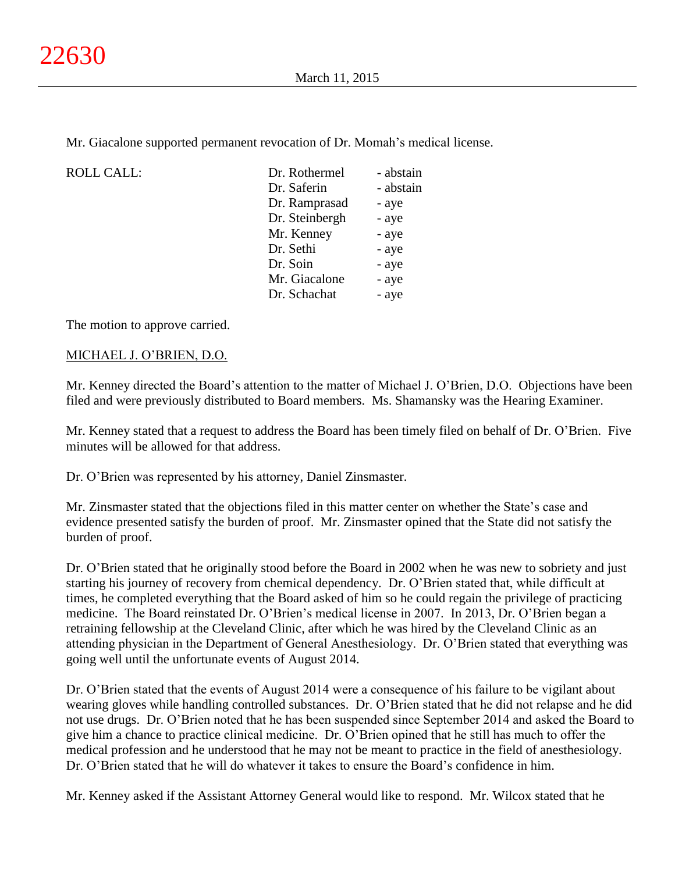Mr. Giacalone supported permanent revocation of Dr. Momah's medical license.

| <b>ROLL CALL:</b> | Dr. Rothermel  | - abstain |
|-------------------|----------------|-----------|
|                   | Dr. Saferin    | - abstain |
|                   | Dr. Ramprasad  | - aye     |
|                   | Dr. Steinbergh | - aye     |
|                   | Mr. Kenney     | - aye     |
|                   | Dr. Sethi      | - aye     |
|                   | Dr. Soin       | - aye     |
|                   | Mr. Giacalone  | - aye     |
|                   | Dr. Schachat   | - aye     |
|                   |                |           |

The motion to approve carried.

## MICHAEL J. O'BRIEN, D.O.

Mr. Kenney directed the Board's attention to the matter of Michael J. O'Brien, D.O. Objections have been filed and were previously distributed to Board members. Ms. Shamansky was the Hearing Examiner.

Mr. Kenney stated that a request to address the Board has been timely filed on behalf of Dr. O'Brien. Five minutes will be allowed for that address.

Dr. O'Brien was represented by his attorney, Daniel Zinsmaster.

Mr. Zinsmaster stated that the objections filed in this matter center on whether the State's case and evidence presented satisfy the burden of proof. Mr. Zinsmaster opined that the State did not satisfy the burden of proof.

Dr. O'Brien stated that he originally stood before the Board in 2002 when he was new to sobriety and just starting his journey of recovery from chemical dependency. Dr. O'Brien stated that, while difficult at times, he completed everything that the Board asked of him so he could regain the privilege of practicing medicine. The Board reinstated Dr. O'Brien's medical license in 2007. In 2013, Dr. O'Brien began a retraining fellowship at the Cleveland Clinic, after which he was hired by the Cleveland Clinic as an attending physician in the Department of General Anesthesiology. Dr. O'Brien stated that everything was going well until the unfortunate events of August 2014.

Dr. O'Brien stated that the events of August 2014 were a consequence of his failure to be vigilant about wearing gloves while handling controlled substances. Dr. O'Brien stated that he did not relapse and he did not use drugs. Dr. O'Brien noted that he has been suspended since September 2014 and asked the Board to give him a chance to practice clinical medicine. Dr. O'Brien opined that he still has much to offer the medical profession and he understood that he may not be meant to practice in the field of anesthesiology. Dr. O'Brien stated that he will do whatever it takes to ensure the Board's confidence in him.

Mr. Kenney asked if the Assistant Attorney General would like to respond. Mr. Wilcox stated that he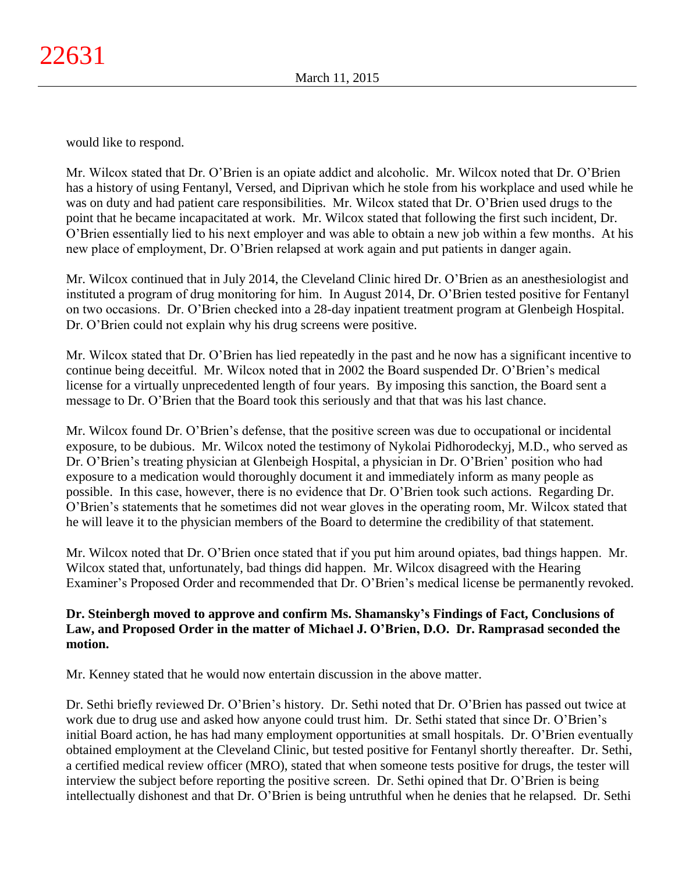would like to respond.

Mr. Wilcox stated that Dr. O'Brien is an opiate addict and alcoholic. Mr. Wilcox noted that Dr. O'Brien has a history of using Fentanyl, Versed, and Diprivan which he stole from his workplace and used while he was on duty and had patient care responsibilities. Mr. Wilcox stated that Dr. O'Brien used drugs to the point that he became incapacitated at work. Mr. Wilcox stated that following the first such incident, Dr. O'Brien essentially lied to his next employer and was able to obtain a new job within a few months. At his new place of employment, Dr. O'Brien relapsed at work again and put patients in danger again.

Mr. Wilcox continued that in July 2014, the Cleveland Clinic hired Dr. O'Brien as an anesthesiologist and instituted a program of drug monitoring for him. In August 2014, Dr. O'Brien tested positive for Fentanyl on two occasions. Dr. O'Brien checked into a 28-day inpatient treatment program at Glenbeigh Hospital. Dr. O'Brien could not explain why his drug screens were positive.

Mr. Wilcox stated that Dr. O'Brien has lied repeatedly in the past and he now has a significant incentive to continue being deceitful. Mr. Wilcox noted that in 2002 the Board suspended Dr. O'Brien's medical license for a virtually unprecedented length of four years. By imposing this sanction, the Board sent a message to Dr. O'Brien that the Board took this seriously and that that was his last chance.

Mr. Wilcox found Dr. O'Brien's defense, that the positive screen was due to occupational or incidental exposure, to be dubious. Mr. Wilcox noted the testimony of Nykolai Pidhorodeckyj, M.D., who served as Dr. O'Brien's treating physician at Glenbeigh Hospital, a physician in Dr. O'Brien' position who had exposure to a medication would thoroughly document it and immediately inform as many people as possible. In this case, however, there is no evidence that Dr. O'Brien took such actions. Regarding Dr. O'Brien's statements that he sometimes did not wear gloves in the operating room, Mr. Wilcox stated that he will leave it to the physician members of the Board to determine the credibility of that statement.

Mr. Wilcox noted that Dr. O'Brien once stated that if you put him around opiates, bad things happen. Mr. Wilcox stated that, unfortunately, bad things did happen. Mr. Wilcox disagreed with the Hearing Examiner's Proposed Order and recommended that Dr. O'Brien's medical license be permanently revoked.

# **Dr. Steinbergh moved to approve and confirm Ms. Shamansky's Findings of Fact, Conclusions of Law, and Proposed Order in the matter of Michael J. O'Brien, D.O. Dr. Ramprasad seconded the motion.**

Mr. Kenney stated that he would now entertain discussion in the above matter.

Dr. Sethi briefly reviewed Dr. O'Brien's history. Dr. Sethi noted that Dr. O'Brien has passed out twice at work due to drug use and asked how anyone could trust him. Dr. Sethi stated that since Dr. O'Brien's initial Board action, he has had many employment opportunities at small hospitals. Dr. O'Brien eventually obtained employment at the Cleveland Clinic, but tested positive for Fentanyl shortly thereafter. Dr. Sethi, a certified medical review officer (MRO), stated that when someone tests positive for drugs, the tester will interview the subject before reporting the positive screen. Dr. Sethi opined that Dr. O'Brien is being intellectually dishonest and that Dr. O'Brien is being untruthful when he denies that he relapsed. Dr. Sethi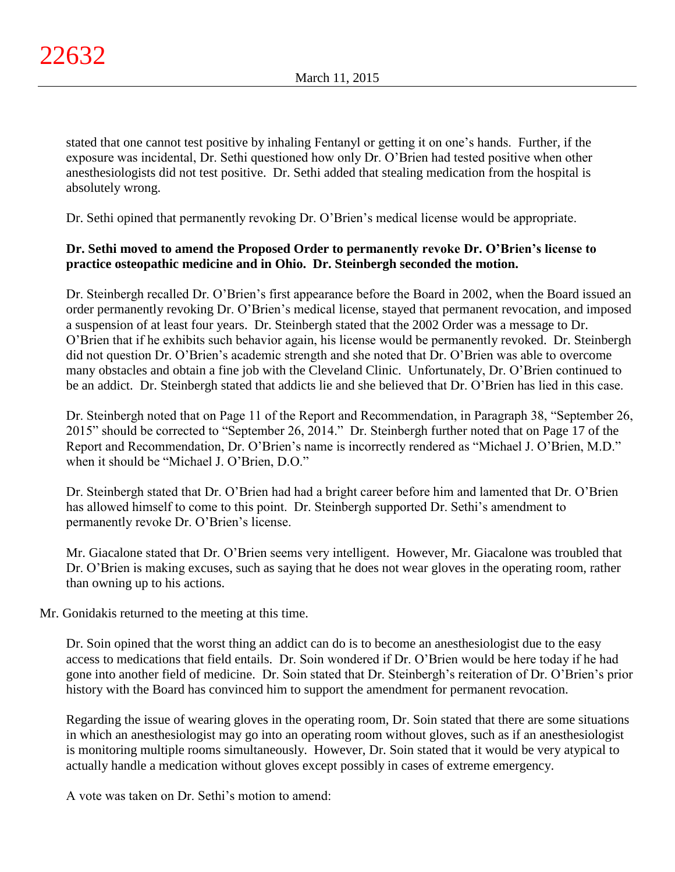stated that one cannot test positive by inhaling Fentanyl or getting it on one's hands. Further, if the exposure was incidental, Dr. Sethi questioned how only Dr. O'Brien had tested positive when other anesthesiologists did not test positive. Dr. Sethi added that stealing medication from the hospital is absolutely wrong.

Dr. Sethi opined that permanently revoking Dr. O'Brien's medical license would be appropriate.

# **Dr. Sethi moved to amend the Proposed Order to permanently revoke Dr. O'Brien's license to practice osteopathic medicine and in Ohio. Dr. Steinbergh seconded the motion.**

Dr. Steinbergh recalled Dr. O'Brien's first appearance before the Board in 2002, when the Board issued an order permanently revoking Dr. O'Brien's medical license, stayed that permanent revocation, and imposed a suspension of at least four years. Dr. Steinbergh stated that the 2002 Order was a message to Dr. O'Brien that if he exhibits such behavior again, his license would be permanently revoked. Dr. Steinbergh did not question Dr. O'Brien's academic strength and she noted that Dr. O'Brien was able to overcome many obstacles and obtain a fine job with the Cleveland Clinic. Unfortunately, Dr. O'Brien continued to be an addict. Dr. Steinbergh stated that addicts lie and she believed that Dr. O'Brien has lied in this case.

Dr. Steinbergh noted that on Page 11 of the Report and Recommendation, in Paragraph 38, "September 26, 2015" should be corrected to "September 26, 2014." Dr. Steinbergh further noted that on Page 17 of the Report and Recommendation, Dr. O'Brien's name is incorrectly rendered as "Michael J. O'Brien, M.D." when it should be "Michael J. O'Brien, D.O."

Dr. Steinbergh stated that Dr. O'Brien had had a bright career before him and lamented that Dr. O'Brien has allowed himself to come to this point. Dr. Steinbergh supported Dr. Sethi's amendment to permanently revoke Dr. O'Brien's license.

Mr. Giacalone stated that Dr. O'Brien seems very intelligent. However, Mr. Giacalone was troubled that Dr. O'Brien is making excuses, such as saying that he does not wear gloves in the operating room, rather than owning up to his actions.

Mr. Gonidakis returned to the meeting at this time.

Dr. Soin opined that the worst thing an addict can do is to become an anesthesiologist due to the easy access to medications that field entails. Dr. Soin wondered if Dr. O'Brien would be here today if he had gone into another field of medicine. Dr. Soin stated that Dr. Steinbergh's reiteration of Dr. O'Brien's prior history with the Board has convinced him to support the amendment for permanent revocation.

Regarding the issue of wearing gloves in the operating room, Dr. Soin stated that there are some situations in which an anesthesiologist may go into an operating room without gloves, such as if an anesthesiologist is monitoring multiple rooms simultaneously. However, Dr. Soin stated that it would be very atypical to actually handle a medication without gloves except possibly in cases of extreme emergency.

A vote was taken on Dr. Sethi's motion to amend: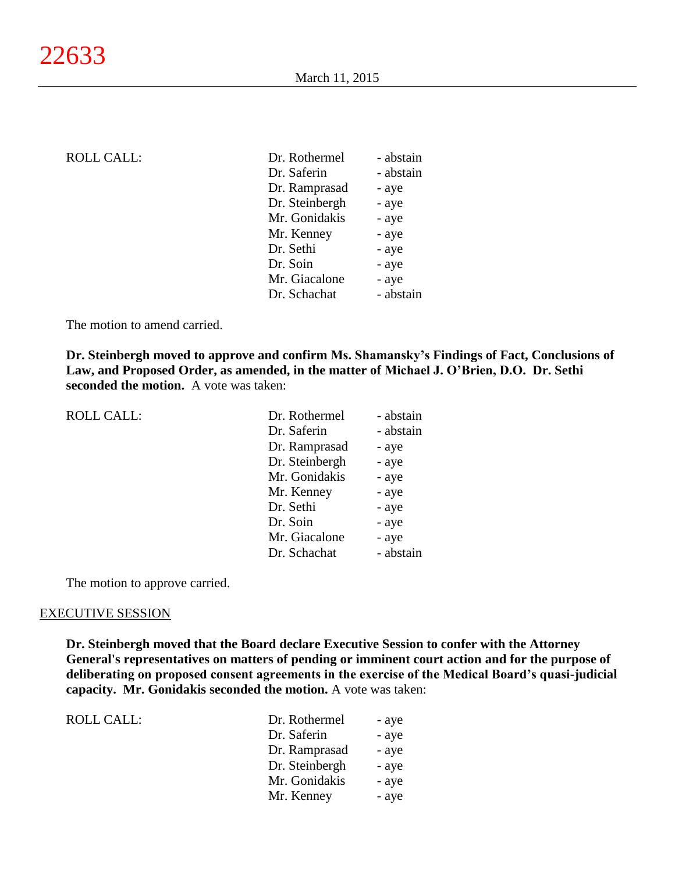| <b>ROLL CALL:</b> |  |  |
|-------------------|--|--|
|                   |  |  |

| <b>ROLL CALL:</b> | Dr. Rothermel  | - abstain |
|-------------------|----------------|-----------|
|                   | Dr. Saferin    | - abstain |
|                   | Dr. Ramprasad  | - aye     |
|                   | Dr. Steinbergh | - aye     |
|                   | Mr. Gonidakis  | - aye     |
|                   | Mr. Kenney     | - aye     |
|                   | Dr. Sethi      | - aye     |
|                   | Dr. Soin       | - aye     |
|                   | Mr. Giacalone  | - aye     |
|                   | Dr. Schachat   | - abstain |
|                   |                |           |

The motion to amend carried.

**Dr. Steinbergh moved to approve and confirm Ms. Shamansky's Findings of Fact, Conclusions of Law, and Proposed Order, as amended, in the matter of Michael J. O'Brien, D.O. Dr. Sethi seconded the motion.** A vote was taken:

| <b>ROLL CALL:</b> | Dr. Rothermel  | - abstain |
|-------------------|----------------|-----------|
|                   | Dr. Saferin    | - abstain |
|                   | Dr. Ramprasad  | - aye     |
|                   | Dr. Steinbergh | - aye     |
|                   | Mr. Gonidakis  | - aye     |
|                   | Mr. Kenney     | - aye     |
|                   | Dr. Sethi      | - aye     |
|                   | Dr. Soin       | - aye     |
|                   | Mr. Giacalone  | - aye     |
|                   | Dr. Schachat   | - abstain |
|                   |                |           |

The motion to approve carried.

#### EXECUTIVE SESSION

**Dr. Steinbergh moved that the Board declare Executive Session to confer with the Attorney General's representatives on matters of pending or imminent court action and for the purpose of deliberating on proposed consent agreements in the exercise of the Medical Board's quasi-judicial capacity. Mr. Gonidakis seconded the motion.** A vote was taken:

| ROLL CALL: | Dr. Rothermel  | - aye |
|------------|----------------|-------|
|            | Dr. Saferin    | - aye |
|            | Dr. Ramprasad  | - aye |
|            | Dr. Steinbergh | - aye |
|            | Mr. Gonidakis  | - aye |
|            | Mr. Kenney     | - aye |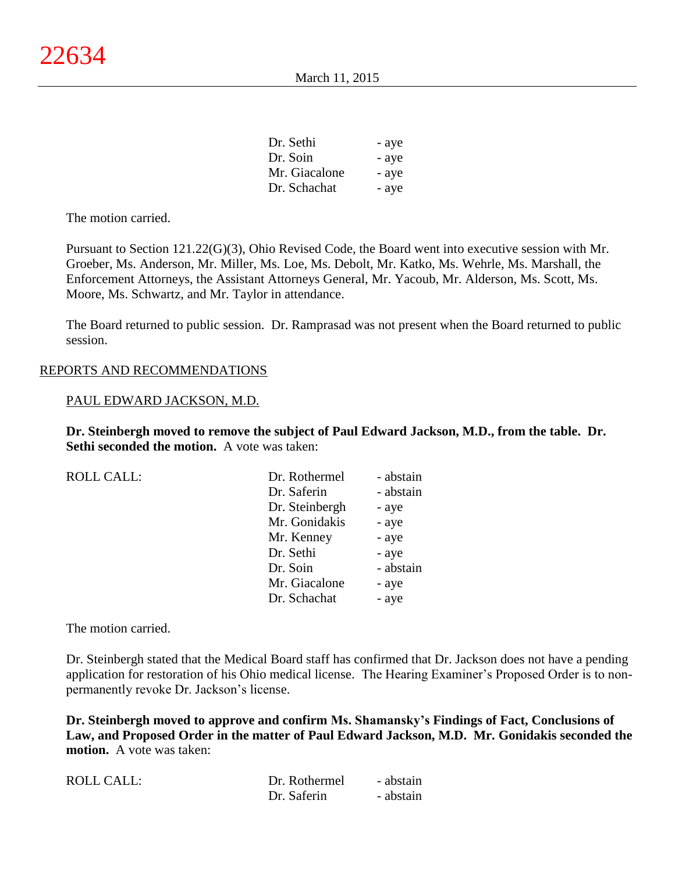| Dr. Sethi     | - aye |
|---------------|-------|
| Dr. Soin      | - aye |
| Mr. Giacalone | - aye |
| Dr. Schachat  | - aye |

The motion carried.

Pursuant to Section 121.22(G)(3), Ohio Revised Code, the Board went into executive session with Mr. Groeber, Ms. Anderson, Mr. Miller, Ms. Loe, Ms. Debolt, Mr. Katko, Ms. Wehrle, Ms. Marshall, the Enforcement Attorneys, the Assistant Attorneys General, Mr. Yacoub, Mr. Alderson, Ms. Scott, Ms. Moore, Ms. Schwartz, and Mr. Taylor in attendance.

The Board returned to public session. Dr. Ramprasad was not present when the Board returned to public session.

#### REPORTS AND RECOMMENDATIONS

#### PAUL EDWARD JACKSON, M.D.

**Dr. Steinbergh moved to remove the subject of Paul Edward Jackson, M.D., from the table. Dr. Sethi seconded the motion.** A vote was taken:

| Dr. Rothermel  | - abstain |
|----------------|-----------|
| Dr. Saferin    | - abstain |
| Dr. Steinbergh | - aye     |
| Mr. Gonidakis  | - aye     |
| Mr. Kenney     | - aye     |
| Dr. Sethi      | - aye     |
| Dr. Soin       | - abstain |
| Mr. Giacalone  | - aye     |
| Dr. Schachat   | - aye     |
|                |           |

The motion carried.

Dr. Steinbergh stated that the Medical Board staff has confirmed that Dr. Jackson does not have a pending application for restoration of his Ohio medical license. The Hearing Examiner's Proposed Order is to nonpermanently revoke Dr. Jackson's license.

**Dr. Steinbergh moved to approve and confirm Ms. Shamansky's Findings of Fact, Conclusions of Law, and Proposed Order in the matter of Paul Edward Jackson, M.D. Mr. Gonidakis seconded the motion.** A vote was taken:

| <b>ROLL CALL:</b> | Dr. Rothermel | - abstain |
|-------------------|---------------|-----------|
|                   | Dr. Saferin   | - abstain |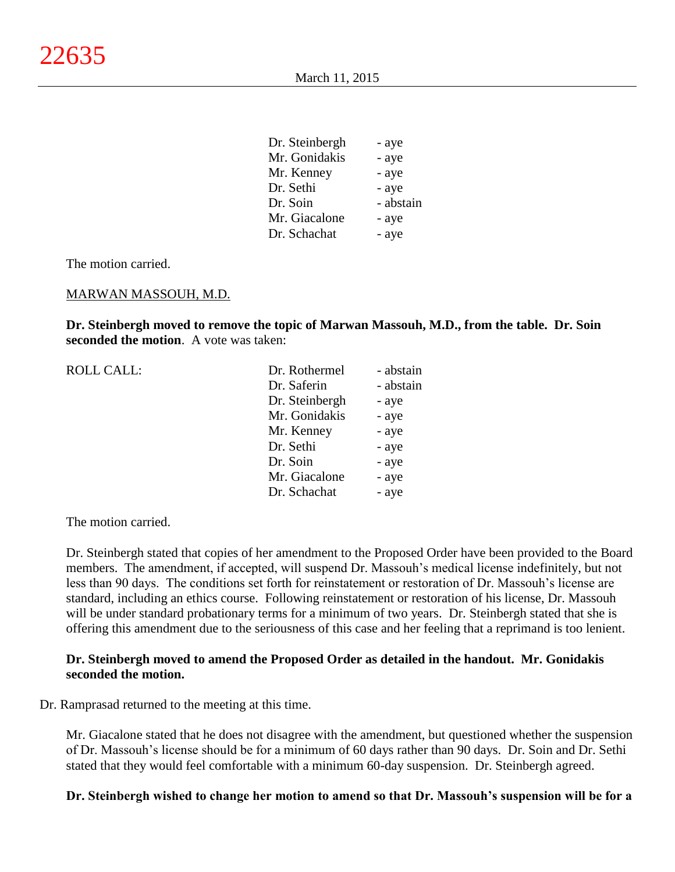| Dr. Steinbergh | - aye     |
|----------------|-----------|
| Mr. Gonidakis  | - aye     |
| Mr. Kenney     | - aye     |
| Dr. Sethi      | - aye     |
| Dr. Soin       | - abstain |
| Mr. Giacalone  | - aye     |
| Dr. Schachat   | - aye     |

The motion carried.

#### MARWAN MASSOUH, M.D.

**Dr. Steinbergh moved to remove the topic of Marwan Massouh, M.D., from the table. Dr. Soin seconded the motion**. A vote was taken:

| <b>ROLL CALL:</b> | Dr. Rothermel  | - abstain |
|-------------------|----------------|-----------|
|                   | Dr. Saferin    | - abstain |
|                   | Dr. Steinbergh | - aye     |
|                   | Mr. Gonidakis  | - aye     |
|                   | Mr. Kenney     | - aye     |
|                   | Dr. Sethi      | - aye     |
|                   | Dr. Soin       | - aye     |
|                   | Mr. Giacalone  | - aye     |
|                   | Dr. Schachat   | - aye     |
|                   |                |           |

The motion carried.

Dr. Steinbergh stated that copies of her amendment to the Proposed Order have been provided to the Board members. The amendment, if accepted, will suspend Dr. Massouh's medical license indefinitely, but not less than 90 days. The conditions set forth for reinstatement or restoration of Dr. Massouh's license are standard, including an ethics course. Following reinstatement or restoration of his license, Dr. Massouh will be under standard probationary terms for a minimum of two years. Dr. Steinbergh stated that she is offering this amendment due to the seriousness of this case and her feeling that a reprimand is too lenient.

#### **Dr. Steinbergh moved to amend the Proposed Order as detailed in the handout. Mr. Gonidakis seconded the motion.**

Dr. Ramprasad returned to the meeting at this time.

Mr. Giacalone stated that he does not disagree with the amendment, but questioned whether the suspension of Dr. Massouh's license should be for a minimum of 60 days rather than 90 days. Dr. Soin and Dr. Sethi stated that they would feel comfortable with a minimum 60-day suspension. Dr. Steinbergh agreed.

#### **Dr. Steinbergh wished to change her motion to amend so that Dr. Massouh's suspension will be for a**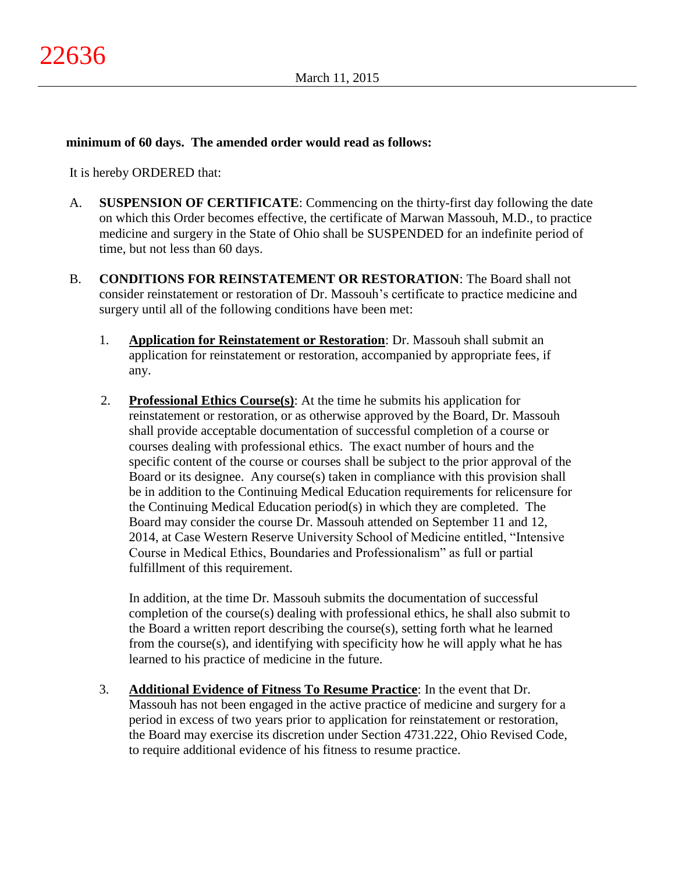## **minimum of 60 days. The amended order would read as follows:**

It is hereby ORDERED that:

- A. **SUSPENSION OF CERTIFICATE**: Commencing on the thirty-first day following the date on which this Order becomes effective, the certificate of Marwan Massouh, M.D., to practice medicine and surgery in the State of Ohio shall be SUSPENDED for an indefinite period of time, but not less than 60 days.
- B. **CONDITIONS FOR REINSTATEMENT OR RESTORATION**: The Board shall not consider reinstatement or restoration of Dr. Massouh's certificate to practice medicine and surgery until all of the following conditions have been met:
	- 1. **Application for Reinstatement or Restoration**: Dr. Massouh shall submit an application for reinstatement or restoration, accompanied by appropriate fees, if any.
	- 2. **Professional Ethics Course(s)**: At the time he submits his application for reinstatement or restoration, or as otherwise approved by the Board, Dr. Massouh shall provide acceptable documentation of successful completion of a course or courses dealing with professional ethics. The exact number of hours and the specific content of the course or courses shall be subject to the prior approval of the Board or its designee. Any course(s) taken in compliance with this provision shall be in addition to the Continuing Medical Education requirements for relicensure for the Continuing Medical Education period(s) in which they are completed. The Board may consider the course Dr. Massouh attended on September 11 and 12, 2014, at Case Western Reserve University School of Medicine entitled, "Intensive Course in Medical Ethics, Boundaries and Professionalism" as full or partial fulfillment of this requirement.

In addition, at the time Dr. Massouh submits the documentation of successful completion of the course(s) dealing with professional ethics, he shall also submit to the Board a written report describing the course(s), setting forth what he learned from the course(s), and identifying with specificity how he will apply what he has learned to his practice of medicine in the future.

3. **Additional Evidence of Fitness To Resume Practice**: In the event that Dr. Massouh has not been engaged in the active practice of medicine and surgery for a period in excess of two years prior to application for reinstatement or restoration, the Board may exercise its discretion under Section 4731.222, Ohio Revised Code, to require additional evidence of his fitness to resume practice.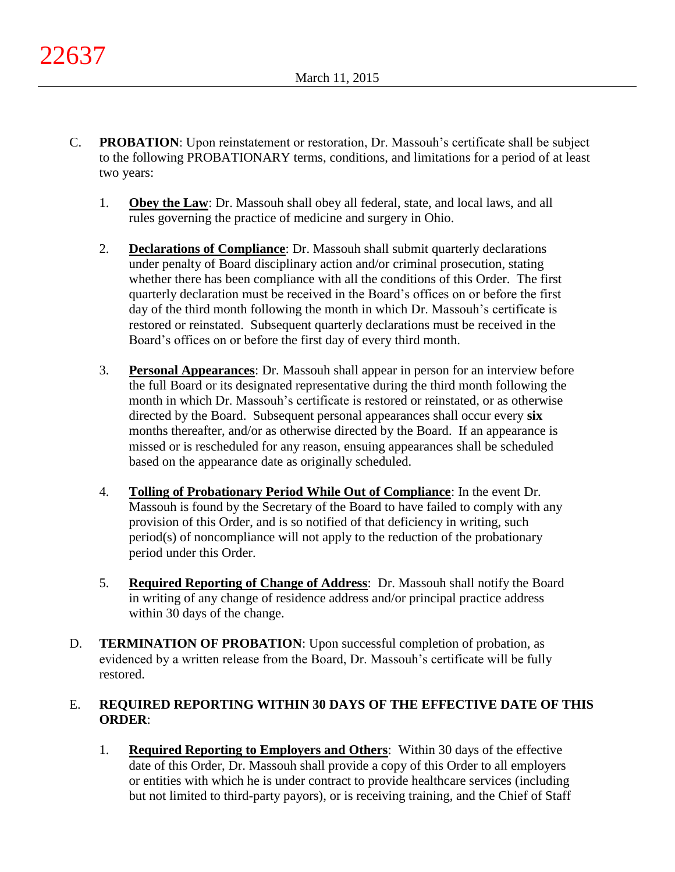- C. **PROBATION**: Upon reinstatement or restoration, Dr. Massouh's certificate shall be subject to the following PROBATIONARY terms, conditions, and limitations for a period of at least two years:
	- 1. **Obey the Law**: Dr. Massouh shall obey all federal, state, and local laws, and all rules governing the practice of medicine and surgery in Ohio.
	- 2. **Declarations of Compliance**: Dr. Massouh shall submit quarterly declarations under penalty of Board disciplinary action and/or criminal prosecution, stating whether there has been compliance with all the conditions of this Order. The first quarterly declaration must be received in the Board's offices on or before the first day of the third month following the month in which Dr. Massouh's certificate is restored or reinstated. Subsequent quarterly declarations must be received in the Board's offices on or before the first day of every third month.
	- 3. **Personal Appearances**: Dr. Massouh shall appear in person for an interview before the full Board or its designated representative during the third month following the month in which Dr. Massouh's certificate is restored or reinstated, or as otherwise directed by the Board. Subsequent personal appearances shall occur every **six** months thereafter, and/or as otherwise directed by the Board. If an appearance is missed or is rescheduled for any reason, ensuing appearances shall be scheduled based on the appearance date as originally scheduled.
	- 4. **Tolling of Probationary Period While Out of Compliance**: In the event Dr. Massouh is found by the Secretary of the Board to have failed to comply with any provision of this Order, and is so notified of that deficiency in writing, such period(s) of noncompliance will not apply to the reduction of the probationary period under this Order.
	- 5. **Required Reporting of Change of Address**: Dr. Massouh shall notify the Board in writing of any change of residence address and/or principal practice address within 30 days of the change.
- D. **TERMINATION OF PROBATION**: Upon successful completion of probation, as evidenced by a written release from the Board, Dr. Massouh's certificate will be fully restored.

# E. **REQUIRED REPORTING WITHIN 30 DAYS OF THE EFFECTIVE DATE OF THIS ORDER**:

1. **Required Reporting to Employers and Others**: Within 30 days of the effective date of this Order, Dr. Massouh shall provide a copy of this Order to all employers or entities with which he is under contract to provide healthcare services (including but not limited to third-party payors), or is receiving training, and the Chief of Staff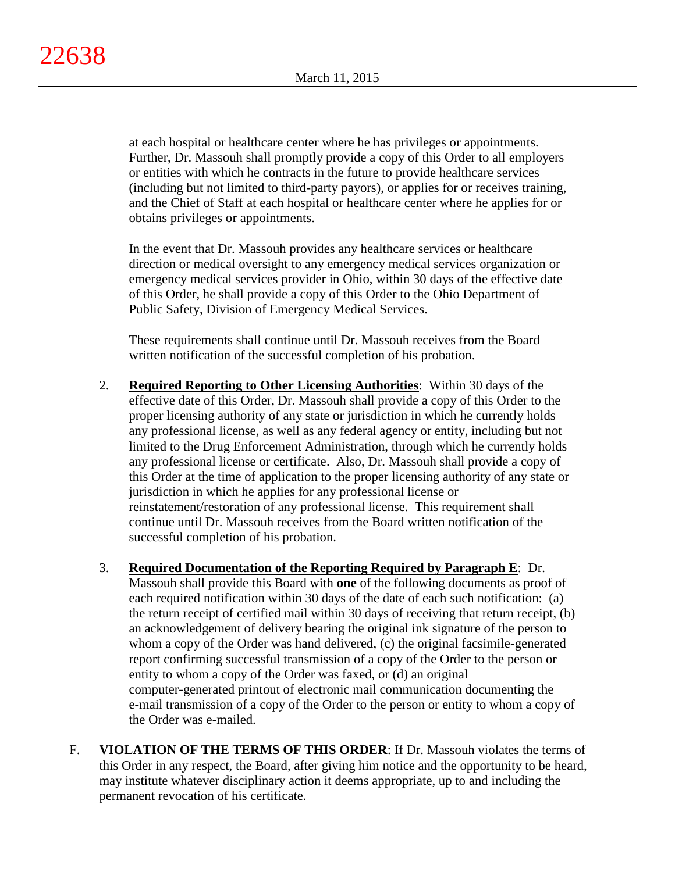at each hospital or healthcare center where he has privileges or appointments. Further, Dr. Massouh shall promptly provide a copy of this Order to all employers or entities with which he contracts in the future to provide healthcare services (including but not limited to third-party payors), or applies for or receives training, and the Chief of Staff at each hospital or healthcare center where he applies for or obtains privileges or appointments.

In the event that Dr. Massouh provides any healthcare services or healthcare direction or medical oversight to any emergency medical services organization or emergency medical services provider in Ohio, within 30 days of the effective date of this Order, he shall provide a copy of this Order to the Ohio Department of Public Safety, Division of Emergency Medical Services.

These requirements shall continue until Dr. Massouh receives from the Board written notification of the successful completion of his probation.

- 2. **Required Reporting to Other Licensing Authorities**: Within 30 days of the effective date of this Order, Dr. Massouh shall provide a copy of this Order to the proper licensing authority of any state or jurisdiction in which he currently holds any professional license, as well as any federal agency or entity, including but not limited to the Drug Enforcement Administration, through which he currently holds any professional license or certificate. Also, Dr. Massouh shall provide a copy of this Order at the time of application to the proper licensing authority of any state or jurisdiction in which he applies for any professional license or reinstatement/restoration of any professional license. This requirement shall continue until Dr. Massouh receives from the Board written notification of the successful completion of his probation.
- 3. **Required Documentation of the Reporting Required by Paragraph E**: Dr. Massouh shall provide this Board with **one** of the following documents as proof of each required notification within 30 days of the date of each such notification: (a) the return receipt of certified mail within 30 days of receiving that return receipt, (b) an acknowledgement of delivery bearing the original ink signature of the person to whom a copy of the Order was hand delivered, (c) the original facsimile-generated report confirming successful transmission of a copy of the Order to the person or entity to whom a copy of the Order was faxed, or (d) an original computer-generated printout of electronic mail communication documenting the e-mail transmission of a copy of the Order to the person or entity to whom a copy of the Order was e-mailed.
- F. **VIOLATION OF THE TERMS OF THIS ORDER**: If Dr. Massouh violates the terms of this Order in any respect, the Board, after giving him notice and the opportunity to be heard, may institute whatever disciplinary action it deems appropriate, up to and including the permanent revocation of his certificate.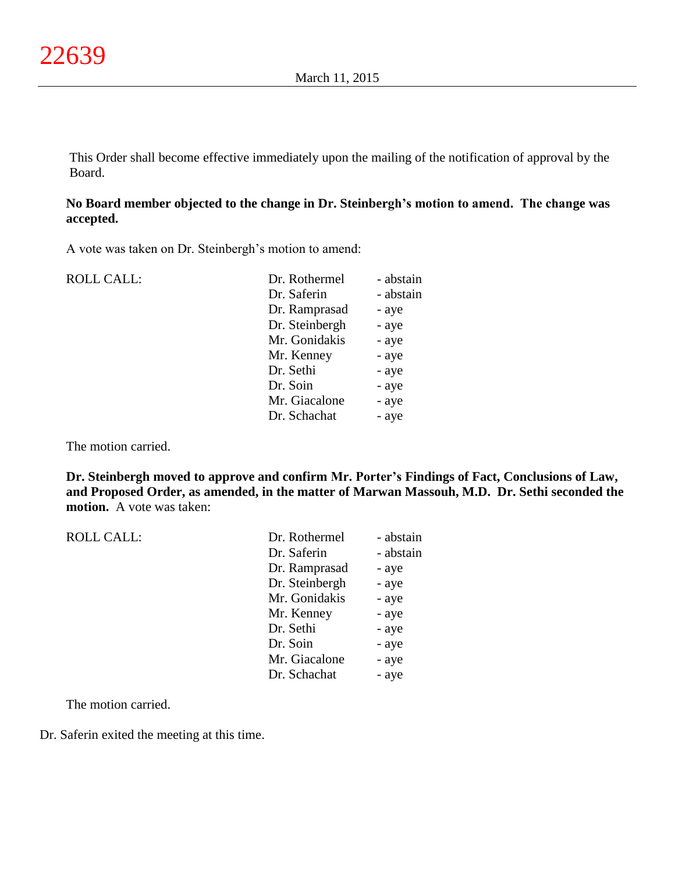This Order shall become effective immediately upon the mailing of the notification of approval by the Board.

# **No Board member objected to the change in Dr. Steinbergh's motion to amend. The change was accepted.**

A vote was taken on Dr. Steinbergh's motion to amend:

| <b>ROLL CALL:</b> | Dr. Rothermel  | - abstain |
|-------------------|----------------|-----------|
|                   | Dr. Saferin    | - abstain |
|                   | Dr. Ramprasad  | - aye     |
|                   | Dr. Steinbergh | - aye     |
|                   | Mr. Gonidakis  | - aye     |
|                   | Mr. Kenney     | - aye     |
|                   | Dr. Sethi      | - aye     |
|                   | Dr. Soin       | - aye     |
|                   | Mr. Giacalone  | - aye     |
|                   | Dr. Schachat   | - aye     |
|                   |                |           |

The motion carried.

**Dr. Steinbergh moved to approve and confirm Mr. Porter's Findings of Fact, Conclusions of Law, and Proposed Order, as amended, in the matter of Marwan Massouh, M.D. Dr. Sethi seconded the motion.** A vote was taken:

| <b>ROLL CALL:</b> | Dr. Rothermel  | - abstain |
|-------------------|----------------|-----------|
|                   | Dr. Saferin    | - abstain |
|                   | Dr. Ramprasad  | - aye     |
|                   | Dr. Steinbergh | - aye     |
|                   | Mr. Gonidakis  | - aye     |
|                   | Mr. Kenney     | - aye     |
|                   | Dr. Sethi      | - aye     |
|                   | Dr. Soin       | - aye     |
|                   | Mr. Giacalone  | - aye     |
|                   | Dr. Schachat   | - aye     |
|                   |                |           |

The motion carried.

Dr. Saferin exited the meeting at this time.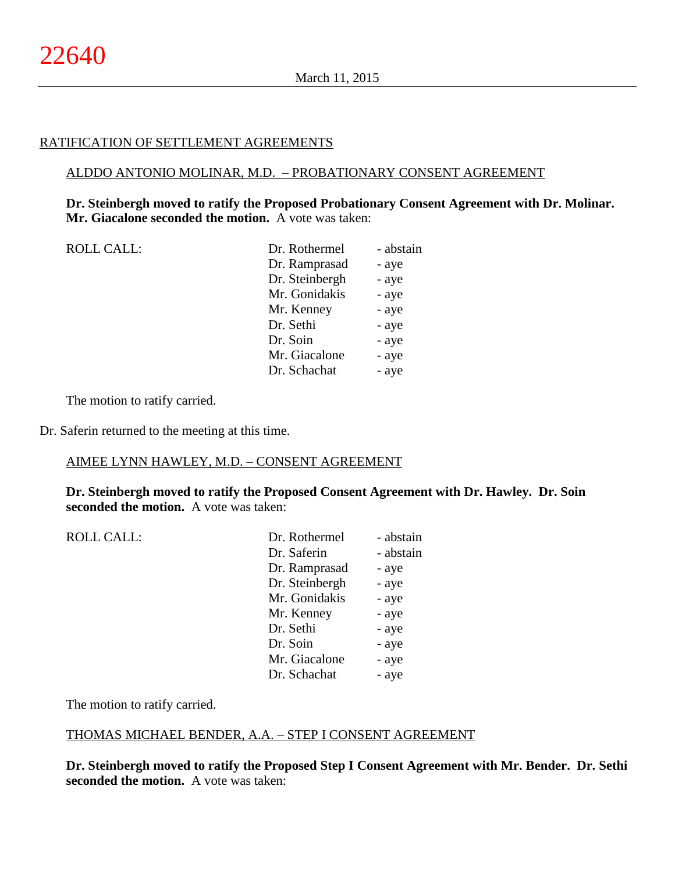#### RATIFICATION OF SETTLEMENT AGREEMENTS

#### ALDDO ANTONIO MOLINAR, M.D. – PROBATIONARY CONSENT AGREEMENT

**Dr. Steinbergh moved to ratify the Proposed Probationary Consent Agreement with Dr. Molinar. Mr. Giacalone seconded the motion.** A vote was taken:

| <b>ROLL CALL:</b> |  |
|-------------------|--|
|-------------------|--|

| ROLL CALL: | Dr. Rothermel  | - abstain |
|------------|----------------|-----------|
|            | Dr. Ramprasad  | - aye     |
|            | Dr. Steinbergh | - aye     |
|            | Mr. Gonidakis  | - aye     |
|            | Mr. Kenney     | - aye     |
|            | Dr. Sethi      | - aye     |
|            | Dr. Soin       | - aye     |
|            | Mr. Giacalone  | - aye     |
|            | Dr. Schachat   | - aye     |
|            |                |           |

The motion to ratify carried.

Dr. Saferin returned to the meeting at this time.

#### AIMEE LYNN HAWLEY, M.D. – CONSENT AGREEMENT

**Dr. Steinbergh moved to ratify the Proposed Consent Agreement with Dr. Hawley. Dr. Soin seconded the motion.** A vote was taken:

| <b>ROLL CALL:</b> | Dr. Rothermel  | - abstain |
|-------------------|----------------|-----------|
|                   | Dr. Saferin    | - abstain |
|                   | Dr. Ramprasad  | - aye     |
|                   | Dr. Steinbergh | - aye     |
|                   | Mr. Gonidakis  | - aye     |
|                   | Mr. Kenney     | - aye     |
|                   | Dr. Sethi      | - aye     |
|                   | Dr. Soin       | - aye     |
|                   | Mr. Giacalone  | - aye     |
|                   | Dr. Schachat   | - aye     |

The motion to ratify carried.

#### THOMAS MICHAEL BENDER, A.A. – STEP I CONSENT AGREEMENT

**Dr. Steinbergh moved to ratify the Proposed Step I Consent Agreement with Mr. Bender. Dr. Sethi seconded the motion.** A vote was taken: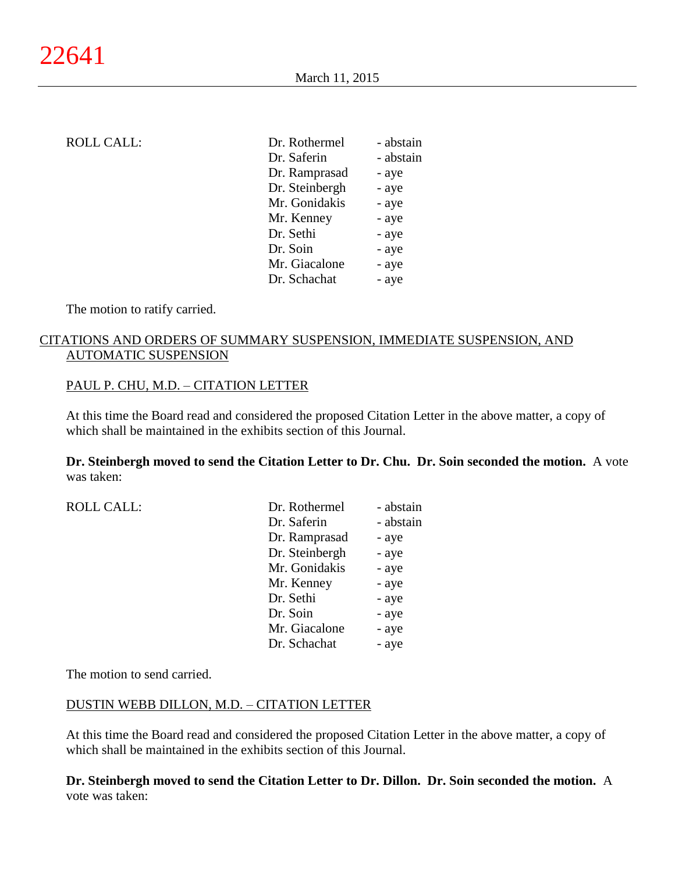|--|

| <b>ROLL CALL:</b> | Dr. Rothermel  | - abstain |
|-------------------|----------------|-----------|
|                   | Dr. Saferin    | - abstain |
|                   | Dr. Ramprasad  | - aye     |
|                   | Dr. Steinbergh | - aye     |
|                   | Mr. Gonidakis  | - aye     |
|                   | Mr. Kenney     | - aye     |
|                   | Dr. Sethi      | - aye     |
|                   | Dr. Soin       | - aye     |
|                   | Mr. Giacalone  | - aye     |
|                   | Dr. Schachat   | - aye     |

The motion to ratify carried.

# CITATIONS AND ORDERS OF SUMMARY SUSPENSION, IMMEDIATE SUSPENSION, AND AUTOMATIC SUSPENSION

## PAUL P. CHU, M.D. - CITATION LETTER

At this time the Board read and considered the proposed Citation Letter in the above matter, a copy of which shall be maintained in the exhibits section of this Journal.

**Dr. Steinbergh moved to send the Citation Letter to Dr. Chu. Dr. Soin seconded the motion.** A vote was taken:

| <b>ROLL CALL:</b> | Dr. Rothermel  | - abstain |
|-------------------|----------------|-----------|
|                   | Dr. Saferin    | - abstain |
|                   | Dr. Ramprasad  | - aye     |
|                   | Dr. Steinbergh | - aye     |
|                   | Mr. Gonidakis  | - aye     |
|                   | Mr. Kenney     | - aye     |
|                   | Dr. Sethi      | - aye     |
|                   | Dr. Soin       | - aye     |
|                   | Mr. Giacalone  | - aye     |
|                   | Dr. Schachat   | - aye     |

The motion to send carried.

#### DUSTIN WEBB DILLON, M.D. – CITATION LETTER

At this time the Board read and considered the proposed Citation Letter in the above matter, a copy of which shall be maintained in the exhibits section of this Journal.

**Dr. Steinbergh moved to send the Citation Letter to Dr. Dillon. Dr. Soin seconded the motion.** A vote was taken: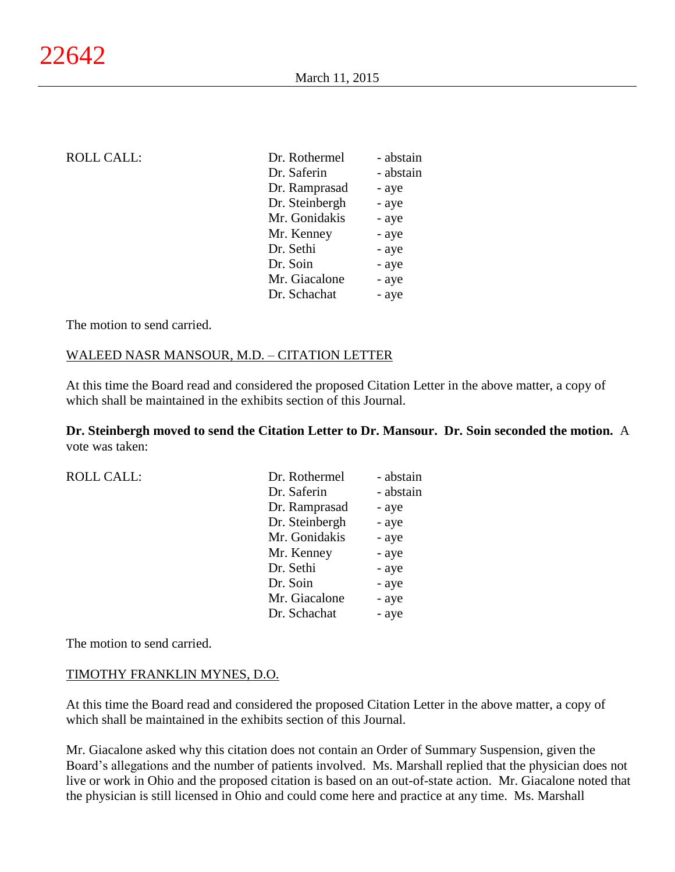| <b>ROLL CALL:</b> | Dr. Rothermel  | - abstain |
|-------------------|----------------|-----------|
|                   | Dr. Saferin    | - abstain |
|                   | Dr. Ramprasad  | - aye     |
|                   | Dr. Steinbergh | - aye     |
|                   | Mr. Gonidakis  | - aye     |
|                   | Mr. Kenney     | - aye     |
|                   | Dr. Sethi      | - aye     |
|                   | Dr. Soin       | - aye     |
|                   | Mr. Giacalone  | - aye     |
|                   | Dr. Schachat   | - aye     |
|                   |                |           |

The motion to send carried.

#### WALEED NASR MANSOUR, M.D. – CITATION LETTER

At this time the Board read and considered the proposed Citation Letter in the above matter, a copy of which shall be maintained in the exhibits section of this Journal.

**Dr. Steinbergh moved to send the Citation Letter to Dr. Mansour. Dr. Soin seconded the motion.** A vote was taken:

| <b>ROLL CALL:</b> | Dr. Rothermel  | - abstain |
|-------------------|----------------|-----------|
|                   | Dr. Saferin    | - abstain |
|                   | Dr. Ramprasad  | - aye     |
|                   | Dr. Steinbergh | - aye     |
|                   | Mr. Gonidakis  | - aye     |
|                   | Mr. Kenney     | - aye     |
|                   | Dr. Sethi      | - aye     |
|                   | Dr. Soin       | - aye     |
|                   | Mr. Giacalone  | - aye     |
|                   | Dr. Schachat   | - aye     |
|                   |                |           |

The motion to send carried.

#### TIMOTHY FRANKLIN MYNES, D.O.

At this time the Board read and considered the proposed Citation Letter in the above matter, a copy of which shall be maintained in the exhibits section of this Journal.

Mr. Giacalone asked why this citation does not contain an Order of Summary Suspension, given the Board's allegations and the number of patients involved. Ms. Marshall replied that the physician does not live or work in Ohio and the proposed citation is based on an out-of-state action. Mr. Giacalone noted that the physician is still licensed in Ohio and could come here and practice at any time. Ms. Marshall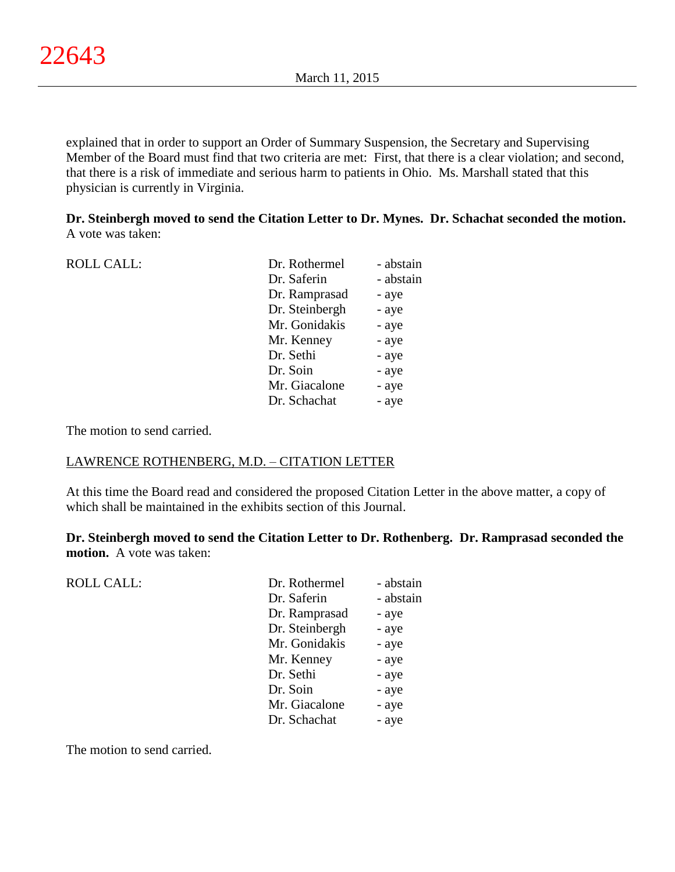explained that in order to support an Order of Summary Suspension, the Secretary and Supervising Member of the Board must find that two criteria are met: First, that there is a clear violation; and second, that there is a risk of immediate and serious harm to patients in Ohio. Ms. Marshall stated that this physician is currently in Virginia.

**Dr. Steinbergh moved to send the Citation Letter to Dr. Mynes. Dr. Schachat seconded the motion.** A vote was taken:

| <b>ROLL CALL:</b> | Dr. Rothermel  | - abstain |
|-------------------|----------------|-----------|
|                   | Dr. Saferin    | - abstain |
|                   | Dr. Ramprasad  | - aye     |
|                   | Dr. Steinbergh | - aye     |
|                   | Mr. Gonidakis  | - aye     |
|                   | Mr. Kenney     | - aye     |
|                   | Dr. Sethi      | - aye     |
|                   | Dr. Soin       | - aye     |
|                   | Mr. Giacalone  | - aye     |
|                   | Dr. Schachat   | - aye     |
|                   |                |           |

The motion to send carried.

# LAWRENCE ROTHENBERG, M.D. – CITATION LETTER

At this time the Board read and considered the proposed Citation Letter in the above matter, a copy of which shall be maintained in the exhibits section of this Journal.

**Dr. Steinbergh moved to send the Citation Letter to Dr. Rothenberg. Dr. Ramprasad seconded the motion.** A vote was taken:

| <b>ROLL CALL:</b> | Dr. Rothermel  | - abstain |
|-------------------|----------------|-----------|
|                   | Dr. Saferin    | - abstain |
|                   | Dr. Ramprasad  | - aye     |
|                   | Dr. Steinbergh | - aye     |
|                   | Mr. Gonidakis  | - aye     |
|                   | Mr. Kenney     | - aye     |
|                   | Dr. Sethi      | - aye     |
|                   | Dr. Soin       | - aye     |
|                   | Mr. Giacalone  | - aye     |
|                   | Dr. Schachat   | - aye     |
|                   |                |           |

The motion to send carried.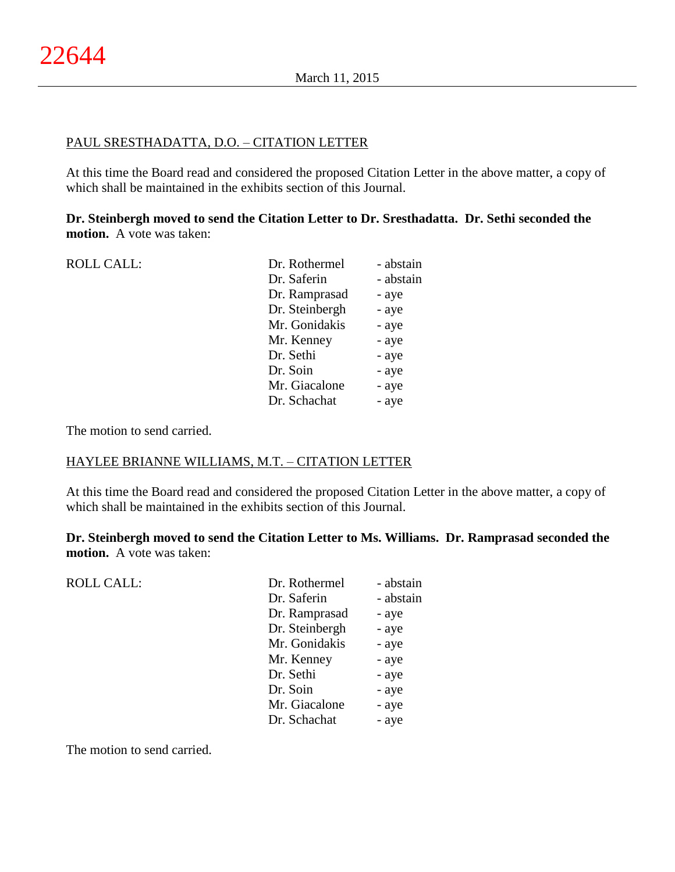#### PAUL SRESTHADATTA, D.O. – CITATION LETTER

At this time the Board read and considered the proposed Citation Letter in the above matter, a copy of which shall be maintained in the exhibits section of this Journal.

**Dr. Steinbergh moved to send the Citation Letter to Dr. Sresthadatta. Dr. Sethi seconded the motion.** A vote was taken:

| <b>ROLL CALL:</b> | Dr. Rothermel  | - abstain |
|-------------------|----------------|-----------|
|                   | Dr. Saferin    | - abstain |
|                   | Dr. Ramprasad  | - aye     |
|                   | Dr. Steinbergh | - aye     |
|                   | Mr. Gonidakis  | - aye     |
|                   | Mr. Kenney     | - aye     |
|                   | Dr. Sethi      | - aye     |
|                   | Dr. Soin       | - aye     |
|                   | Mr. Giacalone  | - aye     |
|                   | Dr. Schachat   | - aye     |
|                   |                |           |

The motion to send carried.

## HAYLEE BRIANNE WILLIAMS, M.T. – CITATION LETTER

At this time the Board read and considered the proposed Citation Letter in the above matter, a copy of which shall be maintained in the exhibits section of this Journal.

**Dr. Steinbergh moved to send the Citation Letter to Ms. Williams. Dr. Ramprasad seconded the motion.** A vote was taken:

| <b>ROLL CALL:</b> | Dr. Rothermel  | - abstain |
|-------------------|----------------|-----------|
|                   | Dr. Saferin    | - abstain |
|                   | Dr. Ramprasad  | - aye     |
|                   | Dr. Steinbergh | - aye     |
|                   | Mr. Gonidakis  | - aye     |
|                   | Mr. Kenney     | - aye     |
|                   | Dr. Sethi      | - aye     |
|                   | Dr. Soin       | - aye     |
|                   | Mr. Giacalone  | - aye     |
|                   | Dr. Schachat   | - aye     |
|                   |                |           |

The motion to send carried.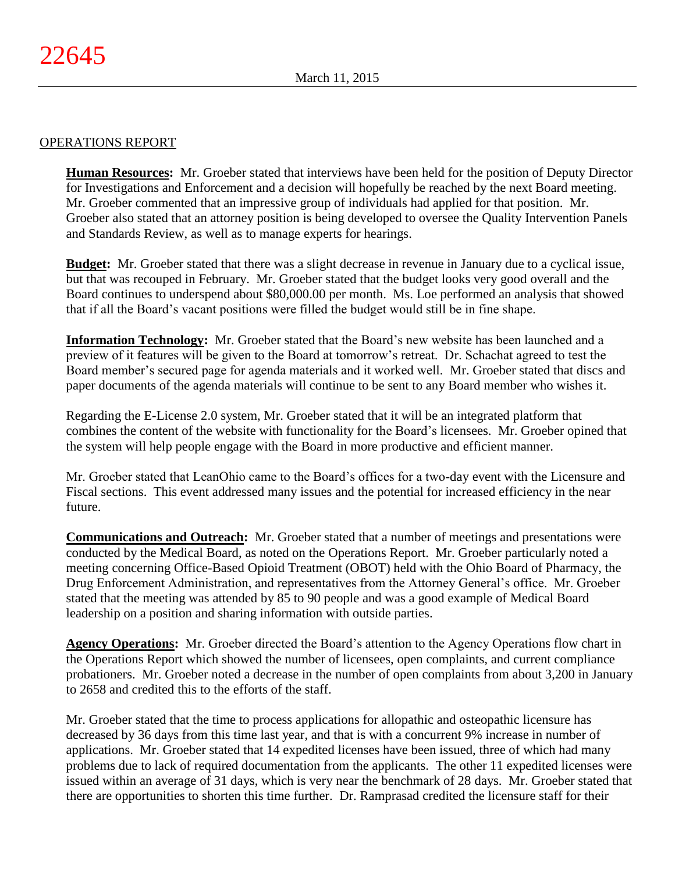## OPERATIONS REPORT

**Human Resources:** Mr. Groeber stated that interviews have been held for the position of Deputy Director for Investigations and Enforcement and a decision will hopefully be reached by the next Board meeting. Mr. Groeber commented that an impressive group of individuals had applied for that position. Mr. Groeber also stated that an attorney position is being developed to oversee the Quality Intervention Panels and Standards Review, as well as to manage experts for hearings.

**Budget:** Mr. Groeber stated that there was a slight decrease in revenue in January due to a cyclical issue, but that was recouped in February. Mr. Groeber stated that the budget looks very good overall and the Board continues to underspend about \$80,000.00 per month. Ms. Loe performed an analysis that showed that if all the Board's vacant positions were filled the budget would still be in fine shape.

**Information Technology:** Mr. Groeber stated that the Board's new website has been launched and a preview of it features will be given to the Board at tomorrow's retreat. Dr. Schachat agreed to test the Board member's secured page for agenda materials and it worked well. Mr. Groeber stated that discs and paper documents of the agenda materials will continue to be sent to any Board member who wishes it.

Regarding the E-License 2.0 system, Mr. Groeber stated that it will be an integrated platform that combines the content of the website with functionality for the Board's licensees. Mr. Groeber opined that the system will help people engage with the Board in more productive and efficient manner.

Mr. Groeber stated that LeanOhio came to the Board's offices for a two-day event with the Licensure and Fiscal sections. This event addressed many issues and the potential for increased efficiency in the near future.

**Communications and Outreach:** Mr. Groeber stated that a number of meetings and presentations were conducted by the Medical Board, as noted on the Operations Report. Mr. Groeber particularly noted a meeting concerning Office-Based Opioid Treatment (OBOT) held with the Ohio Board of Pharmacy, the Drug Enforcement Administration, and representatives from the Attorney General's office. Mr. Groeber stated that the meeting was attended by 85 to 90 people and was a good example of Medical Board leadership on a position and sharing information with outside parties.

**Agency Operations:** Mr. Groeber directed the Board's attention to the Agency Operations flow chart in the Operations Report which showed the number of licensees, open complaints, and current compliance probationers. Mr. Groeber noted a decrease in the number of open complaints from about 3,200 in January to 2658 and credited this to the efforts of the staff.

Mr. Groeber stated that the time to process applications for allopathic and osteopathic licensure has decreased by 36 days from this time last year, and that is with a concurrent 9% increase in number of applications. Mr. Groeber stated that 14 expedited licenses have been issued, three of which had many problems due to lack of required documentation from the applicants. The other 11 expedited licenses were issued within an average of 31 days, which is very near the benchmark of 28 days. Mr. Groeber stated that there are opportunities to shorten this time further. Dr. Ramprasad credited the licensure staff for their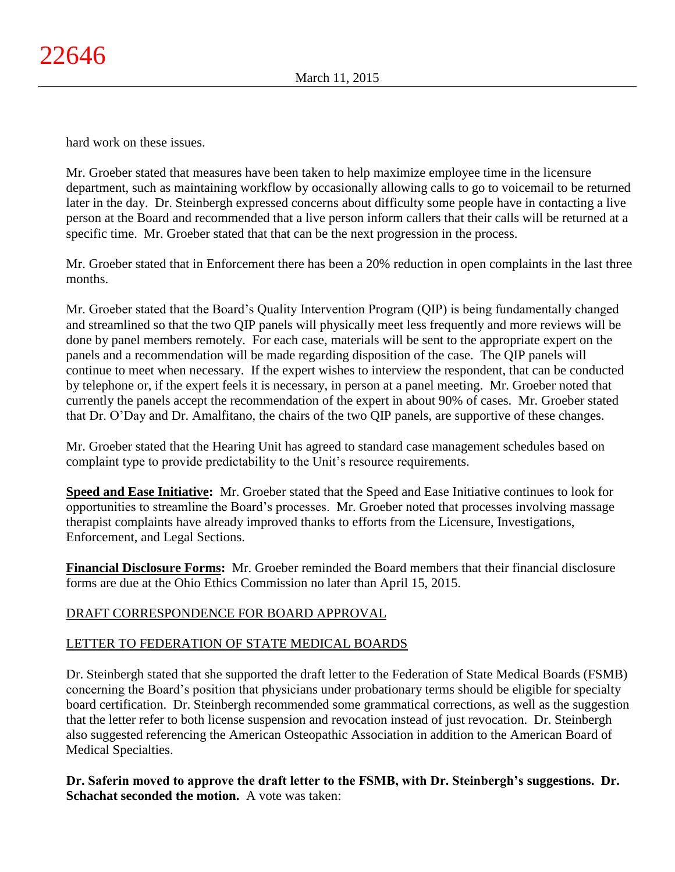hard work on these issues.

Mr. Groeber stated that measures have been taken to help maximize employee time in the licensure department, such as maintaining workflow by occasionally allowing calls to go to voicemail to be returned later in the day. Dr. Steinbergh expressed concerns about difficulty some people have in contacting a live person at the Board and recommended that a live person inform callers that their calls will be returned at a specific time. Mr. Groeber stated that that can be the next progression in the process.

Mr. Groeber stated that in Enforcement there has been a 20% reduction in open complaints in the last three months.

Mr. Groeber stated that the Board's Quality Intervention Program (QIP) is being fundamentally changed and streamlined so that the two QIP panels will physically meet less frequently and more reviews will be done by panel members remotely. For each case, materials will be sent to the appropriate expert on the panels and a recommendation will be made regarding disposition of the case. The QIP panels will continue to meet when necessary. If the expert wishes to interview the respondent, that can be conducted by telephone or, if the expert feels it is necessary, in person at a panel meeting. Mr. Groeber noted that currently the panels accept the recommendation of the expert in about 90% of cases. Mr. Groeber stated that Dr. O'Day and Dr. Amalfitano, the chairs of the two QIP panels, are supportive of these changes.

Mr. Groeber stated that the Hearing Unit has agreed to standard case management schedules based on complaint type to provide predictability to the Unit's resource requirements.

**Speed and Ease Initiative:** Mr. Groeber stated that the Speed and Ease Initiative continues to look for opportunities to streamline the Board's processes. Mr. Groeber noted that processes involving massage therapist complaints have already improved thanks to efforts from the Licensure, Investigations, Enforcement, and Legal Sections.

**Financial Disclosure Forms:** Mr. Groeber reminded the Board members that their financial disclosure forms are due at the Ohio Ethics Commission no later than April 15, 2015.

# DRAFT CORRESPONDENCE FOR BOARD APPROVAL

# LETTER TO FEDERATION OF STATE MEDICAL BOARDS

Dr. Steinbergh stated that she supported the draft letter to the Federation of State Medical Boards (FSMB) concerning the Board's position that physicians under probationary terms should be eligible for specialty board certification. Dr. Steinbergh recommended some grammatical corrections, as well as the suggestion that the letter refer to both license suspension and revocation instead of just revocation. Dr. Steinbergh also suggested referencing the American Osteopathic Association in addition to the American Board of Medical Specialties.

**Dr. Saferin moved to approve the draft letter to the FSMB, with Dr. Steinbergh's suggestions. Dr. Schachat seconded the motion.** A vote was taken: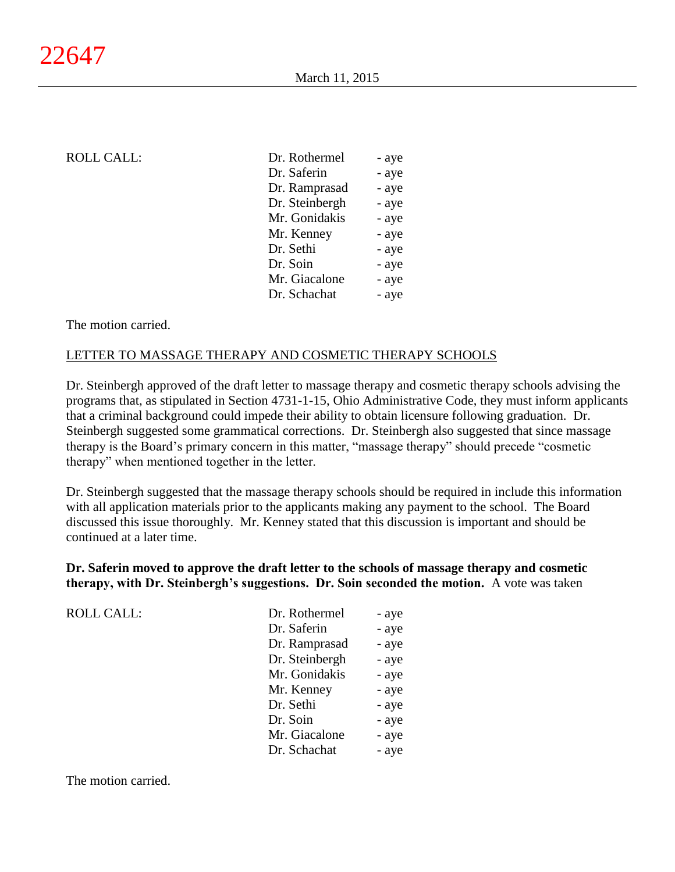| <b>ROLL CALL:</b> | Dr. Rothermel  | - aye |
|-------------------|----------------|-------|
|                   | Dr. Saferin    | - aye |
|                   | Dr. Ramprasad  | - aye |
|                   | Dr. Steinbergh | - aye |
|                   | Mr. Gonidakis  | - aye |
|                   | Mr. Kenney     | - aye |
|                   | Dr. Sethi      | - aye |
|                   | Dr. Soin       | - aye |
|                   | Mr. Giacalone  | - aye |
|                   | Dr. Schachat   | - aye |
|                   |                |       |

#### The motion carried.

#### LETTER TO MASSAGE THERAPY AND COSMETIC THERAPY SCHOOLS

Dr. Steinbergh approved of the draft letter to massage therapy and cosmetic therapy schools advising the programs that, as stipulated in Section 4731-1-15, Ohio Administrative Code, they must inform applicants that a criminal background could impede their ability to obtain licensure following graduation. Dr. Steinbergh suggested some grammatical corrections. Dr. Steinbergh also suggested that since massage therapy is the Board's primary concern in this matter, "massage therapy" should precede "cosmetic therapy" when mentioned together in the letter.

Dr. Steinbergh suggested that the massage therapy schools should be required in include this information with all application materials prior to the applicants making any payment to the school. The Board discussed this issue thoroughly. Mr. Kenney stated that this discussion is important and should be continued at a later time.

**Dr. Saferin moved to approve the draft letter to the schools of massage therapy and cosmetic therapy, with Dr. Steinbergh's suggestions. Dr. Soin seconded the motion.** A vote was taken

| <b>ROLL CALL:</b> | Dr. Rothermel  | - aye |
|-------------------|----------------|-------|
|                   | Dr. Saferin    | - aye |
|                   | Dr. Ramprasad  | - aye |
|                   | Dr. Steinbergh | - aye |
|                   | Mr. Gonidakis  | - aye |
|                   | Mr. Kenney     | - aye |
|                   | Dr. Sethi      | - aye |
|                   | Dr. Soin       | - aye |
|                   | Mr. Giacalone  | - aye |
|                   | Dr. Schachat   | - aye |

The motion carried.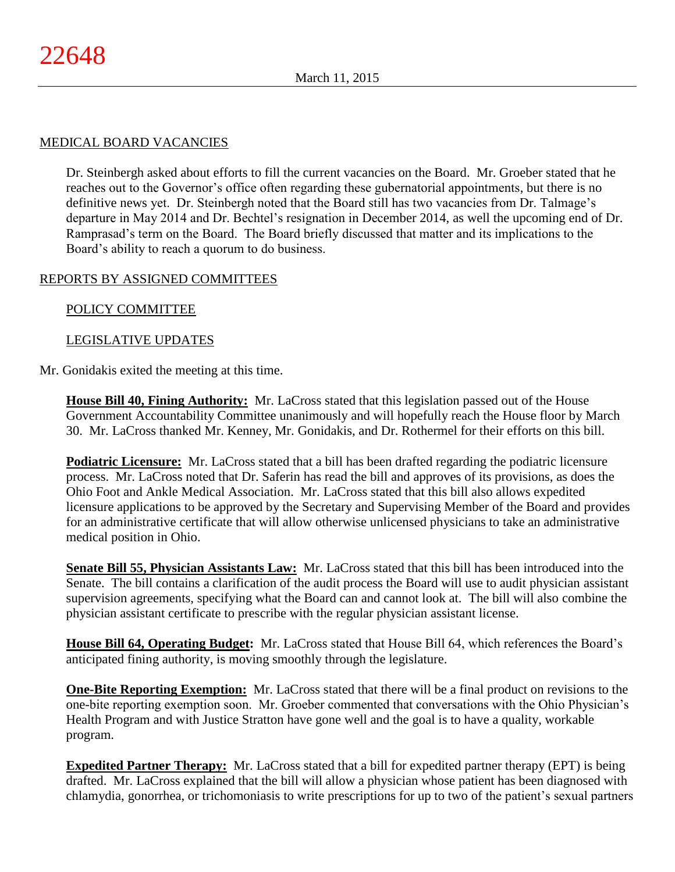## MEDICAL BOARD VACANCIES

Dr. Steinbergh asked about efforts to fill the current vacancies on the Board. Mr. Groeber stated that he reaches out to the Governor's office often regarding these gubernatorial appointments, but there is no definitive news yet. Dr. Steinbergh noted that the Board still has two vacancies from Dr. Talmage's departure in May 2014 and Dr. Bechtel's resignation in December 2014, as well the upcoming end of Dr. Ramprasad's term on the Board. The Board briefly discussed that matter and its implications to the Board's ability to reach a quorum to do business.

## REPORTS BY ASSIGNED COMMITTEES

## POLICY COMMITTEE

## LEGISLATIVE UPDATES

#### Mr. Gonidakis exited the meeting at this time.

**House Bill 40, Fining Authority:** Mr. LaCross stated that this legislation passed out of the House Government Accountability Committee unanimously and will hopefully reach the House floor by March 30. Mr. LaCross thanked Mr. Kenney, Mr. Gonidakis, and Dr. Rothermel for their efforts on this bill.

**Podiatric Licensure:** Mr. LaCross stated that a bill has been drafted regarding the podiatric licensure process. Mr. LaCross noted that Dr. Saferin has read the bill and approves of its provisions, as does the Ohio Foot and Ankle Medical Association. Mr. LaCross stated that this bill also allows expedited licensure applications to be approved by the Secretary and Supervising Member of the Board and provides for an administrative certificate that will allow otherwise unlicensed physicians to take an administrative medical position in Ohio.

**Senate Bill 55, Physician Assistants Law:** Mr. LaCross stated that this bill has been introduced into the Senate. The bill contains a clarification of the audit process the Board will use to audit physician assistant supervision agreements, specifying what the Board can and cannot look at. The bill will also combine the physician assistant certificate to prescribe with the regular physician assistant license.

**House Bill 64, Operating Budget:** Mr. LaCross stated that House Bill 64, which references the Board's anticipated fining authority, is moving smoothly through the legislature.

**One-Bite Reporting Exemption:** Mr. LaCross stated that there will be a final product on revisions to the one-bite reporting exemption soon. Mr. Groeber commented that conversations with the Ohio Physician's Health Program and with Justice Stratton have gone well and the goal is to have a quality, workable program.

**Expedited Partner Therapy:** Mr. LaCross stated that a bill for expedited partner therapy (EPT) is being drafted. Mr. LaCross explained that the bill will allow a physician whose patient has been diagnosed with chlamydia, gonorrhea, or trichomoniasis to write prescriptions for up to two of the patient's sexual partners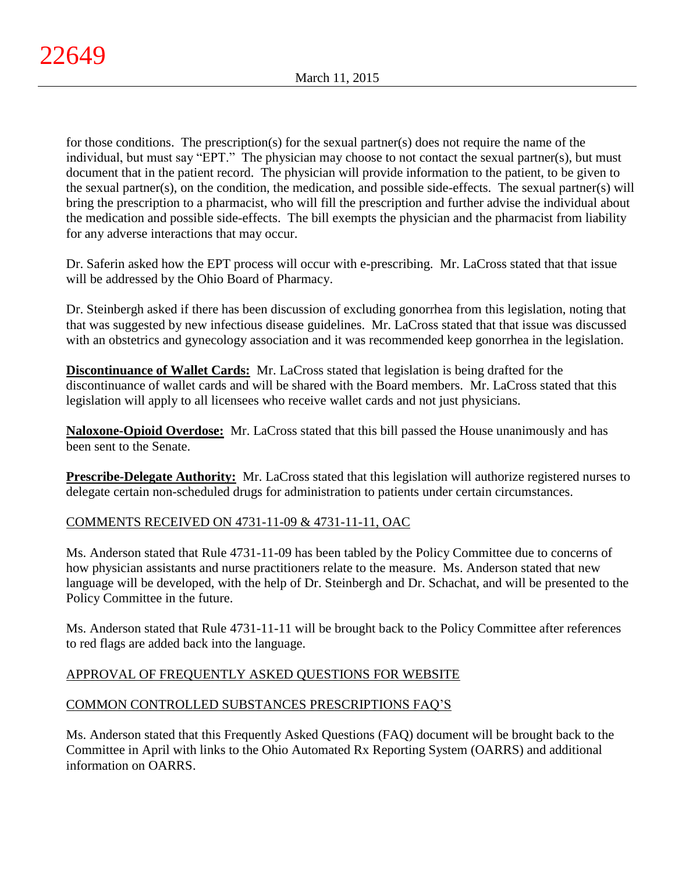for those conditions. The prescription(s) for the sexual partner(s) does not require the name of the individual, but must say "EPT." The physician may choose to not contact the sexual partner(s), but must document that in the patient record. The physician will provide information to the patient, to be given to the sexual partner(s), on the condition, the medication, and possible side-effects. The sexual partner(s) will bring the prescription to a pharmacist, who will fill the prescription and further advise the individual about the medication and possible side-effects. The bill exempts the physician and the pharmacist from liability for any adverse interactions that may occur.

Dr. Saferin asked how the EPT process will occur with e-prescribing. Mr. LaCross stated that that issue will be addressed by the Ohio Board of Pharmacy.

Dr. Steinbergh asked if there has been discussion of excluding gonorrhea from this legislation, noting that that was suggested by new infectious disease guidelines. Mr. LaCross stated that that issue was discussed with an obstetrics and gynecology association and it was recommended keep gonorrhea in the legislation.

**Discontinuance of Wallet Cards:** Mr. LaCross stated that legislation is being drafted for the discontinuance of wallet cards and will be shared with the Board members. Mr. LaCross stated that this legislation will apply to all licensees who receive wallet cards and not just physicians.

**Naloxone-Opioid Overdose:** Mr. LaCross stated that this bill passed the House unanimously and has been sent to the Senate.

**Prescribe-Delegate Authority:** Mr. LaCross stated that this legislation will authorize registered nurses to delegate certain non-scheduled drugs for administration to patients under certain circumstances.

# COMMENTS RECEIVED ON 4731-11-09 & 4731-11-11, OAC

Ms. Anderson stated that Rule 4731-11-09 has been tabled by the Policy Committee due to concerns of how physician assistants and nurse practitioners relate to the measure. Ms. Anderson stated that new language will be developed, with the help of Dr. Steinbergh and Dr. Schachat, and will be presented to the Policy Committee in the future.

Ms. Anderson stated that Rule 4731-11-11 will be brought back to the Policy Committee after references to red flags are added back into the language.

# APPROVAL OF FREQUENTLY ASKED QUESTIONS FOR WEBSITE

# COMMON CONTROLLED SUBSTANCES PRESCRIPTIONS FAQ'S

Ms. Anderson stated that this Frequently Asked Questions (FAQ) document will be brought back to the Committee in April with links to the Ohio Automated Rx Reporting System (OARRS) and additional information on OARRS.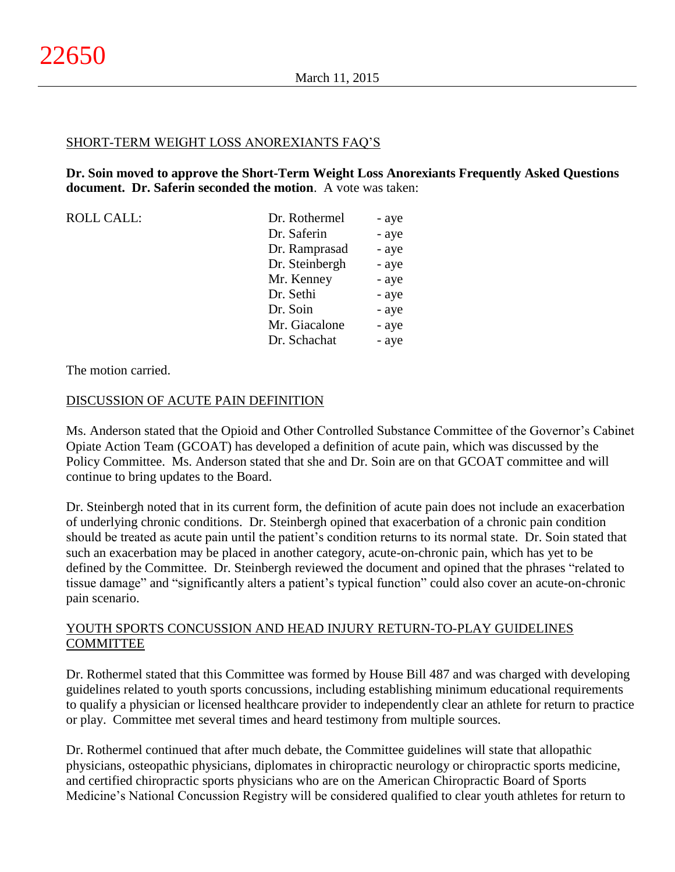#### SHORT-TERM WEIGHT LOSS ANOREXIANTS FAQ'S

**Dr. Soin moved to approve the Short-Term Weight Loss Anorexiants Frequently Asked Questions document. Dr. Saferin seconded the motion**. A vote was taken:

| <b>ROLL CALL:</b> | Dr. Rothermel  | - aye |
|-------------------|----------------|-------|
|                   | Dr. Saferin    | - aye |
|                   | Dr. Ramprasad  | - aye |
|                   | Dr. Steinbergh | - aye |
|                   | Mr. Kenney     | - aye |
|                   | Dr. Sethi      | - aye |
|                   | Dr. Soin       | - aye |
|                   | Mr. Giacalone  | - aye |
|                   | Dr. Schachat   | - aye |

The motion carried.

## DISCUSSION OF ACUTE PAIN DEFINITION

Ms. Anderson stated that the Opioid and Other Controlled Substance Committee of the Governor's Cabinet Opiate Action Team (GCOAT) has developed a definition of acute pain, which was discussed by the Policy Committee. Ms. Anderson stated that she and Dr. Soin are on that GCOAT committee and will continue to bring updates to the Board.

Dr. Steinbergh noted that in its current form, the definition of acute pain does not include an exacerbation of underlying chronic conditions. Dr. Steinbergh opined that exacerbation of a chronic pain condition should be treated as acute pain until the patient's condition returns to its normal state. Dr. Soin stated that such an exacerbation may be placed in another category, acute-on-chronic pain, which has yet to be defined by the Committee. Dr. Steinbergh reviewed the document and opined that the phrases "related to tissue damage" and "significantly alters a patient's typical function" could also cover an acute-on-chronic pain scenario.

# YOUTH SPORTS CONCUSSION AND HEAD INJURY RETURN-TO-PLAY GUIDELINES COMMITTEE

Dr. Rothermel stated that this Committee was formed by House Bill 487 and was charged with developing guidelines related to youth sports concussions, including establishing minimum educational requirements to qualify a physician or licensed healthcare provider to independently clear an athlete for return to practice or play. Committee met several times and heard testimony from multiple sources.

Dr. Rothermel continued that after much debate, the Committee guidelines will state that allopathic physicians, osteopathic physicians, diplomates in chiropractic neurology or chiropractic sports medicine, and certified chiropractic sports physicians who are on the American Chiropractic Board of Sports Medicine's National Concussion Registry will be considered qualified to clear youth athletes for return to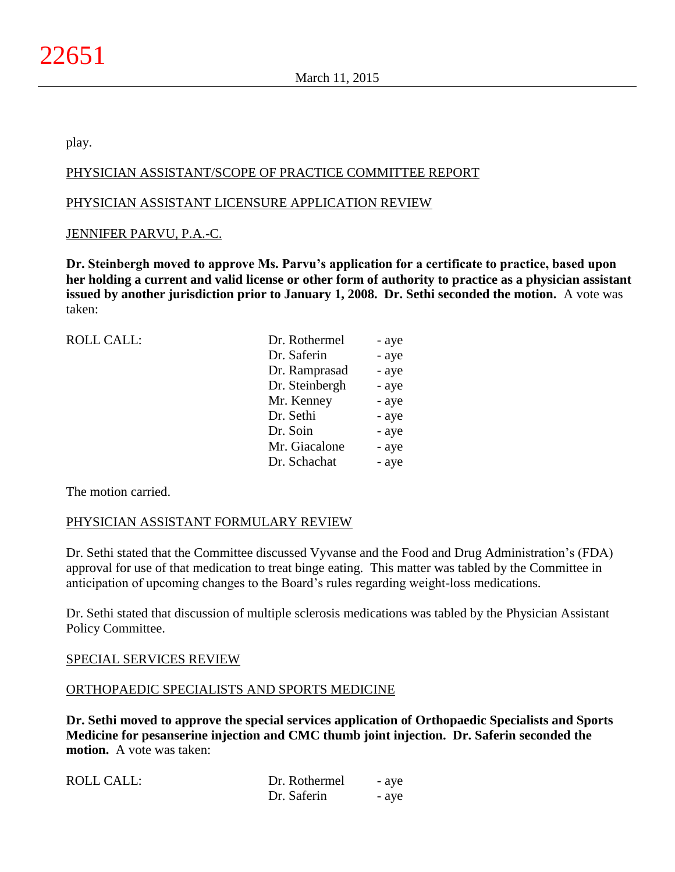play.

# PHYSICIAN ASSISTANT/SCOPE OF PRACTICE COMMITTEE REPORT

## PHYSICIAN ASSISTANT LICENSURE APPLICATION REVIEW

## JENNIFER PARVU, P.A.-C.

**Dr. Steinbergh moved to approve Ms. Parvu's application for a certificate to practice, based upon her holding a current and valid license or other form of authority to practice as a physician assistant issued by another jurisdiction prior to January 1, 2008. Dr. Sethi seconded the motion.** A vote was taken:

| <b>ROLL CALL:</b> | Dr. Rothermel  | - aye |
|-------------------|----------------|-------|
|                   | Dr. Saferin    | - aye |
|                   | Dr. Ramprasad  | - aye |
|                   | Dr. Steinbergh | - aye |
|                   | Mr. Kenney     | - aye |
|                   | Dr. Sethi      | - aye |
|                   | Dr. Soin       | - aye |
|                   | Mr. Giacalone  | - aye |
|                   | Dr. Schachat   | - aye |
|                   |                |       |

The motion carried.

## PHYSICIAN ASSISTANT FORMULARY REVIEW

Dr. Sethi stated that the Committee discussed Vyvanse and the Food and Drug Administration's (FDA) approval for use of that medication to treat binge eating. This matter was tabled by the Committee in anticipation of upcoming changes to the Board's rules regarding weight-loss medications.

Dr. Sethi stated that discussion of multiple sclerosis medications was tabled by the Physician Assistant Policy Committee.

#### SPECIAL SERVICES REVIEW

#### ORTHOPAEDIC SPECIALISTS AND SPORTS MEDICINE

**Dr. Sethi moved to approve the special services application of Orthopaedic Specialists and Sports Medicine for pesanserine injection and CMC thumb joint injection. Dr. Saferin seconded the motion.** A vote was taken:

| <b>ROLL CALL:</b> | Dr. Rothermel | - ave |
|-------------------|---------------|-------|
|                   | Dr. Saferin   | - ave |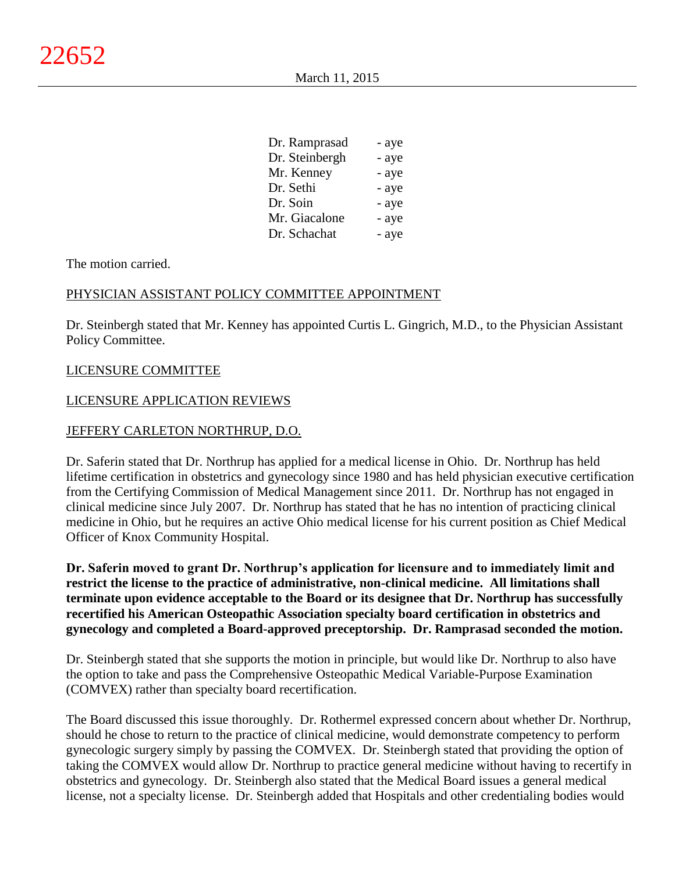| Dr. Ramprasad  | - aye |
|----------------|-------|
| Dr. Steinbergh | - aye |
| Mr. Kenney     | - aye |
| Dr. Sethi      | - aye |
| Dr. Soin       | - aye |
| Mr. Giacalone  | - aye |
| Dr. Schachat   | - aye |

#### The motion carried.

## PHYSICIAN ASSISTANT POLICY COMMITTEE APPOINTMENT

Dr. Steinbergh stated that Mr. Kenney has appointed Curtis L. Gingrich, M.D., to the Physician Assistant Policy Committee.

#### LICENSURE COMMITTEE

#### LICENSURE APPLICATION REVIEWS

#### JEFFERY CARLETON NORTHRUP, D.O.

Dr. Saferin stated that Dr. Northrup has applied for a medical license in Ohio. Dr. Northrup has held lifetime certification in obstetrics and gynecology since 1980 and has held physician executive certification from the Certifying Commission of Medical Management since 2011. Dr. Northrup has not engaged in clinical medicine since July 2007. Dr. Northrup has stated that he has no intention of practicing clinical medicine in Ohio, but he requires an active Ohio medical license for his current position as Chief Medical Officer of Knox Community Hospital.

**Dr. Saferin moved to grant Dr. Northrup's application for licensure and to immediately limit and restrict the license to the practice of administrative, non-clinical medicine. All limitations shall terminate upon evidence acceptable to the Board or its designee that Dr. Northrup has successfully recertified his American Osteopathic Association specialty board certification in obstetrics and gynecology and completed a Board-approved preceptorship. Dr. Ramprasad seconded the motion.**

Dr. Steinbergh stated that she supports the motion in principle, but would like Dr. Northrup to also have the option to take and pass the Comprehensive Osteopathic Medical Variable-Purpose Examination (COMVEX) rather than specialty board recertification.

The Board discussed this issue thoroughly. Dr. Rothermel expressed concern about whether Dr. Northrup, should he chose to return to the practice of clinical medicine, would demonstrate competency to perform gynecologic surgery simply by passing the COMVEX. Dr. Steinbergh stated that providing the option of taking the COMVEX would allow Dr. Northrup to practice general medicine without having to recertify in obstetrics and gynecology. Dr. Steinbergh also stated that the Medical Board issues a general medical license, not a specialty license. Dr. Steinbergh added that Hospitals and other credentialing bodies would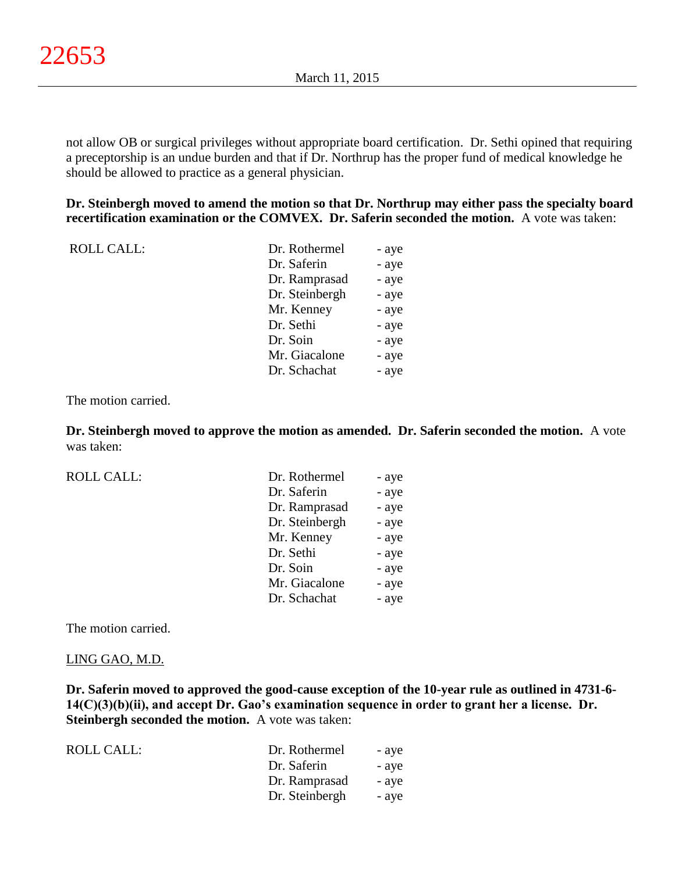not allow OB or surgical privileges without appropriate board certification. Dr. Sethi opined that requiring a preceptorship is an undue burden and that if Dr. Northrup has the proper fund of medical knowledge he should be allowed to practice as a general physician.

**Dr. Steinbergh moved to amend the motion so that Dr. Northrup may either pass the specialty board recertification examination or the COMVEX. Dr. Saferin seconded the motion.** A vote was taken:

| ROLL CALL: | Dr. Rothermel  | - aye |
|------------|----------------|-------|
|            | Dr. Saferin    | - aye |
|            | Dr. Ramprasad  | - aye |
|            | Dr. Steinbergh | - aye |
|            | Mr. Kenney     | - aye |
|            | Dr. Sethi      | - aye |
|            | Dr. Soin       | - aye |
|            | Mr. Giacalone  | - aye |
|            | Dr. Schachat   | - aye |

The motion carried.

**Dr. Steinbergh moved to approve the motion as amended. Dr. Saferin seconded the motion.** A vote was taken:

ROLL CALL:

| Dr. Rothermel  | - aye |
|----------------|-------|
| Dr. Saferin    | - aye |
| Dr. Ramprasad  | - aye |
| Dr. Steinbergh | - aye |
| Mr. Kenney     | - aye |
| Dr. Sethi      | - aye |
| Dr. Soin       | - aye |
| Mr. Giacalone  | - aye |
| Dr. Schachat   | - aye |

The motion carried.

#### LING GAO, M.D.

**Dr. Saferin moved to approved the good-cause exception of the 10-year rule as outlined in 4731-6- 14(C)(3)(b)(ii), and accept Dr. Gao's examination sequence in order to grant her a license. Dr. Steinbergh seconded the motion.** A vote was taken:

| ROLL CALL: | Dr. Rothermel  | - aye |
|------------|----------------|-------|
|            | Dr. Saferin    | - aye |
|            | Dr. Ramprasad  | - aye |
|            | Dr. Steinbergh | - aye |
|            |                |       |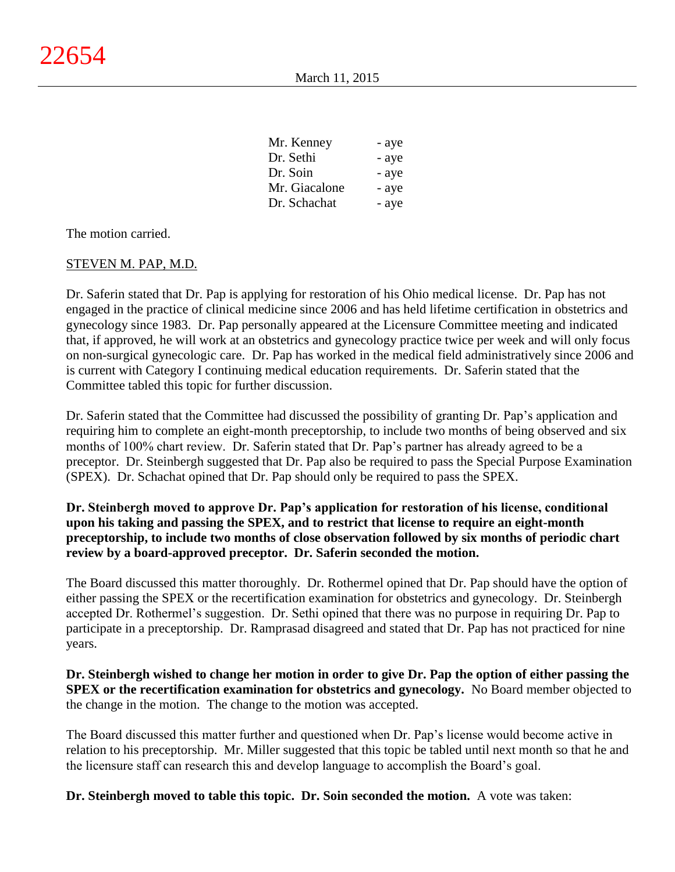| Mr. Kenney    | - aye |
|---------------|-------|
| Dr. Sethi     | - aye |
| Dr. Soin      | - aye |
| Mr. Giacalone | - aye |
| Dr. Schachat  | - aye |

The motion carried.

#### STEVEN M. PAP, M.D.

Dr. Saferin stated that Dr. Pap is applying for restoration of his Ohio medical license. Dr. Pap has not engaged in the practice of clinical medicine since 2006 and has held lifetime certification in obstetrics and gynecology since 1983. Dr. Pap personally appeared at the Licensure Committee meeting and indicated that, if approved, he will work at an obstetrics and gynecology practice twice per week and will only focus on non-surgical gynecologic care. Dr. Pap has worked in the medical field administratively since 2006 and is current with Category I continuing medical education requirements. Dr. Saferin stated that the Committee tabled this topic for further discussion.

Dr. Saferin stated that the Committee had discussed the possibility of granting Dr. Pap's application and requiring him to complete an eight-month preceptorship, to include two months of being observed and six months of 100% chart review. Dr. Saferin stated that Dr. Pap's partner has already agreed to be a preceptor. Dr. Steinbergh suggested that Dr. Pap also be required to pass the Special Purpose Examination (SPEX). Dr. Schachat opined that Dr. Pap should only be required to pass the SPEX.

# **Dr. Steinbergh moved to approve Dr. Pap's application for restoration of his license, conditional upon his taking and passing the SPEX, and to restrict that license to require an eight-month preceptorship, to include two months of close observation followed by six months of periodic chart review by a board-approved preceptor. Dr. Saferin seconded the motion.**

The Board discussed this matter thoroughly. Dr. Rothermel opined that Dr. Pap should have the option of either passing the SPEX or the recertification examination for obstetrics and gynecology. Dr. Steinbergh accepted Dr. Rothermel's suggestion. Dr. Sethi opined that there was no purpose in requiring Dr. Pap to participate in a preceptorship. Dr. Ramprasad disagreed and stated that Dr. Pap has not practiced for nine years.

**Dr. Steinbergh wished to change her motion in order to give Dr. Pap the option of either passing the SPEX or the recertification examination for obstetrics and gynecology.** No Board member objected to the change in the motion. The change to the motion was accepted.

The Board discussed this matter further and questioned when Dr. Pap's license would become active in relation to his preceptorship. Mr. Miller suggested that this topic be tabled until next month so that he and the licensure staff can research this and develop language to accomplish the Board's goal.

**Dr. Steinbergh moved to table this topic. Dr. Soin seconded the motion.** A vote was taken: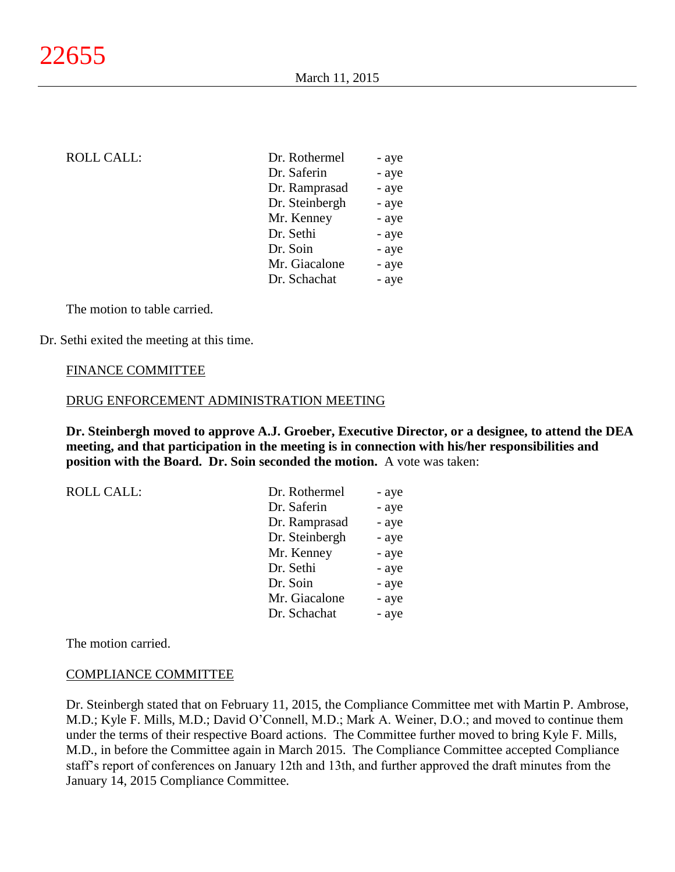# ROLL CALL:

| Dr. Rothermel  | - aye |
|----------------|-------|
| Dr. Saferin    | - aye |
| Dr. Ramprasad  | - aye |
| Dr. Steinbergh | - aye |
| Mr. Kenney     | - aye |
| Dr. Sethi      | - aye |
| Dr. Soin       | - aye |
| Mr. Giacalone  | - aye |
| Dr. Schachat   | - aye |

The motion to table carried.

Dr. Sethi exited the meeting at this time.

#### FINANCE COMMITTEE

#### DRUG ENFORCEMENT ADMINISTRATION MEETING

**Dr. Steinbergh moved to approve A.J. Groeber, Executive Director, or a designee, to attend the DEA meeting, and that participation in the meeting is in connection with his/her responsibilities and position with the Board. Dr. Soin seconded the motion.** A vote was taken:

| <b>ROLL CALL:</b> | Dr. Rothermel  | - aye |
|-------------------|----------------|-------|
|                   | Dr. Saferin    | - aye |
|                   | Dr. Ramprasad  | - aye |
|                   | Dr. Steinbergh | - aye |
|                   | Mr. Kenney     | - aye |
|                   | Dr. Sethi      | - aye |
|                   | Dr. Soin       | - aye |
|                   | Mr. Giacalone  | - aye |
|                   | Dr. Schachat   | - aye |

The motion carried.

#### COMPLIANCE COMMITTEE

Dr. Steinbergh stated that on February 11, 2015, the Compliance Committee met with Martin P. Ambrose, M.D.; Kyle F. Mills, M.D.; David O'Connell, M.D.; Mark A. Weiner, D.O.; and moved to continue them under the terms of their respective Board actions. The Committee further moved to bring Kyle F. Mills, M.D., in before the Committee again in March 2015. The Compliance Committee accepted Compliance staff's report of conferences on January 12th and 13th, and further approved the draft minutes from the January 14, 2015 Compliance Committee.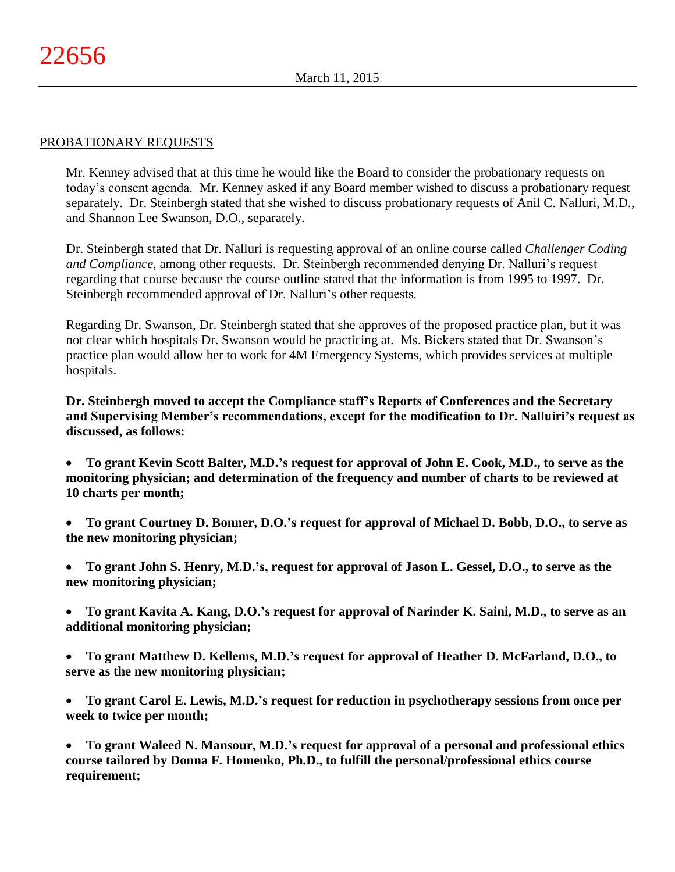#### PROBATIONARY REQUESTS

Mr. Kenney advised that at this time he would like the Board to consider the probationary requests on today's consent agenda. Mr. Kenney asked if any Board member wished to discuss a probationary request separately. Dr. Steinbergh stated that she wished to discuss probationary requests of Anil C. Nalluri, M.D., and Shannon Lee Swanson, D.O., separately.

Dr. Steinbergh stated that Dr. Nalluri is requesting approval of an online course called *Challenger Coding and Compliance*, among other requests. Dr. Steinbergh recommended denying Dr. Nalluri's request regarding that course because the course outline stated that the information is from 1995 to 1997. Dr. Steinbergh recommended approval of Dr. Nalluri's other requests.

Regarding Dr. Swanson, Dr. Steinbergh stated that she approves of the proposed practice plan, but it was not clear which hospitals Dr. Swanson would be practicing at. Ms. Bickers stated that Dr. Swanson's practice plan would allow her to work for 4M Emergency Systems, which provides services at multiple hospitals.

**Dr. Steinbergh moved to accept the Compliance staff's Reports of Conferences and the Secretary and Supervising Member's recommendations, except for the modification to Dr. Nalluiri's request as discussed, as follows:**

- **To grant Kevin Scott Balter, M.D.'s request for approval of John E. Cook, M.D., to serve as the monitoring physician; and determination of the frequency and number of charts to be reviewed at 10 charts per month;**
- **To grant Courtney D. Bonner, D.O.'s request for approval of Michael D. Bobb, D.O., to serve as the new monitoring physician;**
- **To grant John S. Henry, M.D.'s, request for approval of Jason L. Gessel, D.O., to serve as the new monitoring physician;**
- **To grant Kavita A. Kang, D.O.'s request for approval of Narinder K. Saini, M.D., to serve as an additional monitoring physician;**
- **To grant Matthew D. Kellems, M.D.'s request for approval of Heather D. McFarland, D.O., to serve as the new monitoring physician;**
- **To grant Carol E. Lewis, M.D.'s request for reduction in psychotherapy sessions from once per week to twice per month;**

 **To grant Waleed N. Mansour, M.D.'s request for approval of a personal and professional ethics course tailored by Donna F. Homenko, Ph.D., to fulfill the personal/professional ethics course requirement;**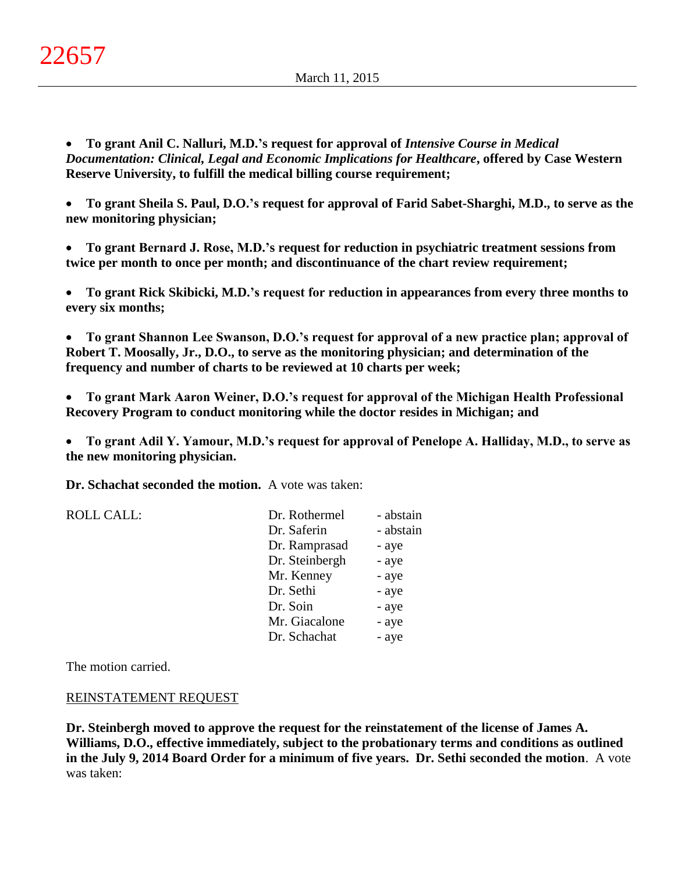**To grant Anil C. Nalluri, M.D.'s request for approval of** *Intensive Course in Medical Documentation: Clinical, Legal and Economic Implications for Healthcare***, offered by Case Western Reserve University, to fulfill the medical billing course requirement;**

 **To grant Sheila S. Paul, D.O.'s request for approval of Farid Sabet-Sharghi, M.D., to serve as the new monitoring physician;**

 **To grant Bernard J. Rose, M.D.'s request for reduction in psychiatric treatment sessions from twice per month to once per month; and discontinuance of the chart review requirement;**

 **To grant Rick Skibicki, M.D.'s request for reduction in appearances from every three months to every six months;**

 **To grant Shannon Lee Swanson, D.O.'s request for approval of a new practice plan; approval of Robert T. Moosally, Jr., D.O., to serve as the monitoring physician; and determination of the frequency and number of charts to be reviewed at 10 charts per week;**

 **To grant Mark Aaron Weiner, D.O.'s request for approval of the Michigan Health Professional Recovery Program to conduct monitoring while the doctor resides in Michigan; and** 

 **To grant Adil Y. Yamour, M.D.'s request for approval of Penelope A. Halliday, M.D., to serve as the new monitoring physician.**

**Dr. Schachat seconded the motion.** A vote was taken:

ROLL CALL: Dr. Rothermel - abstain Dr. Saferin - abstain Dr. Ramprasad - aye Dr. Steinbergh - aye Mr. Kenney - aye Dr. Sethi - aye Dr. Soin - aye Mr. Giacalone - aye Dr. Schachat - aye

The motion carried.

## REINSTATEMENT REQUEST

**Dr. Steinbergh moved to approve the request for the reinstatement of the license of James A. Williams, D.O., effective immediately, subject to the probationary terms and conditions as outlined in the July 9, 2014 Board Order for a minimum of five years. Dr. Sethi seconded the motion**. A vote was taken: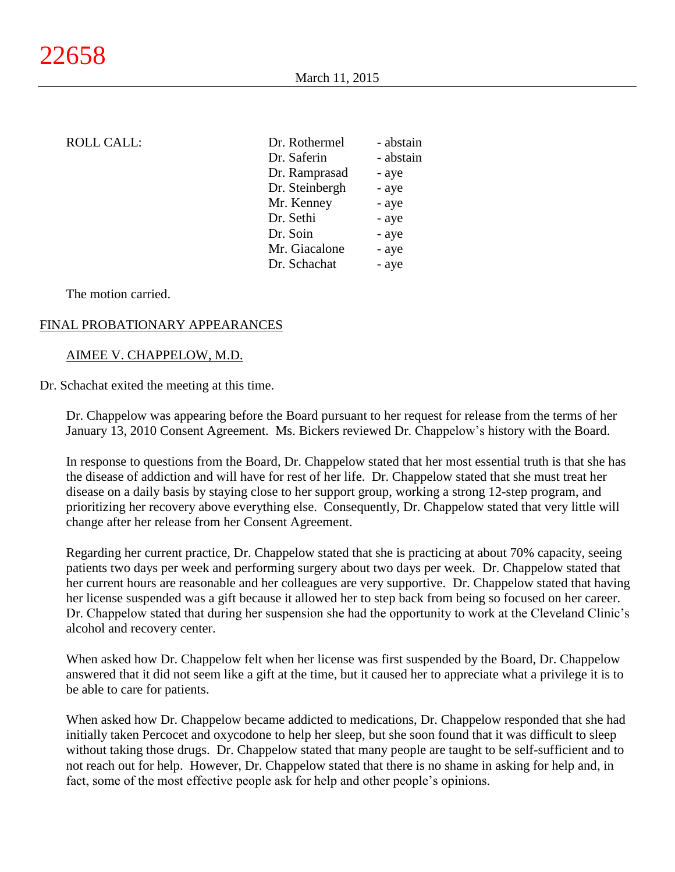| Dr. Rothermel  | - abstain |
|----------------|-----------|
| Dr. Saferin    | - abstain |
| Dr. Ramprasad  | - aye     |
| Dr. Steinbergh | - aye     |
| Mr. Kenney     | - aye     |
| Dr. Sethi      | - aye     |
| Dr. Soin       | - aye     |
| Mr. Giacalone  | - aye     |
| Dr. Schachat   | - aye     |
|                |           |

#### The motion carried.

# FINAL PROBATIONARY APPEARANCES

## AIMEE V. CHAPPELOW, M.D.

Dr. Schachat exited the meeting at this time.

Dr. Chappelow was appearing before the Board pursuant to her request for release from the terms of her January 13, 2010 Consent Agreement. Ms. Bickers reviewed Dr. Chappelow's history with the Board.

In response to questions from the Board, Dr. Chappelow stated that her most essential truth is that she has the disease of addiction and will have for rest of her life. Dr. Chappelow stated that she must treat her disease on a daily basis by staying close to her support group, working a strong 12-step program, and prioritizing her recovery above everything else. Consequently, Dr. Chappelow stated that very little will change after her release from her Consent Agreement.

Regarding her current practice, Dr. Chappelow stated that she is practicing at about 70% capacity, seeing patients two days per week and performing surgery about two days per week. Dr. Chappelow stated that her current hours are reasonable and her colleagues are very supportive. Dr. Chappelow stated that having her license suspended was a gift because it allowed her to step back from being so focused on her career. Dr. Chappelow stated that during her suspension she had the opportunity to work at the Cleveland Clinic's alcohol and recovery center.

When asked how Dr. Chappelow felt when her license was first suspended by the Board, Dr. Chappelow answered that it did not seem like a gift at the time, but it caused her to appreciate what a privilege it is to be able to care for patients.

When asked how Dr. Chappelow became addicted to medications, Dr. Chappelow responded that she had initially taken Percocet and oxycodone to help her sleep, but she soon found that it was difficult to sleep without taking those drugs. Dr. Chappelow stated that many people are taught to be self-sufficient and to not reach out for help. However, Dr. Chappelow stated that there is no shame in asking for help and, in fact, some of the most effective people ask for help and other people's opinions.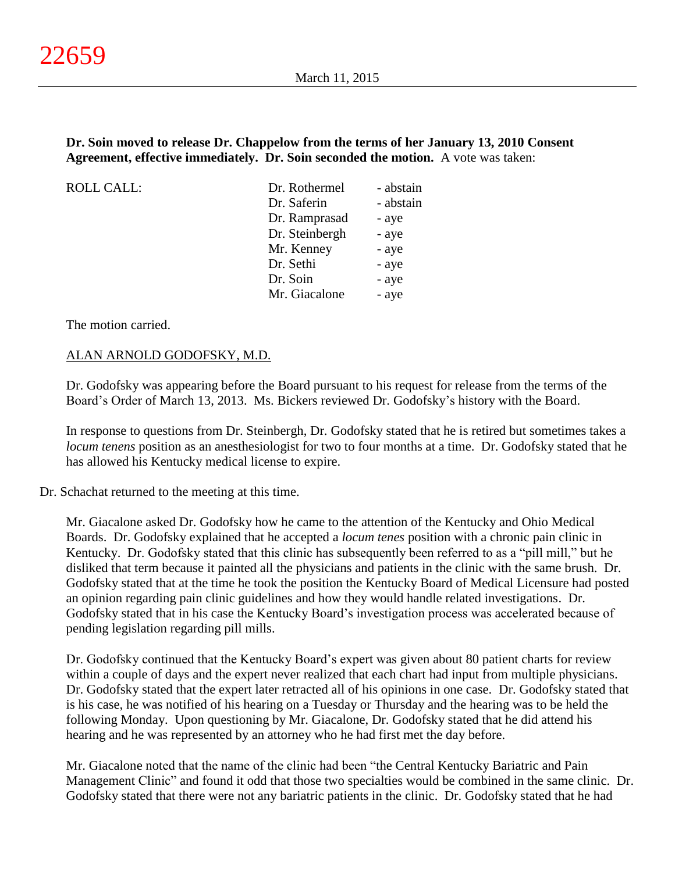## **Dr. Soin moved to release Dr. Chappelow from the terms of her January 13, 2010 Consent Agreement, effective immediately. Dr. Soin seconded the motion.** A vote was taken:

ROLL CALL:

| Dr. Rothermel  | - abstain |
|----------------|-----------|
| Dr. Saferin    | - abstain |
| Dr. Ramprasad  | - aye     |
| Dr. Steinbergh | - aye     |
| Mr. Kenney     | - aye     |
| Dr. Sethi      | - aye     |
| Dr. Soin       | - aye     |
| Mr. Giacalone  | - aye     |
|                |           |

The motion carried.

## ALAN ARNOLD GODOFSKY, M.D.

Dr. Godofsky was appearing before the Board pursuant to his request for release from the terms of the Board's Order of March 13, 2013. Ms. Bickers reviewed Dr. Godofsky's history with the Board.

In response to questions from Dr. Steinbergh, Dr. Godofsky stated that he is retired but sometimes takes a *locum tenens* position as an anesthesiologist for two to four months at a time. Dr. Godofsky stated that he has allowed his Kentucky medical license to expire.

Dr. Schachat returned to the meeting at this time.

Mr. Giacalone asked Dr. Godofsky how he came to the attention of the Kentucky and Ohio Medical Boards. Dr. Godofsky explained that he accepted a *locum tenes* position with a chronic pain clinic in Kentucky. Dr. Godofsky stated that this clinic has subsequently been referred to as a "pill mill," but he disliked that term because it painted all the physicians and patients in the clinic with the same brush. Dr. Godofsky stated that at the time he took the position the Kentucky Board of Medical Licensure had posted an opinion regarding pain clinic guidelines and how they would handle related investigations. Dr. Godofsky stated that in his case the Kentucky Board's investigation process was accelerated because of pending legislation regarding pill mills.

Dr. Godofsky continued that the Kentucky Board's expert was given about 80 patient charts for review within a couple of days and the expert never realized that each chart had input from multiple physicians. Dr. Godofsky stated that the expert later retracted all of his opinions in one case. Dr. Godofsky stated that is his case, he was notified of his hearing on a Tuesday or Thursday and the hearing was to be held the following Monday. Upon questioning by Mr. Giacalone, Dr. Godofsky stated that he did attend his hearing and he was represented by an attorney who he had first met the day before.

Mr. Giacalone noted that the name of the clinic had been "the Central Kentucky Bariatric and Pain Management Clinic" and found it odd that those two specialties would be combined in the same clinic. Dr. Godofsky stated that there were not any bariatric patients in the clinic. Dr. Godofsky stated that he had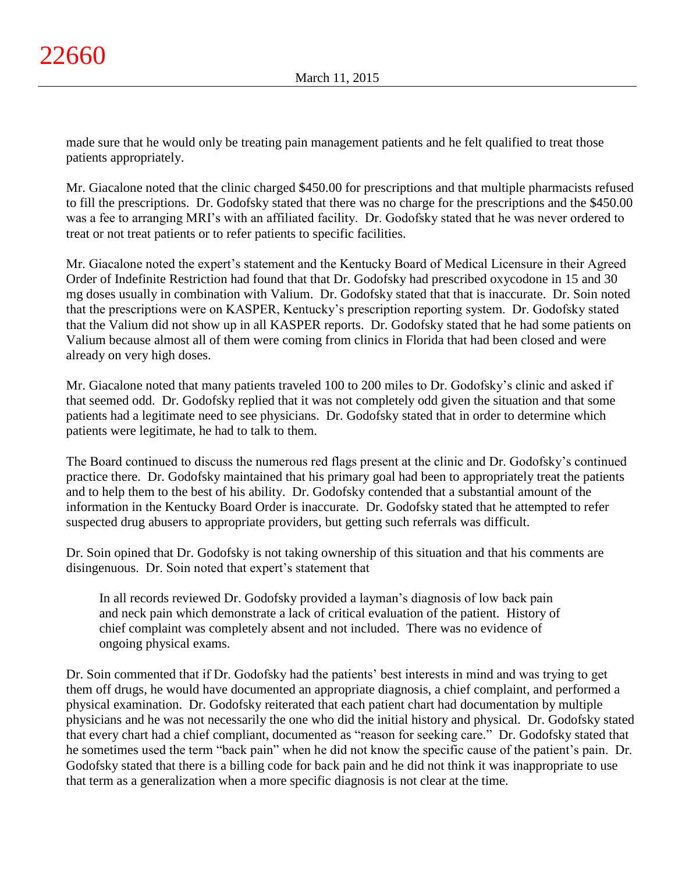made sure that he would only be treating pain management patients and he felt qualified to treat those patients appropriately.

Mr. Giacalone noted that the clinic charged \$450.00 for prescriptions and that multiple pharmacists refused to fill the prescriptions. Dr. Godofsky stated that there was no charge for the prescriptions and the \$450.00 was a fee to arranging MRI's with an affiliated facility. Dr. Godofsky stated that he was never ordered to treat or not treat patients or to refer patients to specific facilities.

Mr. Giacalone noted the expert's statement and the Kentucky Board of Medical Licensure in their Agreed Order of Indefinite Restriction had found that that Dr. Godofsky had prescribed oxycodone in 15 and 30 mg doses usually in combination with Valium. Dr. Godofsky stated that that is inaccurate. Dr. Soin noted that the prescriptions were on KASPER, Kentucky's prescription reporting system. Dr. Godofsky stated that the Valium did not show up in all KASPER reports. Dr. Godofsky stated that he had some patients on Valium because almost all of them were coming from clinics in Florida that had been closed and were already on very high doses.

Mr. Giacalone noted that many patients traveled 100 to 200 miles to Dr. Godofsky's clinic and asked if that seemed odd. Dr. Godofsky replied that it was not completely odd given the situation and that some patients had a legitimate need to see physicians. Dr. Godofsky stated that in order to determine which patients were legitimate, he had to talk to them.

The Board continued to discuss the numerous red flags present at the clinic and Dr. Godofsky's continued practice there. Dr. Godofsky maintained that his primary goal had been to appropriately treat the patients and to help them to the best of his ability. Dr. Godofsky contended that a substantial amount of the information in the Kentucky Board Order is inaccurate. Dr. Godofsky stated that he attempted to refer suspected drug abusers to appropriate providers, but getting such referrals was difficult.

Dr. Soin opined that Dr. Godofsky is not taking ownership of this situation and that his comments are disingenuous. Dr. Soin noted that expert's statement that

In all records reviewed Dr. Godofsky provided a layman's diagnosis of low back pain and neck pain which demonstrate a lack of critical evaluation of the patient. History of chief complaint was completely absent and not included. There was no evidence of ongoing physical exams.

Dr. Soin commented that if Dr. Godofsky had the patients' best interests in mind and was trying to get them off drugs, he would have documented an appropriate diagnosis, a chief complaint, and performed a physical examination. Dr. Godofsky reiterated that each patient chart had documentation by multiple physicians and he was not necessarily the one who did the initial history and physical. Dr. Godofsky stated that every chart had a chief compliant, documented as "reason for seeking care." Dr. Godofsky stated that he sometimes used the term "back pain" when he did not know the specific cause of the patient's pain. Dr. Godofsky stated that there is a billing code for back pain and he did not think it was inappropriate to use that term as a generalization when a more specific diagnosis is not clear at the time.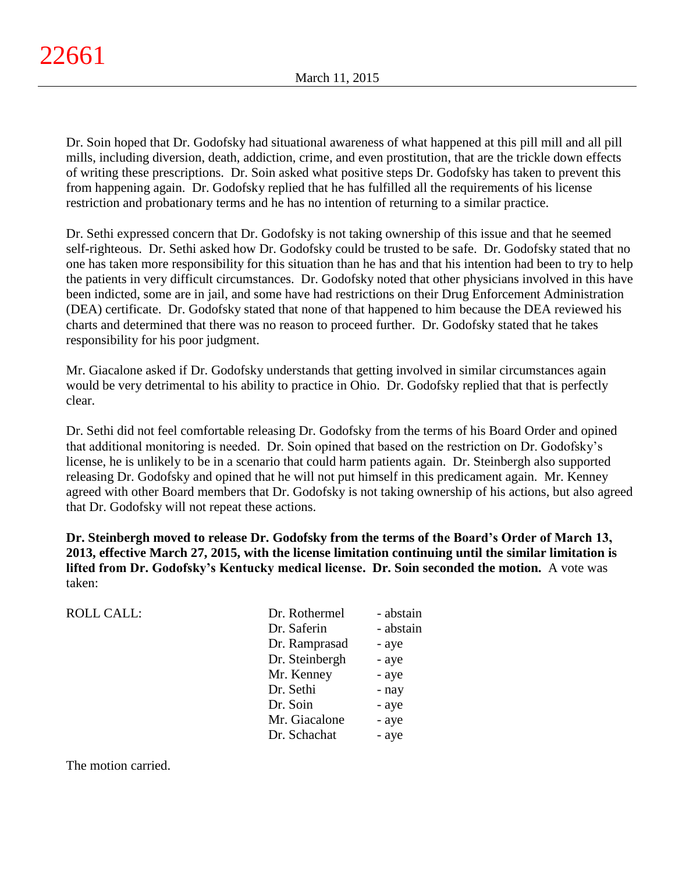Dr. Soin hoped that Dr. Godofsky had situational awareness of what happened at this pill mill and all pill mills, including diversion, death, addiction, crime, and even prostitution, that are the trickle down effects of writing these prescriptions. Dr. Soin asked what positive steps Dr. Godofsky has taken to prevent this from happening again. Dr. Godofsky replied that he has fulfilled all the requirements of his license restriction and probationary terms and he has no intention of returning to a similar practice.

Dr. Sethi expressed concern that Dr. Godofsky is not taking ownership of this issue and that he seemed self-righteous. Dr. Sethi asked how Dr. Godofsky could be trusted to be safe. Dr. Godofsky stated that no one has taken more responsibility for this situation than he has and that his intention had been to try to help the patients in very difficult circumstances. Dr. Godofsky noted that other physicians involved in this have been indicted, some are in jail, and some have had restrictions on their Drug Enforcement Administration (DEA) certificate. Dr. Godofsky stated that none of that happened to him because the DEA reviewed his charts and determined that there was no reason to proceed further. Dr. Godofsky stated that he takes responsibility for his poor judgment.

Mr. Giacalone asked if Dr. Godofsky understands that getting involved in similar circumstances again would be very detrimental to his ability to practice in Ohio. Dr. Godofsky replied that that is perfectly clear.

Dr. Sethi did not feel comfortable releasing Dr. Godofsky from the terms of his Board Order and opined that additional monitoring is needed. Dr. Soin opined that based on the restriction on Dr. Godofsky's license, he is unlikely to be in a scenario that could harm patients again. Dr. Steinbergh also supported releasing Dr. Godofsky and opined that he will not put himself in this predicament again. Mr. Kenney agreed with other Board members that Dr. Godofsky is not taking ownership of his actions, but also agreed that Dr. Godofsky will not repeat these actions.

**Dr. Steinbergh moved to release Dr. Godofsky from the terms of the Board's Order of March 13, 2013, effective March 27, 2015, with the license limitation continuing until the similar limitation is lifted from Dr. Godofsky's Kentucky medical license. Dr. Soin seconded the motion.** A vote was taken:

| ROLL CALL: | Dr. Rothermel  | - abstain |
|------------|----------------|-----------|
|            | Dr. Saferin    | - abstain |
|            | Dr. Ramprasad  | - aye     |
|            | Dr. Steinbergh | - aye     |
|            | Mr. Kenney     | - aye     |
|            | Dr. Sethi      | - nay     |
|            | Dr. Soin       | - aye     |
|            | Mr. Giacalone  | - aye     |
|            | Dr. Schachat   | - aye     |
|            |                |           |

The motion carried.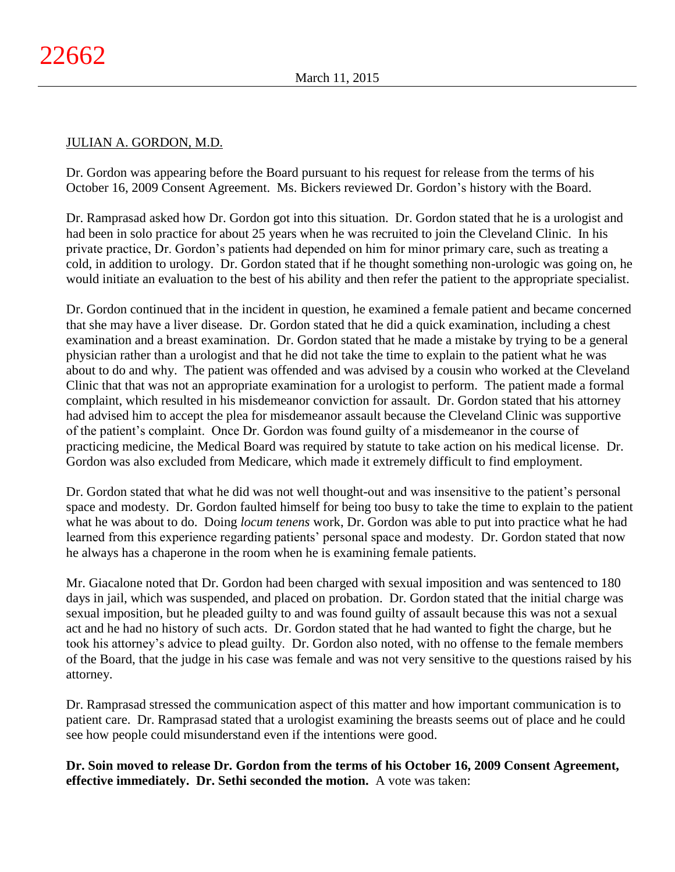# JULIAN A. GORDON, M.D.

Dr. Gordon was appearing before the Board pursuant to his request for release from the terms of his October 16, 2009 Consent Agreement. Ms. Bickers reviewed Dr. Gordon's history with the Board.

Dr. Ramprasad asked how Dr. Gordon got into this situation. Dr. Gordon stated that he is a urologist and had been in solo practice for about 25 years when he was recruited to join the Cleveland Clinic. In his private practice, Dr. Gordon's patients had depended on him for minor primary care, such as treating a cold, in addition to urology. Dr. Gordon stated that if he thought something non-urologic was going on, he would initiate an evaluation to the best of his ability and then refer the patient to the appropriate specialist.

Dr. Gordon continued that in the incident in question, he examined a female patient and became concerned that she may have a liver disease. Dr. Gordon stated that he did a quick examination, including a chest examination and a breast examination. Dr. Gordon stated that he made a mistake by trying to be a general physician rather than a urologist and that he did not take the time to explain to the patient what he was about to do and why. The patient was offended and was advised by a cousin who worked at the Cleveland Clinic that that was not an appropriate examination for a urologist to perform. The patient made a formal complaint, which resulted in his misdemeanor conviction for assault. Dr. Gordon stated that his attorney had advised him to accept the plea for misdemeanor assault because the Cleveland Clinic was supportive of the patient's complaint. Once Dr. Gordon was found guilty of a misdemeanor in the course of practicing medicine, the Medical Board was required by statute to take action on his medical license. Dr. Gordon was also excluded from Medicare, which made it extremely difficult to find employment.

Dr. Gordon stated that what he did was not well thought-out and was insensitive to the patient's personal space and modesty. Dr. Gordon faulted himself for being too busy to take the time to explain to the patient what he was about to do. Doing *locum tenens* work, Dr. Gordon was able to put into practice what he had learned from this experience regarding patients' personal space and modesty. Dr. Gordon stated that now he always has a chaperone in the room when he is examining female patients.

Mr. Giacalone noted that Dr. Gordon had been charged with sexual imposition and was sentenced to 180 days in jail, which was suspended, and placed on probation. Dr. Gordon stated that the initial charge was sexual imposition, but he pleaded guilty to and was found guilty of assault because this was not a sexual act and he had no history of such acts. Dr. Gordon stated that he had wanted to fight the charge, but he took his attorney's advice to plead guilty. Dr. Gordon also noted, with no offense to the female members of the Board, that the judge in his case was female and was not very sensitive to the questions raised by his attorney.

Dr. Ramprasad stressed the communication aspect of this matter and how important communication is to patient care. Dr. Ramprasad stated that a urologist examining the breasts seems out of place and he could see how people could misunderstand even if the intentions were good.

**Dr. Soin moved to release Dr. Gordon from the terms of his October 16, 2009 Consent Agreement, effective immediately. Dr. Sethi seconded the motion.** A vote was taken: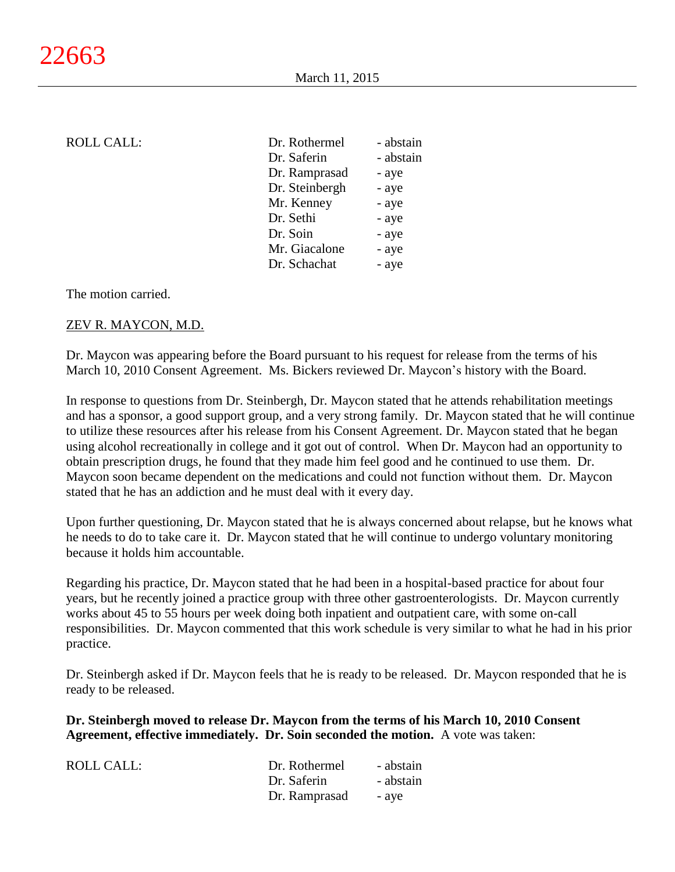| <b>ROLL CALL:</b> | Dr. Rothermel  | - abstain |
|-------------------|----------------|-----------|
|                   | Dr. Saferin    | - abstain |
|                   | Dr. Ramprasad  | - aye     |
|                   | Dr. Steinbergh | - aye     |
|                   | Mr. Kenney     | - aye     |
|                   | Dr. Sethi      | - aye     |
|                   | Dr. Soin       | - aye     |
|                   | Mr. Giacalone  | - aye     |
|                   | Dr. Schachat   | - aye     |
|                   |                |           |

The motion carried.

#### ZEV R. MAYCON, M.D.

Dr. Maycon was appearing before the Board pursuant to his request for release from the terms of his March 10, 2010 Consent Agreement. Ms. Bickers reviewed Dr. Maycon's history with the Board.

In response to questions from Dr. Steinbergh, Dr. Maycon stated that he attends rehabilitation meetings and has a sponsor, a good support group, and a very strong family. Dr. Maycon stated that he will continue to utilize these resources after his release from his Consent Agreement. Dr. Maycon stated that he began using alcohol recreationally in college and it got out of control. When Dr. Maycon had an opportunity to obtain prescription drugs, he found that they made him feel good and he continued to use them. Dr. Maycon soon became dependent on the medications and could not function without them. Dr. Maycon stated that he has an addiction and he must deal with it every day.

Upon further questioning, Dr. Maycon stated that he is always concerned about relapse, but he knows what he needs to do to take care it. Dr. Maycon stated that he will continue to undergo voluntary monitoring because it holds him accountable.

Regarding his practice, Dr. Maycon stated that he had been in a hospital-based practice for about four years, but he recently joined a practice group with three other gastroenterologists. Dr. Maycon currently works about 45 to 55 hours per week doing both inpatient and outpatient care, with some on-call responsibilities. Dr. Maycon commented that this work schedule is very similar to what he had in his prior practice.

Dr. Steinbergh asked if Dr. Maycon feels that he is ready to be released. Dr. Maycon responded that he is ready to be released.

**Dr. Steinbergh moved to release Dr. Maycon from the terms of his March 10, 2010 Consent Agreement, effective immediately. Dr. Soin seconded the motion.** A vote was taken:

| ROLL CALL: | Dr. Rothermel | - abstain |
|------------|---------------|-----------|
|            | Dr. Saferin   | - abstain |
|            | Dr. Ramprasad | - ave     |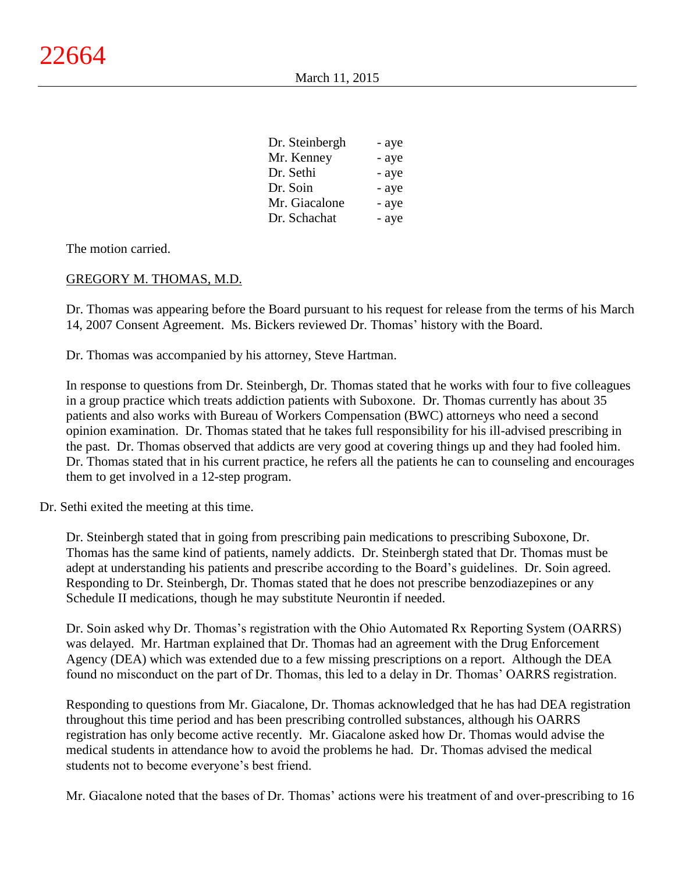| Dr. Steinbergh | - aye |
|----------------|-------|
| Mr. Kenney     | - aye |
| Dr. Sethi      | - aye |
| Dr. Soin       | - aye |
| Mr. Giacalone  | - aye |
| Dr. Schachat   | - aye |

The motion carried.

## GREGORY M. THOMAS, M.D.

Dr. Thomas was appearing before the Board pursuant to his request for release from the terms of his March 14, 2007 Consent Agreement. Ms. Bickers reviewed Dr. Thomas' history with the Board.

Dr. Thomas was accompanied by his attorney, Steve Hartman.

In response to questions from Dr. Steinbergh, Dr. Thomas stated that he works with four to five colleagues in a group practice which treats addiction patients with Suboxone. Dr. Thomas currently has about 35 patients and also works with Bureau of Workers Compensation (BWC) attorneys who need a second opinion examination. Dr. Thomas stated that he takes full responsibility for his ill-advised prescribing in the past. Dr. Thomas observed that addicts are very good at covering things up and they had fooled him. Dr. Thomas stated that in his current practice, he refers all the patients he can to counseling and encourages them to get involved in a 12-step program.

Dr. Sethi exited the meeting at this time.

Dr. Steinbergh stated that in going from prescribing pain medications to prescribing Suboxone, Dr. Thomas has the same kind of patients, namely addicts. Dr. Steinbergh stated that Dr. Thomas must be adept at understanding his patients and prescribe according to the Board's guidelines. Dr. Soin agreed. Responding to Dr. Steinbergh, Dr. Thomas stated that he does not prescribe benzodiazepines or any Schedule II medications, though he may substitute Neurontin if needed.

Dr. Soin asked why Dr. Thomas's registration with the Ohio Automated Rx Reporting System (OARRS) was delayed. Mr. Hartman explained that Dr. Thomas had an agreement with the Drug Enforcement Agency (DEA) which was extended due to a few missing prescriptions on a report. Although the DEA found no misconduct on the part of Dr. Thomas, this led to a delay in Dr. Thomas' OARRS registration.

Responding to questions from Mr. Giacalone, Dr. Thomas acknowledged that he has had DEA registration throughout this time period and has been prescribing controlled substances, although his OARRS registration has only become active recently. Mr. Giacalone asked how Dr. Thomas would advise the medical students in attendance how to avoid the problems he had. Dr. Thomas advised the medical students not to become everyone's best friend.

Mr. Giacalone noted that the bases of Dr. Thomas' actions were his treatment of and over-prescribing to 16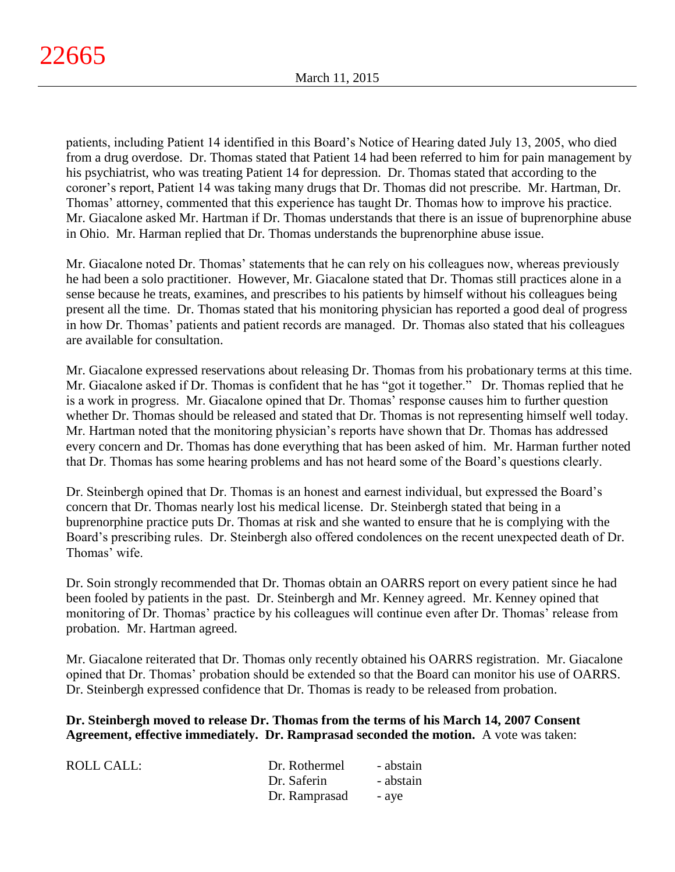patients, including Patient 14 identified in this Board's Notice of Hearing dated July 13, 2005, who died from a drug overdose. Dr. Thomas stated that Patient 14 had been referred to him for pain management by his psychiatrist, who was treating Patient 14 for depression. Dr. Thomas stated that according to the coroner's report, Patient 14 was taking many drugs that Dr. Thomas did not prescribe. Mr. Hartman, Dr. Thomas' attorney, commented that this experience has taught Dr. Thomas how to improve his practice. Mr. Giacalone asked Mr. Hartman if Dr. Thomas understands that there is an issue of buprenorphine abuse in Ohio. Mr. Harman replied that Dr. Thomas understands the buprenorphine abuse issue.

Mr. Giacalone noted Dr. Thomas' statements that he can rely on his colleagues now, whereas previously he had been a solo practitioner. However, Mr. Giacalone stated that Dr. Thomas still practices alone in a sense because he treats, examines, and prescribes to his patients by himself without his colleagues being present all the time. Dr. Thomas stated that his monitoring physician has reported a good deal of progress in how Dr. Thomas' patients and patient records are managed. Dr. Thomas also stated that his colleagues are available for consultation.

Mr. Giacalone expressed reservations about releasing Dr. Thomas from his probationary terms at this time. Mr. Giacalone asked if Dr. Thomas is confident that he has "got it together." Dr. Thomas replied that he is a work in progress. Mr. Giacalone opined that Dr. Thomas' response causes him to further question whether Dr. Thomas should be released and stated that Dr. Thomas is not representing himself well today. Mr. Hartman noted that the monitoring physician's reports have shown that Dr. Thomas has addressed every concern and Dr. Thomas has done everything that has been asked of him. Mr. Harman further noted that Dr. Thomas has some hearing problems and has not heard some of the Board's questions clearly.

Dr. Steinbergh opined that Dr. Thomas is an honest and earnest individual, but expressed the Board's concern that Dr. Thomas nearly lost his medical license. Dr. Steinbergh stated that being in a buprenorphine practice puts Dr. Thomas at risk and she wanted to ensure that he is complying with the Board's prescribing rules. Dr. Steinbergh also offered condolences on the recent unexpected death of Dr. Thomas' wife.

Dr. Soin strongly recommended that Dr. Thomas obtain an OARRS report on every patient since he had been fooled by patients in the past. Dr. Steinbergh and Mr. Kenney agreed. Mr. Kenney opined that monitoring of Dr. Thomas' practice by his colleagues will continue even after Dr. Thomas' release from probation. Mr. Hartman agreed.

Mr. Giacalone reiterated that Dr. Thomas only recently obtained his OARRS registration. Mr. Giacalone opined that Dr. Thomas' probation should be extended so that the Board can monitor his use of OARRS. Dr. Steinbergh expressed confidence that Dr. Thomas is ready to be released from probation.

**Dr. Steinbergh moved to release Dr. Thomas from the terms of his March 14, 2007 Consent Agreement, effective immediately. Dr. Ramprasad seconded the motion.** A vote was taken:

| ROLL CALL: | Dr. Rothermel | - abstain |
|------------|---------------|-----------|
|            | Dr. Saferin   | - abstain |
|            | Dr. Ramprasad | - ave     |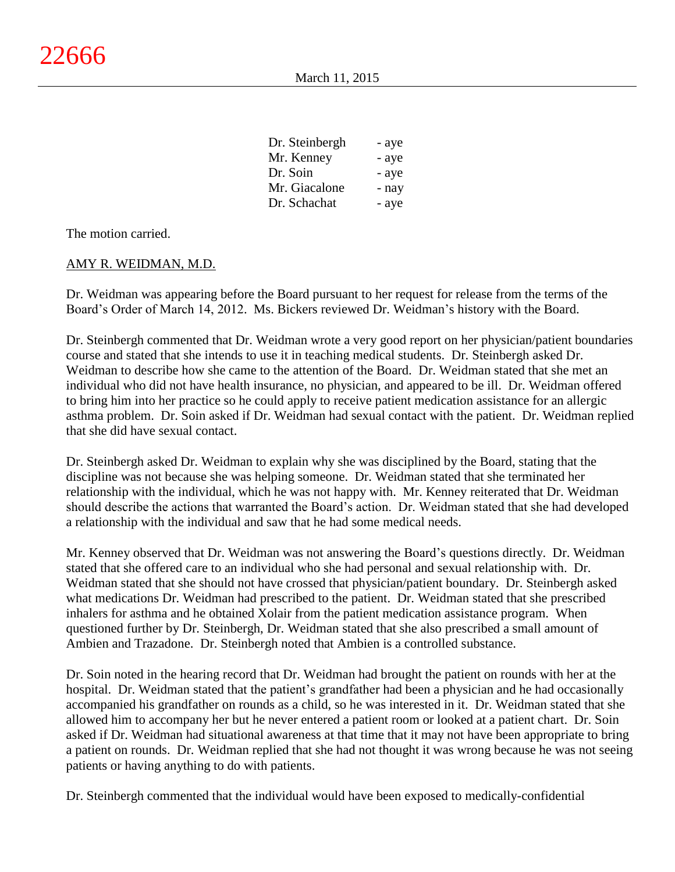| - aye |
|-------|
| - aye |
| - aye |
| - nav |
| - aye |
|       |

The motion carried.

## AMY R. WEIDMAN, M.D.

Dr. Weidman was appearing before the Board pursuant to her request for release from the terms of the Board's Order of March 14, 2012. Ms. Bickers reviewed Dr. Weidman's history with the Board.

Dr. Steinbergh commented that Dr. Weidman wrote a very good report on her physician/patient boundaries course and stated that she intends to use it in teaching medical students. Dr. Steinbergh asked Dr. Weidman to describe how she came to the attention of the Board. Dr. Weidman stated that she met an individual who did not have health insurance, no physician, and appeared to be ill. Dr. Weidman offered to bring him into her practice so he could apply to receive patient medication assistance for an allergic asthma problem. Dr. Soin asked if Dr. Weidman had sexual contact with the patient. Dr. Weidman replied that she did have sexual contact.

Dr. Steinbergh asked Dr. Weidman to explain why she was disciplined by the Board, stating that the discipline was not because she was helping someone. Dr. Weidman stated that she terminated her relationship with the individual, which he was not happy with. Mr. Kenney reiterated that Dr. Weidman should describe the actions that warranted the Board's action. Dr. Weidman stated that she had developed a relationship with the individual and saw that he had some medical needs.

Mr. Kenney observed that Dr. Weidman was not answering the Board's questions directly. Dr. Weidman stated that she offered care to an individual who she had personal and sexual relationship with. Dr. Weidman stated that she should not have crossed that physician/patient boundary. Dr. Steinbergh asked what medications Dr. Weidman had prescribed to the patient. Dr. Weidman stated that she prescribed inhalers for asthma and he obtained Xolair from the patient medication assistance program. When questioned further by Dr. Steinbergh, Dr. Weidman stated that she also prescribed a small amount of Ambien and Trazadone. Dr. Steinbergh noted that Ambien is a controlled substance.

Dr. Soin noted in the hearing record that Dr. Weidman had brought the patient on rounds with her at the hospital. Dr. Weidman stated that the patient's grandfather had been a physician and he had occasionally accompanied his grandfather on rounds as a child, so he was interested in it. Dr. Weidman stated that she allowed him to accompany her but he never entered a patient room or looked at a patient chart. Dr. Soin asked if Dr. Weidman had situational awareness at that time that it may not have been appropriate to bring a patient on rounds. Dr. Weidman replied that she had not thought it was wrong because he was not seeing patients or having anything to do with patients.

Dr. Steinbergh commented that the individual would have been exposed to medically-confidential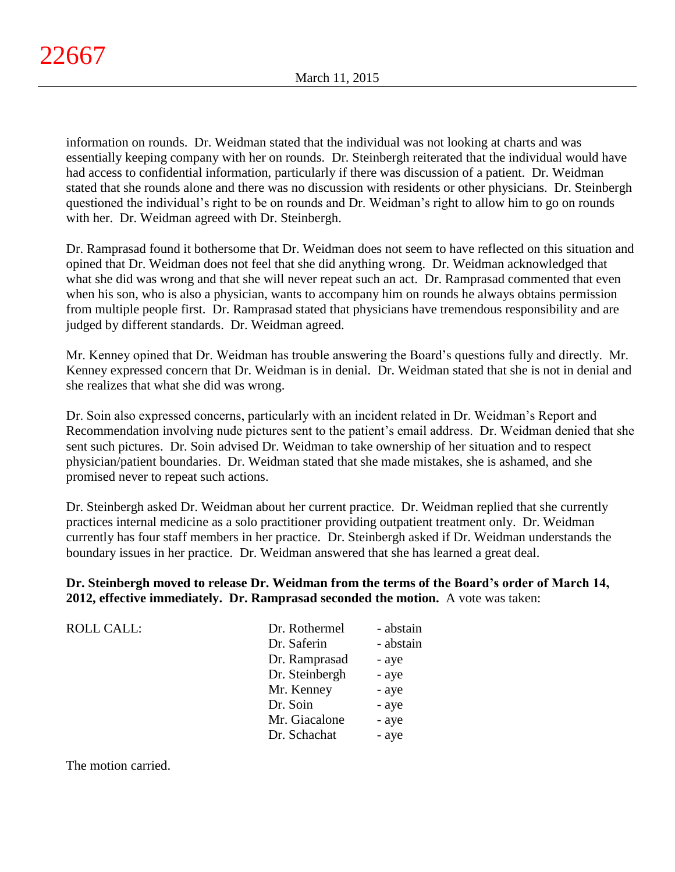information on rounds. Dr. Weidman stated that the individual was not looking at charts and was essentially keeping company with her on rounds. Dr. Steinbergh reiterated that the individual would have had access to confidential information, particularly if there was discussion of a patient. Dr. Weidman stated that she rounds alone and there was no discussion with residents or other physicians. Dr. Steinbergh questioned the individual's right to be on rounds and Dr. Weidman's right to allow him to go on rounds with her. Dr. Weidman agreed with Dr. Steinbergh.

Dr. Ramprasad found it bothersome that Dr. Weidman does not seem to have reflected on this situation and opined that Dr. Weidman does not feel that she did anything wrong. Dr. Weidman acknowledged that what she did was wrong and that she will never repeat such an act. Dr. Ramprasad commented that even when his son, who is also a physician, wants to accompany him on rounds he always obtains permission from multiple people first. Dr. Ramprasad stated that physicians have tremendous responsibility and are judged by different standards. Dr. Weidman agreed.

Mr. Kenney opined that Dr. Weidman has trouble answering the Board's questions fully and directly. Mr. Kenney expressed concern that Dr. Weidman is in denial. Dr. Weidman stated that she is not in denial and she realizes that what she did was wrong.

Dr. Soin also expressed concerns, particularly with an incident related in Dr. Weidman's Report and Recommendation involving nude pictures sent to the patient's email address. Dr. Weidman denied that she sent such pictures. Dr. Soin advised Dr. Weidman to take ownership of her situation and to respect physician/patient boundaries. Dr. Weidman stated that she made mistakes, she is ashamed, and she promised never to repeat such actions.

Dr. Steinbergh asked Dr. Weidman about her current practice. Dr. Weidman replied that she currently practices internal medicine as a solo practitioner providing outpatient treatment only. Dr. Weidman currently has four staff members in her practice. Dr. Steinbergh asked if Dr. Weidman understands the boundary issues in her practice. Dr. Weidman answered that she has learned a great deal.

# **Dr. Steinbergh moved to release Dr. Weidman from the terms of the Board's order of March 14, 2012, effective immediately. Dr. Ramprasad seconded the motion.** A vote was taken:

| ROLL CALL: | Dr. Rothermel  | - abstain |
|------------|----------------|-----------|
|            | Dr. Saferin    | - abstain |
|            | Dr. Ramprasad  | - aye     |
|            | Dr. Steinbergh | - aye     |
|            | Mr. Kenney     | - aye     |
|            | Dr. Soin       | - aye     |
|            | Mr. Giacalone  | - aye     |
|            | Dr. Schachat   | - aye     |
|            |                |           |

The motion carried.